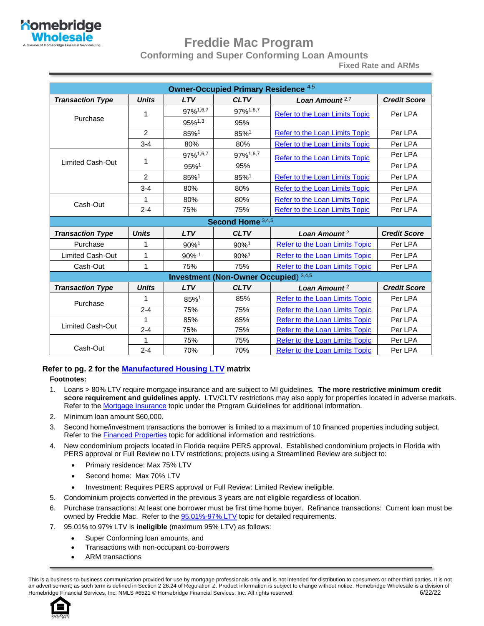

## **Freddie Mac Program**

**Conforming and Super Conforming Loan Amounts**

**Fixed Rate and ARMs**

| <b>Owner-Occupied Primary Residence 4,5</b> |                |                    |                                              |                                       |                     |
|---------------------------------------------|----------------|--------------------|----------------------------------------------|---------------------------------------|---------------------|
| <b>Transaction Type</b>                     | <b>Units</b>   | <b>LTV</b>         | <b>CLTV</b>                                  | Loan Amount <sup>2,7</sup>            | <b>Credit Score</b> |
|                                             | 1              | 97%1,6,7           | 97%1,6,7                                     | <b>Refer to the Loan Limits Topic</b> | Per LPA             |
| Purchase                                    |                | 95%1,3             | 95%                                          |                                       |                     |
|                                             | 2              | $85%$ <sup>1</sup> | 85%1                                         | <b>Refer to the Loan Limits Topic</b> | Per LPA             |
|                                             | $3 - 4$        | 80%                | 80%                                          | <b>Refer to the Loan Limits Topic</b> | Per LPA             |
|                                             |                | 97%1,6,7           | 97%1,6,7                                     | <b>Refer to the Loan Limits Topic</b> | Per LPA             |
| <b>Limited Cash-Out</b>                     | 1              | 95%1               | 95%                                          |                                       | Per LPA             |
|                                             | $\overline{2}$ | 85%1               | 85%1                                         | Refer to the Loan Limits Topic        | Per LPA             |
|                                             | $3 - 4$        | 80%                | 80%                                          | Refer to the Loan Limits Topic        | Per LPA             |
|                                             | 1              | 80%                | 80%                                          | <b>Refer to the Loan Limits Topic</b> | Per LPA             |
| Cash-Out                                    | $2 - 4$        | 75%                | 75%                                          | <b>Refer to the Loan Limits Topic</b> | Per LPA             |
|                                             |                |                    | Second Home 3,4,5                            |                                       |                     |
| <b>Transaction Type</b>                     | <b>Units</b>   | <b>LTV</b>         | <b>CLTV</b>                                  | Loan Amount <sup>2</sup>              | <b>Credit Score</b> |
| Purchase                                    | 1              | 90%1               | 90%1                                         | <b>Refer to the Loan Limits Topic</b> | Per LPA             |
| Limited Cash-Out                            | 1              | 90% 1              | 90%1                                         | Refer to the Loan Limits Topic        | Per LPA             |
| Cash-Out                                    | 1              | 75%                | 75%                                          | Refer to the Loan Limits Topic        | Per LPA             |
|                                             |                |                    | <b>Investment (Non-Owner Occupied)</b> 3,4,5 |                                       |                     |
| <b>Transaction Type</b>                     | <b>Units</b>   | <b>LTV</b>         | <b>CLTV</b>                                  | Loan Amount <sup>2</sup>              | <b>Credit Score</b> |
| Purchase                                    | 1              | 85%1               | 85%                                          | Refer to the Loan Limits Topic        | Per LPA             |
|                                             | $2 - 4$        | 75%                | 75%                                          | <b>Refer to the Loan Limits Topic</b> | Per LPA             |
|                                             |                | 85%                | 85%                                          | <b>Refer to the Loan Limits Topic</b> | Per LPA             |
| Limited Cash-Out                            | $2 - 4$        | 75%                | 75%                                          | Refer to the Loan Limits Topic        | Per LPA             |
|                                             | 1              | 75%                | 75%                                          | Refer to the Loan Limits Topic        | Per LPA             |
| Cash-Out                                    | $2 - 4$        | 70%                | 70%                                          | <b>Refer to the Loan Limits Topic</b> | Per LPA             |

#### **Refer to pg. 2 for the [Manufactured Housing LTV](#page-1-0) matrix**

#### **Footnotes:**

- 1. Loans > 80% LTV require mortgage insurance and are subject to MI guidelines. **The more restrictive minimum credit score requirement and guidelines apply.** LTV/CLTV restrictions may also apply for properties located in adverse markets. Refer to th[e Mortgage Insurance](#page-52-0) topic under the Program Guidelines for additional information.
- 2. Minimum loan amount \$60,000.
- 3. Second home/investment transactions the borrower is limited to a maximum of 10 financed properties including subject. Refer to the **Financed Properties** topic for additional information and restrictions.
- 4. New condominium projects located in Florida require PERS approval. Established condominium projects in Florida with PERS approval or Full Review no LTV restrictions; projects using a Streamlined Review are subject to:
	- Primary residence: Max 75% LTV
	- Second home: Max 70% LTV
	- Investment: Requires PERS approval or Full Review: Limited Review ineligible.
- 5. Condominium projects converted in the previous 3 years are not eligible regardless of location.
- 6. Purchase transactions: At least one borrower must be first time home buyer. Refinance transactions: Current loan must be owned by Freddie Mac. Refer to the [95.01%-97% LTV](#page-6-0) topic for detailed requirements.
- 7. 95.01% to 97% LTV is **ineligible** (maximum 95% LTV) as follows:
	- Super Conforming loan amounts, and
	- Transactions with non-occupant co-borrowers
	- ARM transactions

This is a business-to-business communication provided for use by mortgage professionals only and is not intended for distribution to consumers or other third parties. It is not an advertisement; as such term is defined in Section 2 26.24 of Regulation Z. Product information is subject to change without notice. Homebridge Wholesale is a division of Homebridge Financial Services, Inc. NMLS #6521 © Homebridge Financial Services, Inc. All rights reserved. 6/20/22 6/22/22

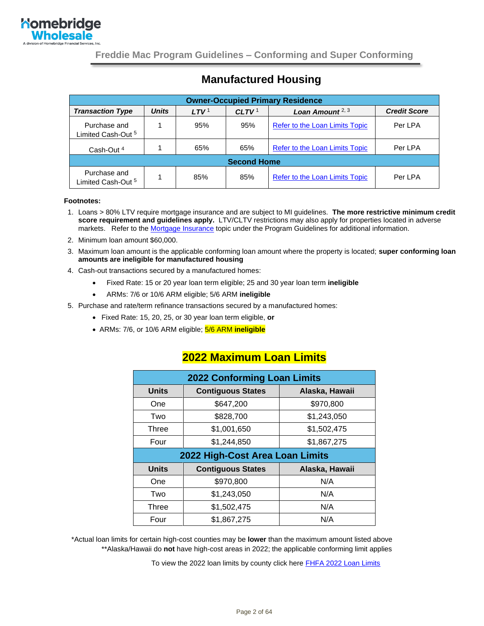

## **Manufactured Housing**

| <b>Owner-Occupied Primary Residence</b>       |              |                  |                   |                                       |                     |
|-----------------------------------------------|--------------|------------------|-------------------|---------------------------------------|---------------------|
| <b>Transaction Type</b>                       | <b>Units</b> | LTV <sup>1</sup> | CLTV <sup>1</sup> | Loan Amount $2, 3$                    | <b>Credit Score</b> |
| Purchase and<br>Limited Cash-Out <sup>5</sup> |              | 95%              | 95%               | Refer to the Loan Limits Topic        | Per LPA             |
| Cash-Out <sup>4</sup>                         |              | 65%              | 65%               | <b>Refer to the Loan Limits Topic</b> | Per LPA             |
| <b>Second Home</b>                            |              |                  |                   |                                       |                     |
| Purchase and<br>Limited Cash-Out <sup>5</sup> |              | 85%              | 85%               | <b>Refer to the Loan Limits Topic</b> | Per LPA             |

#### <span id="page-1-0"></span>**Footnotes:**

- 1. Loans > 80% LTV require mortgage insurance and are subject to MI guidelines. **The more restrictive minimum credit score requirement and guidelines apply.** LTV/CLTV restrictions may also apply for properties located in adverse markets. Refer to th[e Mortgage Insurance](#page-52-0) topic under the Program Guidelines for additional information.
- 2. Minimum loan amount \$60,000.
- 3. Maximum loan amount is the applicable conforming loan amount where the property is located; **super conforming loan amounts are ineligible for manufactured housing**
- 4. Cash-out transactions secured by a manufactured homes:
	- Fixed Rate: 15 or 20 year loan term eligible; 25 and 30 year loan term **ineligible**
	- ARMs: 7/6 or 10/6 ARM eligible; 5/6 ARM **ineligible**
- 5. Purchase and rate/term refinance transactions secured by a manufactured homes:
	- Fixed Rate: 15, 20, 25, or 30 year loan term eligible, **or**
	- ARMs: 7/6, or 10/6 ARM eligible; 5/6 ARM **ineligible**

| <b>2022 Conforming Loan Limits</b> |                          |                |  |
|------------------------------------|--------------------------|----------------|--|
| <b>Units</b>                       | <b>Contiguous States</b> | Alaska, Hawaii |  |
| One                                | \$647,200                | \$970,800      |  |
| Two                                | \$828,700                | \$1,243,050    |  |
| Three                              | \$1,001,650              | \$1,502,475    |  |
| Four                               | \$1,244,850              | \$1,867,275    |  |
| 2022 High-Cost Area Loan Limits    |                          |                |  |
|                                    |                          |                |  |
| <b>Units</b>                       | <b>Contiguous States</b> | Alaska, Hawaii |  |
| One                                | \$970,800                | N/A            |  |
| Two                                | \$1,243,050              | N/A            |  |
| Three                              | \$1,502,475              | N/A            |  |

#### **2022 Maximum Loan Limits**

\*Actual loan limits for certain high-cost counties may be **lower** than the maximum amount listed above \*\*Alaska/Hawaii do **not** have high-cost areas in 2022; the applicable conforming limit applies

To view the 2022 loan limits by county click here [FHFA 2022 Loan Limits](https://www.fhfa.gov/DataTools/Downloads/Documents/Conforming-Loan-Limits/FullCountyLoanLimitList2022_HERA-BASED_FINAL_FLAT.pdf)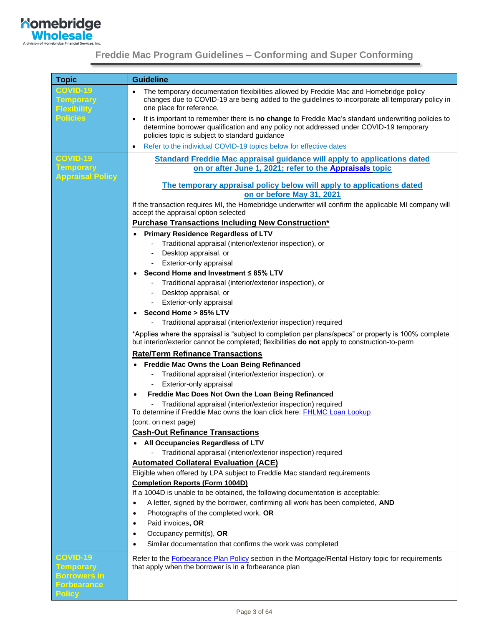

| <b>Topic</b>                                       | <b>Guideline</b>                                                                                                                                                                                                                                   |
|----------------------------------------------------|----------------------------------------------------------------------------------------------------------------------------------------------------------------------------------------------------------------------------------------------------|
| <b>COVID-19</b><br>Temporary<br><b>Flexibility</b> | The temporary documentation flexibilities allowed by Freddie Mac and Homebridge policy<br>changes due to COVID-19 are being added to the guidelines to incorporate all temporary policy in<br>one place for reference.                             |
| <b>Policies</b>                                    | It is important to remember there is no change to Freddie Mac's standard underwriting policies to<br>٠<br>determine borrower qualification and any policy not addressed under COVID-19 temporary<br>policies topic is subject to standard guidance |
|                                                    | Refer to the individual COVID-19 topics below for effective dates<br>$\bullet$                                                                                                                                                                     |
| <b>COVID-19</b>                                    | <b>Standard Freddie Mac appraisal guidance will apply to applications dated</b>                                                                                                                                                                    |
| <b>Temporary</b><br><b>Appraisal Policy</b>        | on or after June 1, 2021; refer to the Appraisals topic                                                                                                                                                                                            |
|                                                    | The temporary appraisal policy below will apply to applications dated<br>on or before May 31, 2021                                                                                                                                                 |
|                                                    | If the transaction requires MI, the Homebridge underwriter will confirm the applicable MI company will<br>accept the appraisal option selected                                                                                                     |
|                                                    | <b>Purchase Transactions Including New Construction*</b>                                                                                                                                                                                           |
|                                                    | <b>Primary Residence Regardless of LTV</b>                                                                                                                                                                                                         |
|                                                    | Traditional appraisal (interior/exterior inspection), or                                                                                                                                                                                           |
|                                                    | Desktop appraisal, or                                                                                                                                                                                                                              |
|                                                    | Exterior-only appraisal                                                                                                                                                                                                                            |
|                                                    | Second Home and Investment ≤ 85% LTV                                                                                                                                                                                                               |
|                                                    | Traditional appraisal (interior/exterior inspection), or                                                                                                                                                                                           |
|                                                    | Desktop appraisal, or<br>$\overline{\phantom{a}}$                                                                                                                                                                                                  |
|                                                    | Exterior-only appraisal<br>-                                                                                                                                                                                                                       |
|                                                    | Second Home > 85% LTV<br>$\bullet$                                                                                                                                                                                                                 |
|                                                    | Traditional appraisal (interior/exterior inspection) required                                                                                                                                                                                      |
|                                                    | *Applies where the appraisal is "subject to completion per plans/specs" or property is 100% complete<br>but interior/exterior cannot be completed; flexibilities do not apply to construction-to-perm                                              |
|                                                    | <b>Rate/Term Refinance Transactions</b>                                                                                                                                                                                                            |
|                                                    | Freddie Mac Owns the Loan Being Refinanced                                                                                                                                                                                                         |
|                                                    | Traditional appraisal (interior/exterior inspection), or                                                                                                                                                                                           |
|                                                    | Exterior-only appraisal                                                                                                                                                                                                                            |
|                                                    | Freddie Mac Does Not Own the Loan Being Refinanced                                                                                                                                                                                                 |
|                                                    | Traditional appraisal (interior/exterior inspection) required                                                                                                                                                                                      |
|                                                    | To determine if Freddie Mac owns the loan click here: FHLMC Loan Lookup                                                                                                                                                                            |
|                                                    | (cont. on next page)                                                                                                                                                                                                                               |
|                                                    | <b>Cash-Out Refinance Transactions</b>                                                                                                                                                                                                             |
|                                                    | All Occupancies Regardless of LTV                                                                                                                                                                                                                  |
|                                                    | Traditional appraisal (interior/exterior inspection) required<br><b>Automated Collateral Evaluation (ACE)</b>                                                                                                                                      |
|                                                    | Eligible when offered by LPA subject to Freddie Mac standard requirements                                                                                                                                                                          |
|                                                    | <b>Completion Reports (Form 1004D)</b>                                                                                                                                                                                                             |
|                                                    | If a 1004D is unable to be obtained, the following documentation is acceptable:                                                                                                                                                                    |
|                                                    | A letter, signed by the borrower, confirming all work has been completed, AND<br>$\bullet$                                                                                                                                                         |
|                                                    | Photographs of the completed work, OR<br>$\bullet$                                                                                                                                                                                                 |
|                                                    | Paid invoices, OR<br>٠                                                                                                                                                                                                                             |
|                                                    | Occupancy permit(s), OR<br>$\bullet$                                                                                                                                                                                                               |
|                                                    | Similar documentation that confirms the work was completed<br>$\bullet$                                                                                                                                                                            |
| <b>COVID-19</b>                                    |                                                                                                                                                                                                                                                    |
| <b>Temporary</b>                                   | Refer to the <b>Forbearance Plan Policy</b> section in the Mortgage/Rental History topic for requirements<br>that apply when the borrower is in a forbearance plan                                                                                 |
| <b>Borrowers in</b>                                |                                                                                                                                                                                                                                                    |
| <b>Forbearance</b>                                 |                                                                                                                                                                                                                                                    |
| <b>Policy</b>                                      |                                                                                                                                                                                                                                                    |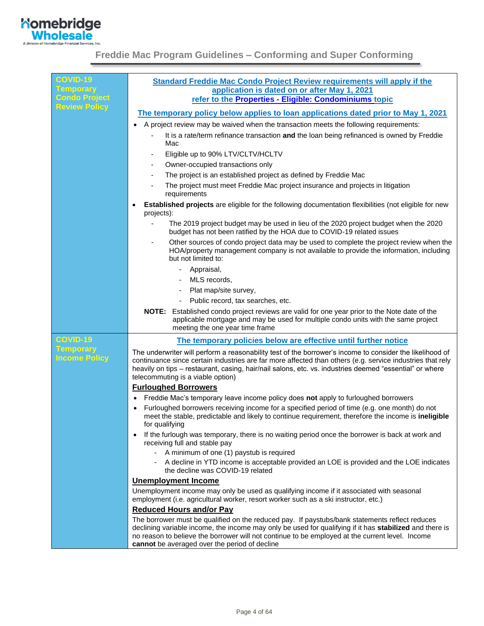

| <b>COVID-19</b>                          | <b>Standard Freddie Mac Condo Project Review requirements will apply if the</b>                                                                                                                                                                                                                                                                                       |
|------------------------------------------|-----------------------------------------------------------------------------------------------------------------------------------------------------------------------------------------------------------------------------------------------------------------------------------------------------------------------------------------------------------------------|
| <b>Temporary</b><br><b>Condo Project</b> | application is dated on or after May 1, 2021<br>refer to the Properties - Eligible: Condominiums topic                                                                                                                                                                                                                                                                |
| <b>Review Policy</b>                     |                                                                                                                                                                                                                                                                                                                                                                       |
|                                          | The temporary policy below applies to loan applications dated prior to May 1, 2021                                                                                                                                                                                                                                                                                    |
|                                          | A project review may be waived when the transaction meets the following requirements:                                                                                                                                                                                                                                                                                 |
|                                          | It is a rate/term refinance transaction and the loan being refinanced is owned by Freddie<br>Mac                                                                                                                                                                                                                                                                      |
|                                          | Eligible up to 90% LTV/CLTV/HCLTV                                                                                                                                                                                                                                                                                                                                     |
|                                          | Owner-occupied transactions only                                                                                                                                                                                                                                                                                                                                      |
|                                          | The project is an established project as defined by Freddie Mac                                                                                                                                                                                                                                                                                                       |
|                                          | The project must meet Freddie Mac project insurance and projects in litigation<br>requirements                                                                                                                                                                                                                                                                        |
|                                          | Established projects are eligible for the following documentation flexibilities (not eligible for new<br>projects):                                                                                                                                                                                                                                                   |
|                                          | The 2019 project budget may be used in lieu of the 2020 project budget when the 2020<br>budget has not been ratified by the HOA due to COVID-19 related issues                                                                                                                                                                                                        |
|                                          | Other sources of condo project data may be used to complete the project review when the<br>HOA/property management company is not available to provide the information, including<br>but not limited to:                                                                                                                                                              |
|                                          | Appraisal,                                                                                                                                                                                                                                                                                                                                                            |
|                                          | MLS records.                                                                                                                                                                                                                                                                                                                                                          |
|                                          | Plat map/site survey,                                                                                                                                                                                                                                                                                                                                                 |
|                                          | Public record, tax searches, etc.                                                                                                                                                                                                                                                                                                                                     |
|                                          | Established condo project reviews are valid for one year prior to the Note date of the<br>NOTE:<br>applicable mortgage and may be used for multiple condo units with the same project<br>meeting the one year time frame                                                                                                                                              |
| <b>COVID-19</b>                          | The temporary policies below are effective until further notice                                                                                                                                                                                                                                                                                                       |
| <b>Temporary</b><br><b>Income Policy</b> | The underwriter will perform a reasonability test of the borrower's income to consider the likelihood of<br>continuance since certain industries are far more affected than others (e.g. service industries that rely<br>heavily on tips - restaurant, casing, hair/nail salons, etc. vs. industries deemed "essential" or where<br>telecommuting is a viable option) |
|                                          | <b>Furloughed Borrowers</b>                                                                                                                                                                                                                                                                                                                                           |
|                                          | Freddie Mac's temporary leave income policy does not apply to furloughed borrowers                                                                                                                                                                                                                                                                                    |
|                                          | Furloughed borrowers receiving income for a specified period of time (e.g. one month) do not<br>meet the stable, predictable and likely to continue requirement, therefore the income is ineligible<br>for qualifying                                                                                                                                                 |
|                                          | If the furlough was temporary, there is no waiting period once the borrower is back at work and<br>receiving full and stable pay                                                                                                                                                                                                                                      |
|                                          | - A minimum of one (1) paystub is required                                                                                                                                                                                                                                                                                                                            |
|                                          | A decline in YTD income is acceptable provided an LOE is provided and the LOE indicates<br>the decline was COVID-19 related                                                                                                                                                                                                                                           |
|                                          | <b>Unemployment Income</b>                                                                                                                                                                                                                                                                                                                                            |
|                                          | Unemployment income may only be used as qualifying income if it associated with seasonal<br>employment (i.e. agricultural worker, resort worker such as a ski instructor, etc.)                                                                                                                                                                                       |
|                                          | <b>Reduced Hours and/or Pay</b>                                                                                                                                                                                                                                                                                                                                       |
|                                          | The borrower must be qualified on the reduced pay. If paystubs/bank statements reflect reduces<br>declining variable income, the income may only be used for qualifying if it has stabilized and there is<br>no reason to believe the borrower will not continue to be employed at the current level. Income<br>cannot be averaged over the period of decline         |
|                                          |                                                                                                                                                                                                                                                                                                                                                                       |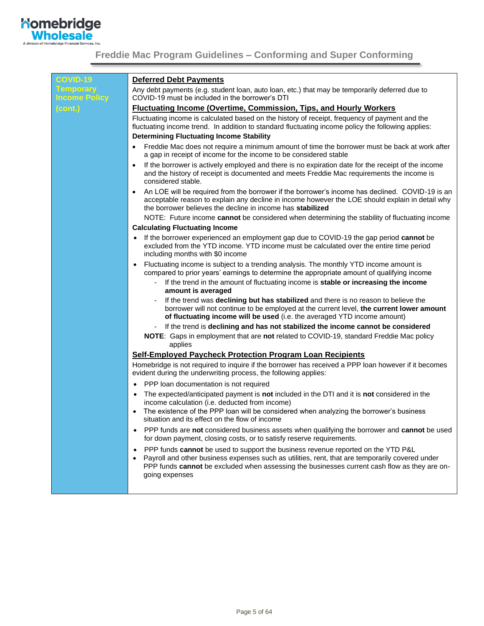

| <b>COVID-19</b>                          | <b>Deferred Debt Payments</b>                                                                                                                                                                                                                                                                                           |
|------------------------------------------|-------------------------------------------------------------------------------------------------------------------------------------------------------------------------------------------------------------------------------------------------------------------------------------------------------------------------|
| <b>Temporary</b><br><b>Income Policy</b> | Any debt payments (e.g. student loan, auto loan, etc.) that may be temporarily deferred due to<br>COVID-19 must be included in the borrower's DTI                                                                                                                                                                       |
| (cont.)                                  | <b>Fluctuating Income (Overtime, Commission, Tips, and Hourly Workers)</b>                                                                                                                                                                                                                                              |
|                                          | Fluctuating income is calculated based on the history of receipt, frequency of payment and the<br>fluctuating income trend. In addition to standard fluctuating income policy the following applies:                                                                                                                    |
|                                          | <b>Determining Fluctuating Income Stability</b>                                                                                                                                                                                                                                                                         |
|                                          | Freddie Mac does not require a minimum amount of time the borrower must be back at work after<br>$\bullet$<br>a gap in receipt of income for the income to be considered stable                                                                                                                                         |
|                                          | If the borrower is actively employed and there is no expiration date for the receipt of the income<br>$\bullet$<br>and the history of receipt is documented and meets Freddie Mac requirements the income is<br>considered stable.                                                                                      |
|                                          | An LOE will be required from the borrower if the borrower's income has declined. COVID-19 is an<br>$\bullet$<br>acceptable reason to explain any decline in income however the LOE should explain in detail why<br>the borrower believes the decline in income has stabilized                                           |
|                                          | NOTE: Future income cannot be considered when determining the stability of fluctuating income                                                                                                                                                                                                                           |
|                                          | <b>Calculating Fluctuating Income</b>                                                                                                                                                                                                                                                                                   |
|                                          | If the borrower experienced an employment gap due to COVID-19 the gap period cannot be<br>$\bullet$<br>excluded from the YTD income. YTD income must be calculated over the entire time period<br>including months with \$0 income                                                                                      |
|                                          | Fluctuating income is subject to a trending analysis. The monthly YTD income amount is<br>$\bullet$<br>compared to prior years' earnings to determine the appropriate amount of qualifying income<br>- If the trend in the amount of fluctuating income is stable or increasing the income<br>amount is averaged        |
|                                          | If the trend was declining but has stabilized and there is no reason to believe the<br>borrower will not continue to be employed at the current level, the current lower amount<br>of fluctuating income will be used (i.e. the averaged YTD income amount)                                                             |
|                                          | If the trend is declining and has not stabilized the income cannot be considered                                                                                                                                                                                                                                        |
|                                          | NOTE: Gaps in employment that are not related to COVID-19, standard Freddie Mac policy<br>applies                                                                                                                                                                                                                       |
|                                          | <b>Self-Employed Paycheck Protection Program Loan Recipients</b>                                                                                                                                                                                                                                                        |
|                                          | Homebridge is not required to inquire if the borrower has received a PPP loan however if it becomes<br>evident during the underwriting process, the following applies:                                                                                                                                                  |
|                                          | PPP loan documentation is not required<br>$\bullet$                                                                                                                                                                                                                                                                     |
|                                          | The expected/anticipated payment is not included in the DTI and it is not considered in the<br>$\bullet$<br>income calculation (i.e. deducted from income)                                                                                                                                                              |
|                                          | The existence of the PPP loan will be considered when analyzing the borrower's business<br>$\bullet$<br>situation and its effect on the flow of income                                                                                                                                                                  |
|                                          | PPP funds are not considered business assets when qualifying the borrower and cannot be used<br>for down payment, closing costs, or to satisfy reserve requirements.                                                                                                                                                    |
|                                          | PPP funds cannot be used to support the business revenue reported on the YTD P&L<br>$\bullet$<br>Payroll and other business expenses such as utilities, rent, that are temporarily covered under<br>٠<br>PPP funds cannot be excluded when assessing the businesses current cash flow as they are on-<br>going expenses |
|                                          |                                                                                                                                                                                                                                                                                                                         |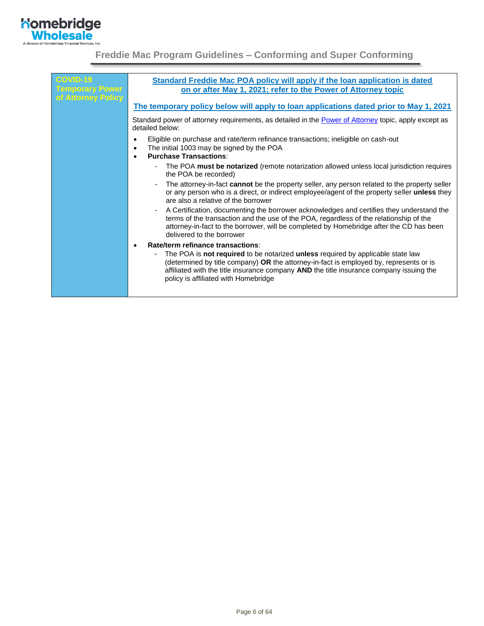

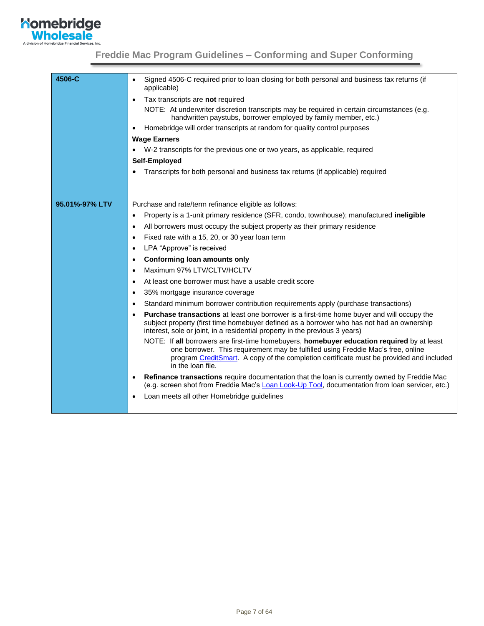

<span id="page-6-0"></span>

| 4506-C         | Signed 4506-C required prior to loan closing for both personal and business tax returns (if<br>$\bullet$<br>applicable)                                                                                                                                                                        |
|----------------|------------------------------------------------------------------------------------------------------------------------------------------------------------------------------------------------------------------------------------------------------------------------------------------------|
|                | Tax transcripts are not required                                                                                                                                                                                                                                                               |
|                | NOTE: At underwriter discretion transcripts may be required in certain circumstances (e.g.<br>handwritten paystubs, borrower employed by family member, etc.)                                                                                                                                  |
|                | Homebridge will order transcripts at random for quality control purposes<br>$\bullet$                                                                                                                                                                                                          |
|                | <b>Wage Earners</b>                                                                                                                                                                                                                                                                            |
|                | W-2 transcripts for the previous one or two years, as applicable, required                                                                                                                                                                                                                     |
|                | Self-Employed                                                                                                                                                                                                                                                                                  |
|                | Transcripts for both personal and business tax returns (if applicable) required                                                                                                                                                                                                                |
|                |                                                                                                                                                                                                                                                                                                |
|                |                                                                                                                                                                                                                                                                                                |
| 95.01%-97% LTV | Purchase and rate/term refinance eligible as follows:                                                                                                                                                                                                                                          |
|                | Property is a 1-unit primary residence (SFR, condo, townhouse); manufactured ineligible<br>$\bullet$                                                                                                                                                                                           |
|                | All borrowers must occupy the subject property as their primary residence<br>$\bullet$                                                                                                                                                                                                         |
|                | Fixed rate with a 15, 20, or 30 year loan term<br>$\bullet$                                                                                                                                                                                                                                    |
|                | LPA "Approve" is received<br>٠                                                                                                                                                                                                                                                                 |
|                | Conforming loan amounts only<br>$\bullet$                                                                                                                                                                                                                                                      |
|                | Maximum 97% LTV/CLTV/HCLTV<br>٠                                                                                                                                                                                                                                                                |
|                | At least one borrower must have a usable credit score<br>٠                                                                                                                                                                                                                                     |
|                | 35% mortgage insurance coverage<br>$\bullet$                                                                                                                                                                                                                                                   |
|                | Standard minimum borrower contribution requirements apply (purchase transactions)                                                                                                                                                                                                              |
|                | <b>Purchase transactions</b> at least one borrower is a first-time home buyer and will occupy the<br>$\bullet$<br>subject property (first time homebuyer defined as a borrower who has not had an ownership<br>interest, sole or joint, in a residential property in the previous 3 years)     |
|                | NOTE: If all borrowers are first-time homebuyers, homebuyer education required by at least<br>one borrower. This requirement may be fulfilled using Freddie Mac's free, online<br>program CreditSmart. A copy of the completion certificate must be provided and included<br>in the loan file. |
|                | Refinance transactions require documentation that the loan is currently owned by Freddie Mac<br>(e.g. screen shot from Freddie Mac's Loan Look-Up Tool, documentation from loan servicer, etc.)                                                                                                |
|                | Loan meets all other Homebridge guidelines                                                                                                                                                                                                                                                     |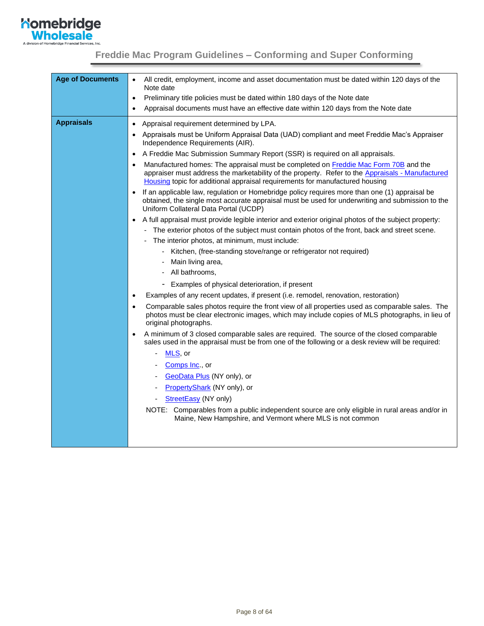

<span id="page-7-0"></span>

| <b>Age of Documents</b> | All credit, employment, income and asset documentation must be dated within 120 days of the<br>$\bullet$                                                                                                                                                                             |
|-------------------------|--------------------------------------------------------------------------------------------------------------------------------------------------------------------------------------------------------------------------------------------------------------------------------------|
|                         | Note date<br>Preliminary title policies must be dated within 180 days of the Note date<br>$\bullet$                                                                                                                                                                                  |
|                         | Appraisal documents must have an effective date within 120 days from the Note date<br>$\bullet$                                                                                                                                                                                      |
| <b>Appraisals</b>       | Appraisal requirement determined by LPA.<br>$\bullet$                                                                                                                                                                                                                                |
|                         | Appraisals must be Uniform Appraisal Data (UAD) compliant and meet Freddie Mac's Appraiser<br>$\bullet$<br>Independence Requirements (AIR).                                                                                                                                          |
|                         | A Freddie Mac Submission Summary Report (SSR) is required on all appraisals.<br>$\bullet$                                                                                                                                                                                            |
|                         | Manufactured homes: The appraisal must be completed on Freddie Mac Form 70B and the<br>$\bullet$<br>appraiser must address the marketability of the property. Refer to the Appraisals - Manufactured<br>Housing topic for additional appraisal requirements for manufactured housing |
|                         | If an applicable law, regulation or Homebridge policy requires more than one (1) appraisal be<br>obtained, the single most accurate appraisal must be used for underwriting and submission to the<br>Uniform Collateral Data Portal (UCDP)                                           |
|                         | A full appraisal must provide legible interior and exterior original photos of the subject property:<br>$\bullet$                                                                                                                                                                    |
|                         | - The exterior photos of the subject must contain photos of the front, back and street scene.                                                                                                                                                                                        |
|                         | The interior photos, at minimum, must include:                                                                                                                                                                                                                                       |
|                         | - Kitchen, (free-standing stove/range or refrigerator not required)                                                                                                                                                                                                                  |
|                         | - Main living area,                                                                                                                                                                                                                                                                  |
|                         | - All bathrooms,                                                                                                                                                                                                                                                                     |
|                         | - Examples of physical deterioration, if present                                                                                                                                                                                                                                     |
|                         | Examples of any recent updates, if present (i.e. remodel, renovation, restoration)<br>$\bullet$                                                                                                                                                                                      |
|                         | Comparable sales photos require the front view of all properties used as comparable sales. The<br>$\bullet$<br>photos must be clear electronic images, which may include copies of MLS photographs, in lieu of<br>original photographs.                                              |
|                         | A minimum of 3 closed comparable sales are required. The source of the closed comparable<br>$\bullet$<br>sales used in the appraisal must be from one of the following or a desk review will be required:                                                                            |
|                         | MLS, or                                                                                                                                                                                                                                                                              |
|                         | Comps Inc., or                                                                                                                                                                                                                                                                       |
|                         | GeoData Plus (NY only), or<br>$\overline{\phantom{a}}$                                                                                                                                                                                                                               |
|                         | PropertyShark (NY only), or                                                                                                                                                                                                                                                          |
|                         | StreetEasy (NY only)                                                                                                                                                                                                                                                                 |
|                         | NOTE: Comparables from a public independent source are only eligible in rural areas and/or in<br>Maine, New Hampshire, and Vermont where MLS is not common                                                                                                                           |
|                         |                                                                                                                                                                                                                                                                                      |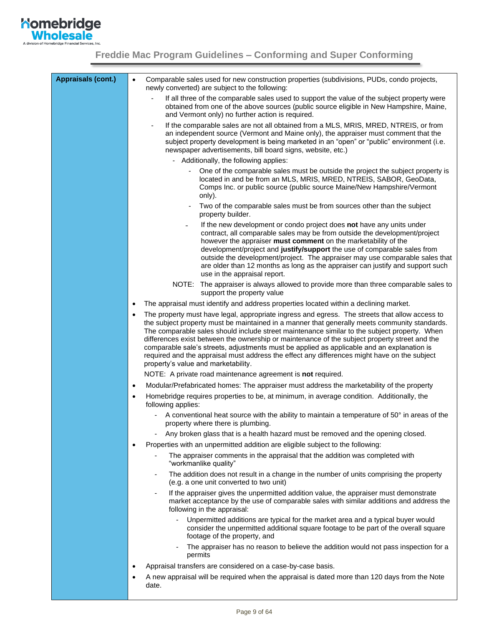

| <b>Appraisals (cont.)</b> | Comparable sales used for new construction properties (subdivisions, PUDs, condo projects,<br>$\bullet$<br>newly converted) are subject to the following:                                                                                                                                                                                                                                                                                                                                                                                                                                                                                          |  |  |  |  |
|---------------------------|----------------------------------------------------------------------------------------------------------------------------------------------------------------------------------------------------------------------------------------------------------------------------------------------------------------------------------------------------------------------------------------------------------------------------------------------------------------------------------------------------------------------------------------------------------------------------------------------------------------------------------------------------|--|--|--|--|
|                           | If all three of the comparable sales used to support the value of the subject property were<br>obtained from one of the above sources (public source eligible in New Hampshire, Maine,<br>and Vermont only) no further action is required.                                                                                                                                                                                                                                                                                                                                                                                                         |  |  |  |  |
|                           | If the comparable sales are not all obtained from a MLS, MRIS, MRED, NTREIS, or from<br>an independent source (Vermont and Maine only), the appraiser must comment that the<br>subject property development is being marketed in an "open" or "public" environment (i.e.<br>newspaper advertisements, bill board signs, website, etc.)                                                                                                                                                                                                                                                                                                             |  |  |  |  |
|                           | - Additionally, the following applies:                                                                                                                                                                                                                                                                                                                                                                                                                                                                                                                                                                                                             |  |  |  |  |
|                           | One of the comparable sales must be outside the project the subject property is<br>located in and be from an MLS, MRIS, MRED, NTREIS, SABOR, GeoData,<br>Comps Inc. or public source (public source Maine/New Hampshire/Vermont<br>only).                                                                                                                                                                                                                                                                                                                                                                                                          |  |  |  |  |
|                           | Two of the comparable sales must be from sources other than the subject<br>property builder.                                                                                                                                                                                                                                                                                                                                                                                                                                                                                                                                                       |  |  |  |  |
|                           | If the new development or condo project does not have any units under<br>contract, all comparable sales may be from outside the development/project<br>however the appraiser must comment on the marketability of the<br>development/project and justify/support the use of comparable sales from<br>outside the development/project. The appraiser may use comparable sales that<br>are older than 12 months as long as the appraiser can justify and support such<br>use in the appraisal report.                                                                                                                                                |  |  |  |  |
|                           | NOTE: The appraiser is always allowed to provide more than three comparable sales to<br>support the property value                                                                                                                                                                                                                                                                                                                                                                                                                                                                                                                                 |  |  |  |  |
|                           | The appraisal must identify and address properties located within a declining market.<br>$\bullet$                                                                                                                                                                                                                                                                                                                                                                                                                                                                                                                                                 |  |  |  |  |
|                           | The property must have legal, appropriate ingress and egress. The streets that allow access to<br>$\bullet$<br>the subject property must be maintained in a manner that generally meets community standards.<br>The comparable sales should include street maintenance similar to the subject property. When<br>differences exist between the ownership or maintenance of the subject property street and the<br>comparable sale's streets, adjustments must be applied as applicable and an explanation is<br>required and the appraisal must address the effect any differences might have on the subject<br>property's value and marketability. |  |  |  |  |
|                           | NOTE: A private road maintenance agreement is not required.                                                                                                                                                                                                                                                                                                                                                                                                                                                                                                                                                                                        |  |  |  |  |
|                           | Modular/Prefabricated homes: The appraiser must address the marketability of the property<br>$\bullet$                                                                                                                                                                                                                                                                                                                                                                                                                                                                                                                                             |  |  |  |  |
|                           | Homebridge requires properties to be, at minimum, in average condition. Additionally, the<br>$\bullet$<br>following applies:                                                                                                                                                                                                                                                                                                                                                                                                                                                                                                                       |  |  |  |  |
|                           | A conventional heat source with the ability to maintain a temperature of 50° in areas of the<br>property where there is plumbing.                                                                                                                                                                                                                                                                                                                                                                                                                                                                                                                  |  |  |  |  |
|                           | Any broken glass that is a health hazard must be removed and the opening closed.                                                                                                                                                                                                                                                                                                                                                                                                                                                                                                                                                                   |  |  |  |  |
|                           | Properties with an unpermitted addition are eligible subject to the following:<br>$\bullet$                                                                                                                                                                                                                                                                                                                                                                                                                                                                                                                                                        |  |  |  |  |
|                           | The appraiser comments in the appraisal that the addition was completed with<br>"workmanlike quality"                                                                                                                                                                                                                                                                                                                                                                                                                                                                                                                                              |  |  |  |  |
|                           | The addition does not result in a change in the number of units comprising the property<br>$\qquad \qquad \blacksquare$<br>(e.g. a one unit converted to two unit)                                                                                                                                                                                                                                                                                                                                                                                                                                                                                 |  |  |  |  |
|                           | If the appraiser gives the unpermitted addition value, the appraiser must demonstrate<br>market acceptance by the use of comparable sales with similar additions and address the<br>following in the appraisal:                                                                                                                                                                                                                                                                                                                                                                                                                                    |  |  |  |  |
|                           | Unpermitted additions are typical for the market area and a typical buyer would<br>consider the unpermitted additional square footage to be part of the overall square<br>footage of the property, and                                                                                                                                                                                                                                                                                                                                                                                                                                             |  |  |  |  |
|                           | The appraiser has no reason to believe the addition would not pass inspection for a<br>permits                                                                                                                                                                                                                                                                                                                                                                                                                                                                                                                                                     |  |  |  |  |
|                           | Appraisal transfers are considered on a case-by-case basis.<br>$\bullet$                                                                                                                                                                                                                                                                                                                                                                                                                                                                                                                                                                           |  |  |  |  |
|                           | A new appraisal will be required when the appraisal is dated more than 120 days from the Note<br>٠<br>date.                                                                                                                                                                                                                                                                                                                                                                                                                                                                                                                                        |  |  |  |  |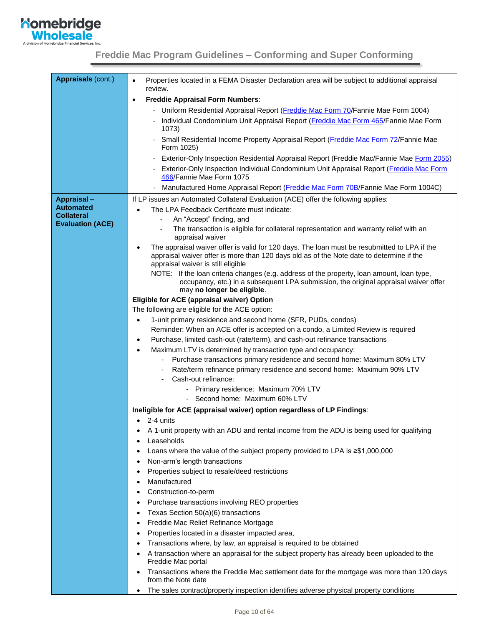

| Appraisals (cont.)      | Properties located in a FEMA Disaster Declaration area will be subject to additional appraisal<br>$\bullet$<br>review.                                                                                                         |
|-------------------------|--------------------------------------------------------------------------------------------------------------------------------------------------------------------------------------------------------------------------------|
|                         | <b>Freddie Appraisal Form Numbers:</b><br>$\bullet$                                                                                                                                                                            |
|                         | - Uniform Residential Appraisal Report (Freddie Mac Form 70/Fannie Mae Form 1004)                                                                                                                                              |
|                         | - Individual Condominium Unit Appraisal Report (Freddie Mac Form 465/Fannie Mae Form<br>1073)                                                                                                                                  |
|                         | - Small Residential Income Property Appraisal Report (Freddie Mac Form 72/Fannie Mae<br>Form 1025)                                                                                                                             |
|                         | Exterior-Only Inspection Residential Appraisal Report (Freddie Mac/Fannie Mae Form 2055)<br>۰                                                                                                                                  |
|                         | Exterior-Only Inspection Individual Condominium Unit Appraisal Report (Freddie Mac Form<br>466/Fannie Mae Form 1075                                                                                                            |
|                         | Manufactured Home Appraisal Report (Freddie Mac Form 70B/Fannie Mae Form 1004C)                                                                                                                                                |
| <b>Appraisal -</b>      | If LP issues an Automated Collateral Evaluation (ACE) offer the following applies:                                                                                                                                             |
| <b>Automated</b>        | The LPA Feedback Certificate must indicate:                                                                                                                                                                                    |
| Collateral              | An "Accept" finding, and                                                                                                                                                                                                       |
| <b>Evaluation (ACE)</b> | The transaction is eligible for collateral representation and warranty relief with an<br>appraisal waiver                                                                                                                      |
|                         | The appraisal waiver offer is valid for 120 days. The loan must be resubmitted to LPA if the<br>appraisal waiver offer is more than 120 days old as of the Note date to determine if the<br>appraisal waiver is still eligible |
|                         | NOTE: If the loan criteria changes (e.g. address of the property, loan amount, loan type,<br>occupancy, etc.) in a subsequent LPA submission, the original appraisal waiver offer<br>may no longer be eligible.                |
|                         | Eligible for ACE (appraisal waiver) Option                                                                                                                                                                                     |
|                         | The following are eligible for the ACE option:                                                                                                                                                                                 |
|                         | 1-unit primary residence and second home (SFR, PUDs, condos)                                                                                                                                                                   |
|                         | Reminder: When an ACE offer is accepted on a condo, a Limited Review is required                                                                                                                                               |
|                         | Purchase, limited cash-out (rate/term), and cash-out refinance transactions<br>$\bullet$                                                                                                                                       |
|                         | Maximum LTV is determined by transaction type and occupancy:<br>$\bullet$                                                                                                                                                      |
|                         | Purchase transactions primary residence and second home: Maximum 80% LTV                                                                                                                                                       |
|                         | Rate/term refinance primary residence and second home: Maximum 90% LTV                                                                                                                                                         |
|                         | Cash-out refinance:                                                                                                                                                                                                            |
|                         | - Primary residence: Maximum 70% LTV                                                                                                                                                                                           |
|                         | - Second home: Maximum 60% LTV                                                                                                                                                                                                 |
|                         | Ineligible for ACE (appraisal waiver) option regardless of LP Findings:                                                                                                                                                        |
|                         | $\bullet$ 2-4 units                                                                                                                                                                                                            |
|                         | A 1-unit property with an ADU and rental income from the ADU is being used for qualifying                                                                                                                                      |
|                         | Leaseholds                                                                                                                                                                                                                     |
|                         | Loans where the value of the subject property provided to LPA is $\geq$ \$1,000,000<br>Non-arm's length transactions                                                                                                           |
|                         | Properties subject to resale/deed restrictions                                                                                                                                                                                 |
|                         | Manufactured                                                                                                                                                                                                                   |
|                         | Construction-to-perm                                                                                                                                                                                                           |
|                         | Purchase transactions involving REO properties<br>$\bullet$                                                                                                                                                                    |
|                         | Texas Section 50(a)(6) transactions                                                                                                                                                                                            |
|                         | Freddie Mac Relief Refinance Mortgage                                                                                                                                                                                          |
|                         | Properties located in a disaster impacted area,                                                                                                                                                                                |
|                         | Transactions where, by law, an appraisal is required to be obtained                                                                                                                                                            |
|                         | A transaction where an appraisal for the subject property has already been uploaded to the                                                                                                                                     |
|                         | Freddie Mac portal                                                                                                                                                                                                             |
|                         | Transactions where the Freddie Mac settlement date for the mortgage was more than 120 days<br>from the Note date                                                                                                               |
|                         | The sales contract/property inspection identifies adverse physical property conditions                                                                                                                                         |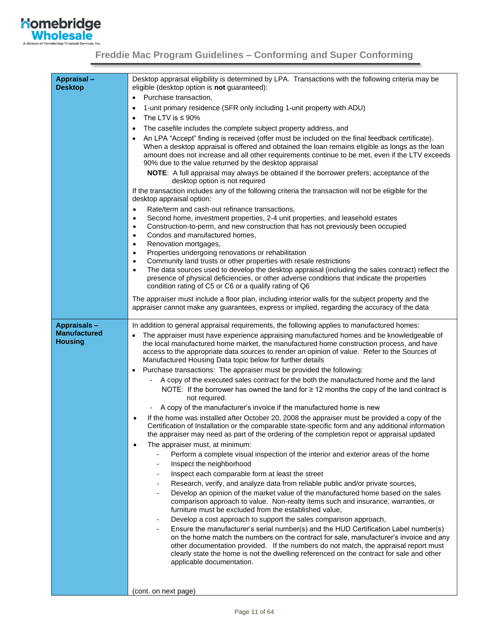

<span id="page-10-0"></span>

| Appraisal-<br><b>Desktop</b>          | Desktop appraisal eligibility is determined by LPA. Transactions with the following criteria may be<br>eligible (desktop option is not guaranteed):                                                                                                                                                                                                                                                                                                              |
|---------------------------------------|------------------------------------------------------------------------------------------------------------------------------------------------------------------------------------------------------------------------------------------------------------------------------------------------------------------------------------------------------------------------------------------------------------------------------------------------------------------|
|                                       | Purchase transaction,<br>$\bullet$                                                                                                                                                                                                                                                                                                                                                                                                                               |
|                                       | 1-unit primary residence (SFR only including 1-unit property with ADU)<br>$\bullet$                                                                                                                                                                                                                                                                                                                                                                              |
|                                       | The LTV is $\leq 90\%$<br>$\bullet$                                                                                                                                                                                                                                                                                                                                                                                                                              |
|                                       | The casefile includes the complete subject property address, and<br>$\bullet$                                                                                                                                                                                                                                                                                                                                                                                    |
|                                       | An LPA "Accept" finding is received (offer must be included on the final feedback certificate).<br>٠<br>When a desktop appraisal is offered and obtained the loan remains eligible as longs as the loan<br>amount does not increase and all other requirements continue to be met, even if the LTV exceeds<br>90% due to the value returned by the desktop appraisal<br>NOTE: A full appraisal may always be obtained if the borrower prefers; acceptance of the |
|                                       | desktop option is not required<br>If the transaction includes any of the following criteria the transaction will not be eligible for the                                                                                                                                                                                                                                                                                                                         |
|                                       | desktop appraisal option:                                                                                                                                                                                                                                                                                                                                                                                                                                        |
|                                       | Rate/term and cash-out refinance transactions,<br>$\bullet$                                                                                                                                                                                                                                                                                                                                                                                                      |
|                                       | Second home, investment properties, 2-4 unit properties, and leasehold estates<br>$\bullet$<br>Construction-to-perm, and new construction that has not previously been occupied<br>$\bullet$                                                                                                                                                                                                                                                                     |
|                                       | Condos and manufactured homes,<br>$\bullet$                                                                                                                                                                                                                                                                                                                                                                                                                      |
|                                       | Renovation mortgages,<br>$\bullet$                                                                                                                                                                                                                                                                                                                                                                                                                               |
|                                       | Properties undergoing renovations or rehabilitation<br>$\bullet$                                                                                                                                                                                                                                                                                                                                                                                                 |
|                                       | Community land trusts or other properties with resale restrictions<br>$\bullet$                                                                                                                                                                                                                                                                                                                                                                                  |
|                                       | The data sources used to develop the desktop appraisal (including the sales contract) reflect the<br>$\bullet$<br>presence of physical deficiencies, or other adverse conditions that indicate the properties<br>condition rating of C5 or C6 or a qualify rating of Q6                                                                                                                                                                                          |
|                                       |                                                                                                                                                                                                                                                                                                                                                                                                                                                                  |
|                                       | The appraiser must include a floor plan, including interior walls for the subject property and the<br>appraiser cannot make any guarantees, express or implied, regarding the accuracy of the data                                                                                                                                                                                                                                                               |
| <b>Appraisals-</b>                    | In addition to general appraisal requirements, the following applies to manufactured homes:                                                                                                                                                                                                                                                                                                                                                                      |
| <b>Manufactured</b><br><b>Housing</b> | The appraiser must have experience appraising manufactured homes and be knowledgeable of<br>the local manufactured home market, the manufactured home construction process, and have<br>access to the appropriate data sources to render an opinion of value. Refer to the Sources of<br>Manufactured Housing Data topic below for further details                                                                                                               |
|                                       | Purchase transactions: The appraiser must be provided the following:<br>٠                                                                                                                                                                                                                                                                                                                                                                                        |
|                                       | A copy of the executed sales contract for the both the manufactured home and the land                                                                                                                                                                                                                                                                                                                                                                            |
|                                       | NOTE: If the borrower has owned the land for $\geq 12$ months the copy of the land contract is<br>not required.                                                                                                                                                                                                                                                                                                                                                  |
|                                       | A copy of the manufacturer's invoice if the manufactured home is new                                                                                                                                                                                                                                                                                                                                                                                             |
|                                       | If the home was installed after October 20, 2008 the appraiser must be provided a copy of the<br>٠<br>Certification of Installation or the comparable state-specific form and any additional information<br>the appraiser may need as part of the ordering of the completion repot or appraisal updated                                                                                                                                                          |
|                                       | The appraiser must, at minimum:<br>٠                                                                                                                                                                                                                                                                                                                                                                                                                             |
|                                       | Perform a complete visual inspection of the interior and exterior areas of the home                                                                                                                                                                                                                                                                                                                                                                              |
|                                       | Inspect the neighborhood                                                                                                                                                                                                                                                                                                                                                                                                                                         |
|                                       | Inspect each comparable form at least the street                                                                                                                                                                                                                                                                                                                                                                                                                 |
|                                       | Research, verify, and analyze data from reliable public and/or private sources,                                                                                                                                                                                                                                                                                                                                                                                  |
|                                       | Develop an opinion of the market value of the manufactured home based on the sales<br>comparison approach to value. Non-realty items such and insurance, warranties, or<br>furniture must be excluded from the established value,                                                                                                                                                                                                                                |
|                                       | Develop a cost approach to support the sales comparison approach,                                                                                                                                                                                                                                                                                                                                                                                                |
|                                       | Ensure the manufacturer's serial number(s) and the HUD Certification Label number(s)                                                                                                                                                                                                                                                                                                                                                                             |
|                                       | on the home match the numbers on the contract for sale, manufacturer's invoice and any<br>other documentation provided. If the numbers do not match, the appraisal report must<br>clearly state the home is not the dwelling referenced on the contract for sale and other<br>applicable documentation.                                                                                                                                                          |
|                                       |                                                                                                                                                                                                                                                                                                                                                                                                                                                                  |
|                                       |                                                                                                                                                                                                                                                                                                                                                                                                                                                                  |
|                                       | (cont. on next page)                                                                                                                                                                                                                                                                                                                                                                                                                                             |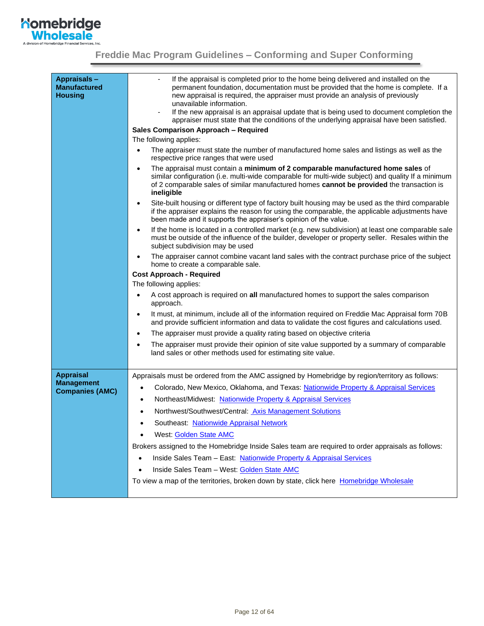

| Appraisals-<br><b>Manufactured</b><br><b>Housing</b> | If the appraisal is completed prior to the home being delivered and installed on the<br>permanent foundation, documentation must be provided that the home is complete. If a<br>new appraisal is required, the appraiser must provide an analysis of previously<br>unavailable information.<br>If the new appraisal is an appraisal update that is being used to document completion the<br>$\overline{\phantom{a}}$<br>appraiser must state that the conditions of the underlying appraisal have been satisfied. |
|------------------------------------------------------|-------------------------------------------------------------------------------------------------------------------------------------------------------------------------------------------------------------------------------------------------------------------------------------------------------------------------------------------------------------------------------------------------------------------------------------------------------------------------------------------------------------------|
|                                                      | Sales Comparison Approach - Required                                                                                                                                                                                                                                                                                                                                                                                                                                                                              |
|                                                      | The following applies:                                                                                                                                                                                                                                                                                                                                                                                                                                                                                            |
|                                                      | The appraiser must state the number of manufactured home sales and listings as well as the<br>$\bullet$<br>respective price ranges that were used                                                                                                                                                                                                                                                                                                                                                                 |
|                                                      | The appraisal must contain a minimum of 2 comparable manufactured home sales of<br>$\bullet$<br>similar configuration (i.e. multi-wide comparable for multi-wide subject) and quality If a minimum<br>of 2 comparable sales of similar manufactured homes cannot be provided the transaction is<br>ineligible                                                                                                                                                                                                     |
|                                                      | Site-built housing or different type of factory built housing may be used as the third comparable<br>$\bullet$<br>if the appraiser explains the reason for using the comparable, the applicable adjustments have<br>been made and it supports the appraiser's opinion of the value.                                                                                                                                                                                                                               |
|                                                      | If the home is located in a controlled market (e.g. new subdivision) at least one comparable sale<br>$\bullet$<br>must be outside of the influence of the builder, developer or property seller. Resales within the<br>subject subdivision may be used                                                                                                                                                                                                                                                            |
|                                                      | The appraiser cannot combine vacant land sales with the contract purchase price of the subject<br>$\bullet$<br>home to create a comparable sale.                                                                                                                                                                                                                                                                                                                                                                  |
|                                                      | <b>Cost Approach - Required</b>                                                                                                                                                                                                                                                                                                                                                                                                                                                                                   |
|                                                      | The following applies:                                                                                                                                                                                                                                                                                                                                                                                                                                                                                            |
|                                                      | A cost approach is required on all manufactured homes to support the sales comparison<br>approach.                                                                                                                                                                                                                                                                                                                                                                                                                |
|                                                      | It must, at minimum, include all of the information required on Freddie Mac Appraisal form 70B<br>$\bullet$<br>and provide sufficient information and data to validate the cost figures and calculations used.                                                                                                                                                                                                                                                                                                    |
|                                                      | The appraiser must provide a quality rating based on objective criteria<br>$\bullet$                                                                                                                                                                                                                                                                                                                                                                                                                              |
|                                                      | The appraiser must provide their opinion of site value supported by a summary of comparable<br>$\bullet$<br>land sales or other methods used for estimating site value.                                                                                                                                                                                                                                                                                                                                           |
| <b>Appraisal</b>                                     | Appraisals must be ordered from the AMC assigned by Homebridge by region/territory as follows:                                                                                                                                                                                                                                                                                                                                                                                                                    |
| <b>Management</b>                                    | Colorado, New Mexico, Oklahoma, and Texas: Nationwide Property & Appraisal Services<br>٠                                                                                                                                                                                                                                                                                                                                                                                                                          |
| <b>Companies (AMC)</b>                               | Northeast/Midwest: Nationwide Property & Appraisal Services                                                                                                                                                                                                                                                                                                                                                                                                                                                       |
|                                                      | Northwest/Southwest/Central: Axis Management Solutions                                                                                                                                                                                                                                                                                                                                                                                                                                                            |
|                                                      | Southeast: Nationwide Appraisal Network                                                                                                                                                                                                                                                                                                                                                                                                                                                                           |
|                                                      | West: Golden State AMC                                                                                                                                                                                                                                                                                                                                                                                                                                                                                            |
|                                                      | $\bullet$<br>Brokers assigned to the Homebridge Inside Sales team are required to order appraisals as follows:                                                                                                                                                                                                                                                                                                                                                                                                    |
|                                                      |                                                                                                                                                                                                                                                                                                                                                                                                                                                                                                                   |
|                                                      | Inside Sales Team - East: Nationwide Property & Appraisal Services                                                                                                                                                                                                                                                                                                                                                                                                                                                |
|                                                      | Inside Sales Team - West: Golden State AMC                                                                                                                                                                                                                                                                                                                                                                                                                                                                        |
|                                                      | To view a map of the territories, broken down by state, click here Homebridge Wholesale                                                                                                                                                                                                                                                                                                                                                                                                                           |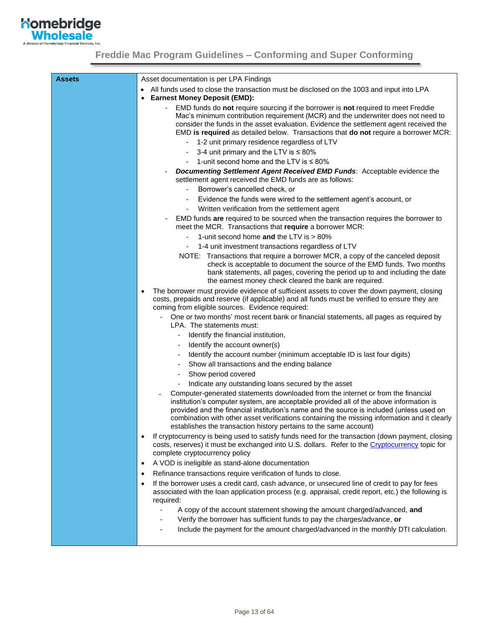

| <b>Assets</b> | Asset documentation is per LPA Findings                                                                                                                                                                                                                                                                                                                                                                                                     |
|---------------|---------------------------------------------------------------------------------------------------------------------------------------------------------------------------------------------------------------------------------------------------------------------------------------------------------------------------------------------------------------------------------------------------------------------------------------------|
|               | All funds used to close the transaction must be disclosed on the 1003 and input into LPA<br><b>Earnest Money Deposit (EMD):</b>                                                                                                                                                                                                                                                                                                             |
|               | EMD funds do not require sourcing if the borrower is not required to meet Freddie<br>Mac's minimum contribution requirement (MCR) and the underwriter does not need to<br>consider the funds in the asset evaluation. Evidence the settlement agent received the<br>EMD is required as detailed below. Transactions that do not require a borrower MCR:                                                                                     |
|               | - 1-2 unit primary residence regardless of LTV                                                                                                                                                                                                                                                                                                                                                                                              |
|               | 3-4 unit primary and the LTV is $\leq 80\%$                                                                                                                                                                                                                                                                                                                                                                                                 |
|               | 1-unit second home and the LTV is $\leq 80\%$                                                                                                                                                                                                                                                                                                                                                                                               |
|               | <b>Documenting Settlement Agent Received EMD Funds:</b> Acceptable evidence the<br>settlement agent received the EMD funds are as follows:                                                                                                                                                                                                                                                                                                  |
|               | Borrower's cancelled check, or<br>-                                                                                                                                                                                                                                                                                                                                                                                                         |
|               | Evidence the funds were wired to the settlement agent's account, or<br>$\overline{\phantom{0}}$                                                                                                                                                                                                                                                                                                                                             |
|               | Written verification from the settlement agent<br>$\overline{\phantom{a}}$                                                                                                                                                                                                                                                                                                                                                                  |
|               | EMD funds are required to be sourced when the transaction requires the borrower to<br>meet the MCR. Transactions that require a borrower MCR:                                                                                                                                                                                                                                                                                               |
|               | 1-unit second home and the LTV is > 80%                                                                                                                                                                                                                                                                                                                                                                                                     |
|               | 1-4 unit investment transactions regardless of LTV                                                                                                                                                                                                                                                                                                                                                                                          |
|               | NOTE: Transactions that require a borrower MCR, a copy of the canceled deposit<br>check is acceptable to document the source of the EMD funds. Two months<br>bank statements, all pages, covering the period up to and including the date<br>the earnest money check cleared the bank are required.                                                                                                                                         |
|               | The borrower must provide evidence of sufficient assets to cover the down payment, closing<br>$\bullet$<br>costs, prepaids and reserve (if applicable) and all funds must be verified to ensure they are<br>coming from eligible sources. Evidence required:                                                                                                                                                                                |
|               | One or two months' most recent bank or financial statements, all pages as required by<br>LPA. The statements must:                                                                                                                                                                                                                                                                                                                          |
|               | Identify the financial institution,                                                                                                                                                                                                                                                                                                                                                                                                         |
|               | Identify the account owner(s)                                                                                                                                                                                                                                                                                                                                                                                                               |
|               | Identify the account number (minimum acceptable ID is last four digits)                                                                                                                                                                                                                                                                                                                                                                     |
|               | Show all transactions and the ending balance                                                                                                                                                                                                                                                                                                                                                                                                |
|               | Show period covered<br>$\overline{\phantom{a}}$                                                                                                                                                                                                                                                                                                                                                                                             |
|               | Indicate any outstanding loans secured by the asset                                                                                                                                                                                                                                                                                                                                                                                         |
|               | Computer-generated statements downloaded from the internet or from the financial<br>institution's computer system, are acceptable provided all of the above information is<br>provided and the financial institution's name and the source is included (unless used on<br>combination with other asset verifications containing the missing information and it clearly<br>establishes the transaction history pertains to the same account) |
|               | If cryptocurrency is being used to satisfy funds need for the transaction (down payment, closing<br>costs, reserves) it must be exchanged into U.S. dollars. Refer to the Cryptocurrency topic for<br>complete cryptocurrency policy                                                                                                                                                                                                        |
|               | A VOD is ineligible as stand-alone documentation<br>$\bullet$                                                                                                                                                                                                                                                                                                                                                                               |
|               | Refinance transactions require verification of funds to close.<br>٠                                                                                                                                                                                                                                                                                                                                                                         |
|               | If the borrower uses a credit card, cash advance, or unsecured line of credit to pay for fees<br>associated with the loan application process (e.g. appraisal, credit report, etc.) the following is<br>required:                                                                                                                                                                                                                           |
|               | A copy of the account statement showing the amount charged/advanced, and                                                                                                                                                                                                                                                                                                                                                                    |
|               | Verify the borrower has sufficient funds to pay the charges/advance, or                                                                                                                                                                                                                                                                                                                                                                     |
|               | Include the payment for the amount charged/advanced in the monthly DTI calculation.                                                                                                                                                                                                                                                                                                                                                         |
|               |                                                                                                                                                                                                                                                                                                                                                                                                                                             |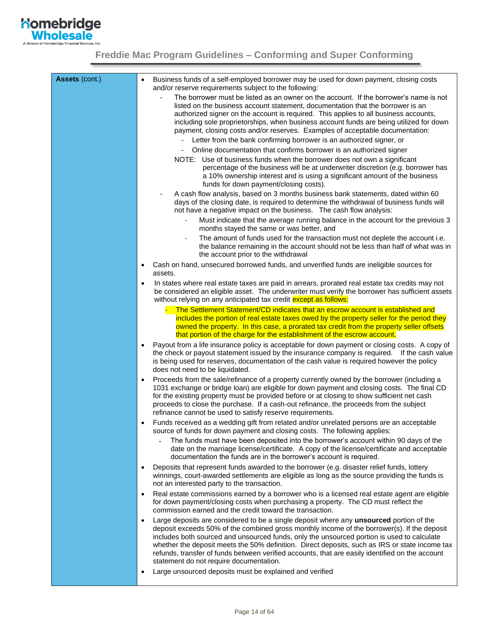

| <b>Assets (cont.)</b> | Business funds of a self-employed borrower may be used for down payment, closing costs<br>and/or reserve requirements subject to the following:<br>The borrower must be listed as an owner on the account. If the borrower's name is not<br>listed on the business account statement, documentation that the borrower is an<br>authorized signer on the account is required. This applies to all business accounts,<br>including sole proprietorships, when business account funds are being utilized for down<br>payment, closing costs and/or reserves. Examples of acceptable documentation:<br>- Letter from the bank confirming borrower is an authorized signer, or<br>Online documentation that confirms borrower is an authorized signer<br>NOTE: Use of business funds when the borrower does not own a significant<br>percentage of the business will be at underwriter discretion (e.g. borrower has<br>a 10% ownership interest and is using a significant amount of the business<br>funds for down payment/closing costs).<br>A cash flow analysis, based on 3 months business bank statements, dated within 60 |
|-----------------------|------------------------------------------------------------------------------------------------------------------------------------------------------------------------------------------------------------------------------------------------------------------------------------------------------------------------------------------------------------------------------------------------------------------------------------------------------------------------------------------------------------------------------------------------------------------------------------------------------------------------------------------------------------------------------------------------------------------------------------------------------------------------------------------------------------------------------------------------------------------------------------------------------------------------------------------------------------------------------------------------------------------------------------------------------------------------------------------------------------------------------|
|                       | days of the closing date, is required to determine the withdrawal of business funds will<br>not have a negative impact on the business. The cash flow analysis:<br>Must indicate that the average running balance in the account for the previous 3<br>months stayed the same or was better, and<br>The amount of funds used for the transaction must not deplete the account i.e.<br>the balance remaining in the account should not be less than half of what was in<br>the account prior to the withdrawal                                                                                                                                                                                                                                                                                                                                                                                                                                                                                                                                                                                                                |
|                       | Cash on hand, unsecured borrowed funds, and unverified funds are ineligible sources for<br>$\bullet$<br>assets.<br>In states where real estate taxes are paid in arrears, prorated real estate tax credits may not<br>be considered an eligible asset. The underwriter must verify the borrower has sufficient assets<br>without relying on any anticipated tax credit except as follows:                                                                                                                                                                                                                                                                                                                                                                                                                                                                                                                                                                                                                                                                                                                                    |
|                       | The Settlement Statement/CD indicates that an escrow account is established and<br>includes the portion of real estate taxes owed by the property seller for the period they<br>owned the property. In this case, a prorated tax credit from the property seller offsets<br>that portion of the charge for the establishment of the escrow account.<br>Payout from a life insurance policy is acceptable for down payment or closing costs. A copy of                                                                                                                                                                                                                                                                                                                                                                                                                                                                                                                                                                                                                                                                        |
|                       | the check or payout statement issued by the insurance company is required. If the cash value<br>is being used for reserves, documentation of the cash value is required however the policy<br>does not need to be liquidated.<br>Proceeds from the sale/refinance of a property currently owned by the borrower (including a<br>٠<br>1031 exchange or bridge loan) are eligible for down payment and closing costs. The final CD<br>for the existing property must be provided before or at closing to show sufficient net cash                                                                                                                                                                                                                                                                                                                                                                                                                                                                                                                                                                                              |
|                       | proceeds to close the purchase. If a cash-out refinance, the proceeds from the subject<br>refinance cannot be used to satisfy reserve requirements.<br>Funds received as a wedding gift from related and/or unrelated persons are an acceptable<br>source of funds for down payment and closing costs. The following applies:<br>The funds must have been deposited into the borrower's account within 90 days of the<br>date on the marriage license/certificate. A copy of the license/certificate and acceptable<br>documentation the funds are in the borrower's account is required.                                                                                                                                                                                                                                                                                                                                                                                                                                                                                                                                    |
|                       | Deposits that represent funds awarded to the borrower (e.g. disaster relief funds, lottery<br>$\bullet$<br>winnings, court-awarded settlements are eligible as long as the source providing the funds is<br>not an interested party to the transaction.<br>Real estate commissions earned by a borrower who is a licensed real estate agent are eligible<br>$\bullet$                                                                                                                                                                                                                                                                                                                                                                                                                                                                                                                                                                                                                                                                                                                                                        |
|                       | for down payment/closing costs when purchasing a property. The CD must reflect the<br>commission earned and the credit toward the transaction.<br>Large deposits are considered to be a single deposit where any unsourced portion of the<br>٠<br>deposit exceeds 50% of the combined gross monthly income of the borrower(s). If the deposit<br>includes both sourced and unsourced funds, only the unsourced portion is used to calculate<br>whether the deposit meets the 50% definition. Direct deposits, such as IRS or state income tax<br>refunds, transfer of funds between verified accounts, that are easily identified on the account                                                                                                                                                                                                                                                                                                                                                                                                                                                                             |
|                       | statement do not require documentation.<br>Large unsourced deposits must be explained and verified<br>٠                                                                                                                                                                                                                                                                                                                                                                                                                                                                                                                                                                                                                                                                                                                                                                                                                                                                                                                                                                                                                      |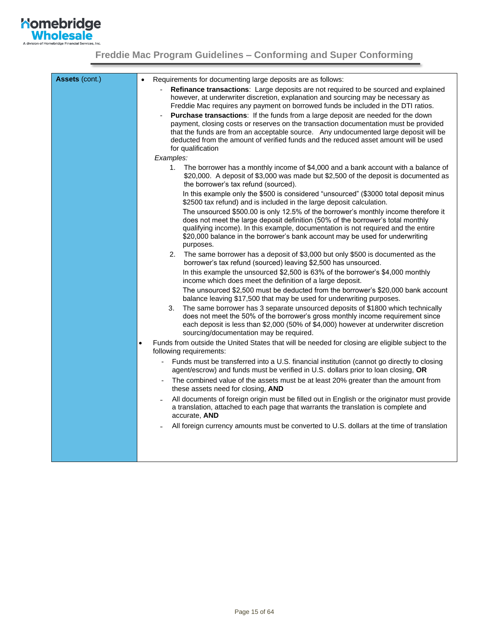

| Assets (cont.) | Requirements for documenting large deposits are as follows:<br>$\bullet$                                                                                                                                                                                                                                                                                                      |
|----------------|-------------------------------------------------------------------------------------------------------------------------------------------------------------------------------------------------------------------------------------------------------------------------------------------------------------------------------------------------------------------------------|
|                | Refinance transactions: Large deposits are not required to be sourced and explained<br>however, at underwriter discretion, explanation and sourcing may be necessary as<br>Freddie Mac requires any payment on borrowed funds be included in the DTI ratios.                                                                                                                  |
|                | Purchase transactions: If the funds from a large deposit are needed for the down<br>payment, closing costs or reserves on the transaction documentation must be provided<br>that the funds are from an acceptable source. Any undocumented large deposit will be<br>deducted from the amount of verified funds and the reduced asset amount will be used<br>for qualification |
|                | Examples:                                                                                                                                                                                                                                                                                                                                                                     |
|                | The borrower has a monthly income of \$4,000 and a bank account with a balance of<br>1.<br>\$20,000. A deposit of \$3,000 was made but \$2,500 of the deposit is documented as<br>the borrower's tax refund (sourced).                                                                                                                                                        |
|                | In this example only the \$500 is considered "unsourced" (\$3000 total deposit minus<br>\$2500 tax refund) and is included in the large deposit calculation.                                                                                                                                                                                                                  |
|                | The unsourced \$500.00 is only 12.5% of the borrower's monthly income therefore it<br>does not meet the large deposit definition (50% of the borrower's total monthly<br>qualifying income). In this example, documentation is not required and the entire<br>\$20,000 balance in the borrower's bank account may be used for underwriting<br>purposes.                       |
|                | The same borrower has a deposit of \$3,000 but only \$500 is documented as the<br>2.<br>borrower's tax refund (sourced) leaving \$2,500 has unsourced.                                                                                                                                                                                                                        |
|                | In this example the unsourced \$2,500 is 63% of the borrower's \$4,000 monthly<br>income which does meet the definition of a large deposit.                                                                                                                                                                                                                                   |
|                | The unsourced \$2,500 must be deducted from the borrower's \$20,000 bank account<br>balance leaving \$17,500 that may be used for underwriting purposes.                                                                                                                                                                                                                      |
|                | The same borrower has 3 separate unsourced deposits of \$1800 which technically<br>3.<br>does not meet the 50% of the borrower's gross monthly income requirement since<br>each deposit is less than \$2,000 (50% of \$4,000) however at underwriter discretion<br>sourcing/documentation may be required.                                                                    |
|                | Funds from outside the United States that will be needed for closing are eligible subject to the<br>$\bullet$<br>following requirements:                                                                                                                                                                                                                                      |
|                | Funds must be transferred into a U.S. financial institution (cannot go directly to closing<br>agent/escrow) and funds must be verified in U.S. dollars prior to loan closing, OR                                                                                                                                                                                              |
|                | The combined value of the assets must be at least 20% greater than the amount from<br>these assets need for closing, AND                                                                                                                                                                                                                                                      |
|                | All documents of foreign origin must be filled out in English or the originator must provide<br>a translation, attached to each page that warrants the translation is complete and<br>accurate, AND                                                                                                                                                                           |
|                | All foreign currency amounts must be converted to U.S. dollars at the time of translation                                                                                                                                                                                                                                                                                     |
|                |                                                                                                                                                                                                                                                                                                                                                                               |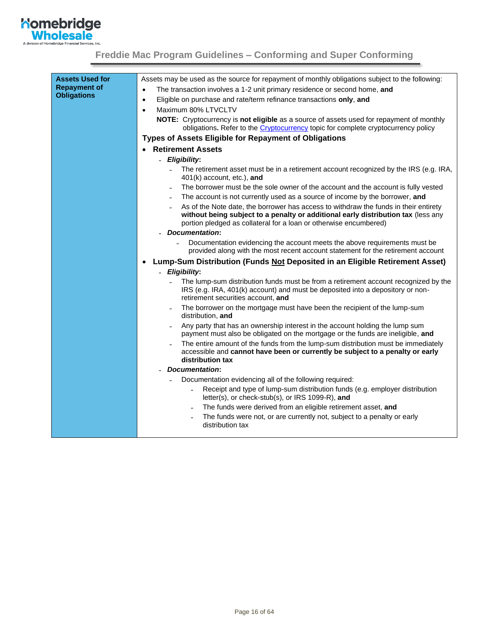

<span id="page-15-0"></span>

| <b>Assets Used for</b><br><b>Repayment of</b> | Assets may be used as the source for repayment of monthly obligations subject to the following:                                                                                                                                                |
|-----------------------------------------------|------------------------------------------------------------------------------------------------------------------------------------------------------------------------------------------------------------------------------------------------|
| <b>Obligations</b>                            | The transaction involves a 1-2 unit primary residence or second home, and<br>$\bullet$                                                                                                                                                         |
|                                               | Eligible on purchase and rate/term refinance transactions only, and<br>$\bullet$                                                                                                                                                               |
|                                               | Maximum 80% LTVCLTV<br>$\bullet$                                                                                                                                                                                                               |
|                                               | NOTE: Cryptocurrency is not eligible as a source of assets used for repayment of monthly<br>obligations. Refer to the <i>Cryptocurrency</i> topic for complete cryptocurrency policy                                                           |
|                                               | <b>Types of Assets Eligible for Repayment of Obligations</b>                                                                                                                                                                                   |
|                                               | <b>Retirement Assets</b><br>$\bullet$                                                                                                                                                                                                          |
|                                               | - Eligibility:                                                                                                                                                                                                                                 |
|                                               | The retirement asset must be in a retirement account recognized by the IRS (e.g. IRA,<br>401(k) account, etc.), and                                                                                                                            |
|                                               | The borrower must be the sole owner of the account and the account is fully vested                                                                                                                                                             |
|                                               | The account is not currently used as a source of income by the borrower, and                                                                                                                                                                   |
|                                               | As of the Note date, the borrower has access to withdraw the funds in their entirety<br>without being subject to a penalty or additional early distribution tax (less any<br>portion pledged as collateral for a loan or otherwise encumbered) |
|                                               | <b>Documentation:</b>                                                                                                                                                                                                                          |
|                                               | Documentation evidencing the account meets the above requirements must be<br>provided along with the most recent account statement for the retirement account                                                                                  |
|                                               | Lump-Sum Distribution (Funds Not Deposited in an Eligible Retirement Asset)<br>$\bullet$                                                                                                                                                       |
|                                               | - Eligibility:                                                                                                                                                                                                                                 |
|                                               | The lump-sum distribution funds must be from a retirement account recognized by the<br>IRS (e.g. IRA, 401(k) account) and must be deposited into a depository or non-<br>retirement securities account. and                                    |
|                                               | The borrower on the mortgage must have been the recipient of the lump-sum<br>distribution, and                                                                                                                                                 |
|                                               | Any party that has an ownership interest in the account holding the lump sum<br>payment must also be obligated on the mortgage or the funds are ineligible, and                                                                                |
|                                               | The entire amount of the funds from the lump-sum distribution must be immediately<br>accessible and cannot have been or currently be subject to a penalty or early<br>distribution tax                                                         |
|                                               | <b>Documentation:</b>                                                                                                                                                                                                                          |
|                                               | Documentation evidencing all of the following required:                                                                                                                                                                                        |
|                                               | Receipt and type of lump-sum distribution funds (e.g. employer distribution<br>letter(s), or check-stub(s), or IRS 1099-R), and                                                                                                                |
|                                               | The funds were derived from an eligible retirement asset, and                                                                                                                                                                                  |
|                                               | The funds were not, or are currently not, subject to a penalty or early<br>distribution tax                                                                                                                                                    |
|                                               |                                                                                                                                                                                                                                                |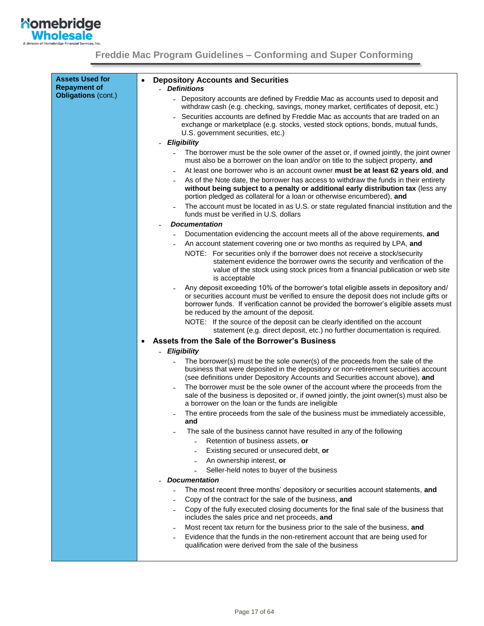

| <b>Assets Used for</b><br><b>Repayment of</b> | <b>Depository Accounts and Securities</b><br>- Definitions                                                                                                                                                                                                                                                           |
|-----------------------------------------------|----------------------------------------------------------------------------------------------------------------------------------------------------------------------------------------------------------------------------------------------------------------------------------------------------------------------|
| Obligations (cont.)                           | - Depository accounts are defined by Freddie Mac as accounts used to deposit and<br>withdraw cash (e.g. checking, savings, money market, certificates of deposit, etc.)                                                                                                                                              |
|                                               | Securities accounts are defined by Freddie Mac as accounts that are traded on an<br>exchange or marketplace (e.g. stocks, vested stock options, bonds, mutual funds,<br>U.S. government securities, etc.)                                                                                                            |
|                                               | <b>Eligibility</b><br>$\blacksquare$                                                                                                                                                                                                                                                                                 |
|                                               | The borrower must be the sole owner of the asset or, if owned jointly, the joint owner<br>$\blacksquare$<br>must also be a borrower on the loan and/or on title to the subject property, and                                                                                                                         |
|                                               | At least one borrower who is an account owner must be at least 62 years old, and                                                                                                                                                                                                                                     |
|                                               | As of the Note date, the borrower has access to withdraw the funds in their entirety<br>without being subject to a penalty or additional early distribution tax (less any<br>portion pledged as collateral for a loan or otherwise encumbered), and                                                                  |
|                                               | The account must be located in as U.S. or state regulated financial institution and the<br>funds must be verified in U.S. dollars                                                                                                                                                                                    |
|                                               | <b>Documentation</b>                                                                                                                                                                                                                                                                                                 |
|                                               | Documentation evidencing the account meets all of the above requirements, and                                                                                                                                                                                                                                        |
|                                               | An account statement covering one or two months as required by LPA, and                                                                                                                                                                                                                                              |
|                                               | NOTE: For securities only if the borrower does not receive a stock/security<br>statement evidence the borrower owns the security and verification of the<br>value of the stock using stock prices from a financial publication or web site<br>is acceptable                                                          |
|                                               | Any deposit exceeding 10% of the borrower's total eligible assets in depository and/<br>or securities account must be verified to ensure the deposit does not include gifts or<br>borrower funds. If verification cannot be provided the borrower's eligible assets must<br>be reduced by the amount of the deposit. |
|                                               | NOTE: If the source of the deposit can be clearly identified on the account<br>statement (e.g. direct deposit, etc.) no further documentation is required.                                                                                                                                                           |
|                                               | Assets from the Sale of the Borrower's Business<br>٠                                                                                                                                                                                                                                                                 |
|                                               | <b>Eligibility</b>                                                                                                                                                                                                                                                                                                   |
|                                               | The borrower(s) must be the sole owner(s) of the proceeds from the sale of the<br>business that were deposited in the depository or non-retirement securities account<br>(see definitions under Depository Accounts and Securities account above), and                                                               |
|                                               | The borrower must be the sole owner of the account where the proceeds from the<br>sale of the business is deposited or, if owned jointly, the joint owner(s) must also be<br>a borrower on the loan or the funds are ineligible                                                                                      |
|                                               | The entire proceeds from the sale of the business must be immediately accessible,<br>and                                                                                                                                                                                                                             |
|                                               | The sale of the business cannot have resulted in any of the following                                                                                                                                                                                                                                                |
|                                               | Retention of business assets, or                                                                                                                                                                                                                                                                                     |
|                                               | Existing secured or unsecured debt, or                                                                                                                                                                                                                                                                               |
|                                               | An ownership interest, or                                                                                                                                                                                                                                                                                            |
|                                               | Seller-held notes to buyer of the business<br><b>Documentation</b>                                                                                                                                                                                                                                                   |
|                                               | The most recent three months' depository or securities account statements, and                                                                                                                                                                                                                                       |
|                                               | Copy of the contract for the sale of the business, and                                                                                                                                                                                                                                                               |
|                                               | Copy of the fully executed closing documents for the final sale of the business that<br>includes the sales price and net proceeds, and                                                                                                                                                                               |
|                                               | Most recent tax return for the business prior to the sale of the business, and                                                                                                                                                                                                                                       |
|                                               | Evidence that the funds in the non-retirement account that are being used for<br>qualification were derived from the sale of the business                                                                                                                                                                            |
|                                               |                                                                                                                                                                                                                                                                                                                      |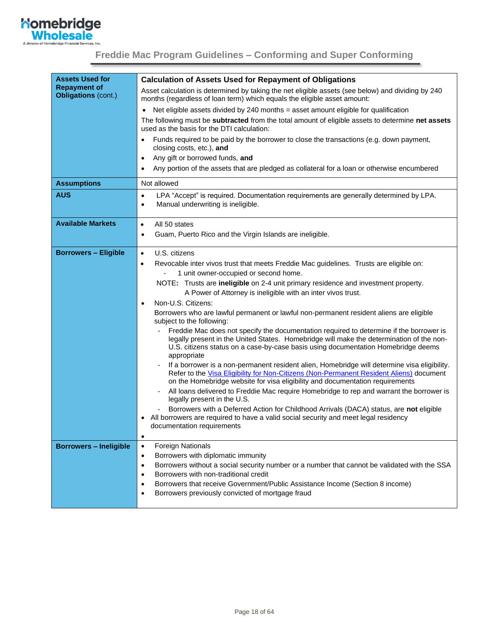

| <b>Assets Used for</b>                            | <b>Calculation of Assets Used for Repayment of Obligations</b>                                                                                                                                                                                                                          |
|---------------------------------------------------|-----------------------------------------------------------------------------------------------------------------------------------------------------------------------------------------------------------------------------------------------------------------------------------------|
| <b>Repayment of</b><br><b>Obligations (cont.)</b> | Asset calculation is determined by taking the net eligible assets (see below) and dividing by 240<br>months (regardless of loan term) which equals the eligible asset amount:                                                                                                           |
|                                                   | Net eligible assets divided by 240 months = asset amount eligible for qualification                                                                                                                                                                                                     |
|                                                   | The following must be subtracted from the total amount of eligible assets to determine net assets<br>used as the basis for the DTI calculation:                                                                                                                                         |
|                                                   | Funds required to be paid by the borrower to close the transactions (e.g. down payment,<br>$\bullet$<br>closing costs, etc.), and                                                                                                                                                       |
|                                                   | Any gift or borrowed funds, and<br>$\bullet$                                                                                                                                                                                                                                            |
|                                                   | Any portion of the assets that are pledged as collateral for a loan or otherwise encumbered<br>$\bullet$                                                                                                                                                                                |
| <b>Assumptions</b>                                | Not allowed                                                                                                                                                                                                                                                                             |
| <b>AUS</b>                                        | LPA "Accept" is required. Documentation requirements are generally determined by LPA.<br>$\bullet$<br>Manual underwriting is ineligible.<br>$\bullet$                                                                                                                                   |
| <b>Available Markets</b>                          | All 50 states<br>$\bullet$                                                                                                                                                                                                                                                              |
|                                                   | Guam, Puerto Rico and the Virgin Islands are ineligible.<br>$\bullet$                                                                                                                                                                                                                   |
| <b>Borrowers - Eligible</b>                       | U.S. citizens<br>$\bullet$                                                                                                                                                                                                                                                              |
|                                                   | Revocable inter vivos trust that meets Freddie Mac guidelines. Trusts are eligible on:<br>$\bullet$                                                                                                                                                                                     |
|                                                   | 1 unit owner-occupied or second home.                                                                                                                                                                                                                                                   |
|                                                   | NOTE: Trusts are ineligible on 2-4 unit primary residence and investment property.<br>A Power of Attorney is ineligible with an inter vivos trust.                                                                                                                                      |
|                                                   | Non-U.S. Citizens:                                                                                                                                                                                                                                                                      |
|                                                   | Borrowers who are lawful permanent or lawful non-permanent resident aliens are eligible<br>subject to the following:                                                                                                                                                                    |
|                                                   | Freddie Mac does not specify the documentation required to determine if the borrower is<br>legally present in the United States. Homebridge will make the determination of the non-<br>U.S. citizens status on a case-by-case basis using documentation Homebridge deems<br>appropriate |
|                                                   | If a borrower is a non-permanent resident alien, Homebridge will determine visa eligibility.<br>Refer to the Visa Eligibility for Non-Citizens (Non-Permanent Resident Aliens) document<br>on the Homebridge website for visa eligibility and documentation requirements                |
|                                                   | All loans delivered to Freddie Mac require Homebridge to rep and warrant the borrower is<br>legally present in the U.S.                                                                                                                                                                 |
|                                                   | Borrowers with a Deferred Action for Childhood Arrivals (DACA) status, are not eligible<br>All borrowers are required to have a valid social security and meet legal residency                                                                                                          |
|                                                   | documentation requirements<br>$\bullet$                                                                                                                                                                                                                                                 |
| <b>Borrowers - Ineligible</b>                     | Foreign Nationals<br>$\bullet$                                                                                                                                                                                                                                                          |
|                                                   | Borrowers with diplomatic immunity<br>$\bullet$                                                                                                                                                                                                                                         |
|                                                   | Borrowers without a social security number or a number that cannot be validated with the SSA<br>$\bullet$                                                                                                                                                                               |
|                                                   | Borrowers with non-traditional credit<br>$\bullet$                                                                                                                                                                                                                                      |
|                                                   | Borrowers that receive Government/Public Assistance Income (Section 8 income)<br>$\bullet$<br>Borrowers previously convicted of mortgage fraud<br>$\bullet$                                                                                                                             |
|                                                   |                                                                                                                                                                                                                                                                                         |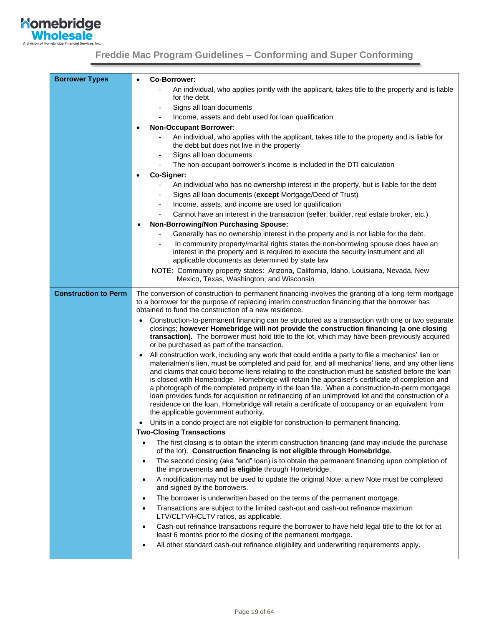**Momebridge**<br> **Wholesale** A division of He

| <b>Borrower Types</b>       | Co-Borrower:<br>$\bullet$                                                                                                                                                                                                                                                                                                                                                                                                                                                                                                                                                                                                                                                                                                                                                   |
|-----------------------------|-----------------------------------------------------------------------------------------------------------------------------------------------------------------------------------------------------------------------------------------------------------------------------------------------------------------------------------------------------------------------------------------------------------------------------------------------------------------------------------------------------------------------------------------------------------------------------------------------------------------------------------------------------------------------------------------------------------------------------------------------------------------------------|
|                             | An individual, who applies jointly with the applicant, takes title to the property and is liable                                                                                                                                                                                                                                                                                                                                                                                                                                                                                                                                                                                                                                                                            |
|                             | for the debt                                                                                                                                                                                                                                                                                                                                                                                                                                                                                                                                                                                                                                                                                                                                                                |
|                             | Signs all loan documents<br>$\qquad \qquad \blacksquare$<br>Income, assets and debt used for loan qualification                                                                                                                                                                                                                                                                                                                                                                                                                                                                                                                                                                                                                                                             |
|                             | <b>Non-Occupant Borrower:</b><br>$\bullet$                                                                                                                                                                                                                                                                                                                                                                                                                                                                                                                                                                                                                                                                                                                                  |
|                             | An individual, who applies with the applicant, takes title to the property and is liable for<br>the debt but does not live in the property                                                                                                                                                                                                                                                                                                                                                                                                                                                                                                                                                                                                                                  |
|                             | Signs all loan documents<br>$\qquad \qquad \blacksquare$                                                                                                                                                                                                                                                                                                                                                                                                                                                                                                                                                                                                                                                                                                                    |
|                             | The non-occupant borrower's income is included in the DTI calculation<br>$\overline{\phantom{0}}$                                                                                                                                                                                                                                                                                                                                                                                                                                                                                                                                                                                                                                                                           |
|                             | Co-Signer:<br>$\bullet$                                                                                                                                                                                                                                                                                                                                                                                                                                                                                                                                                                                                                                                                                                                                                     |
|                             | An individual who has no ownership interest in the property, but is liable for the debt                                                                                                                                                                                                                                                                                                                                                                                                                                                                                                                                                                                                                                                                                     |
|                             | Signs all loan documents (except Mortgage/Deed of Trust)                                                                                                                                                                                                                                                                                                                                                                                                                                                                                                                                                                                                                                                                                                                    |
|                             | Income, assets, and income are used for qualification                                                                                                                                                                                                                                                                                                                                                                                                                                                                                                                                                                                                                                                                                                                       |
|                             | Cannot have an interest in the transaction (seller, builder, real estate broker, etc.)                                                                                                                                                                                                                                                                                                                                                                                                                                                                                                                                                                                                                                                                                      |
|                             | <b>Non-Borrowing/Non Purchasing Spouse:</b>                                                                                                                                                                                                                                                                                                                                                                                                                                                                                                                                                                                                                                                                                                                                 |
|                             | Generally has no ownership interest in the property and is not liable for the debt.                                                                                                                                                                                                                                                                                                                                                                                                                                                                                                                                                                                                                                                                                         |
|                             | In community property/marital rights states the non-borrowing spouse does have an<br>interest in the property and is required to execute the security instrument and all<br>applicable documents as determined by state law                                                                                                                                                                                                                                                                                                                                                                                                                                                                                                                                                 |
|                             | NOTE: Community property states: Arizona, California, Idaho, Louisiana, Nevada, New<br>Mexico, Texas, Washington, and Wisconsin                                                                                                                                                                                                                                                                                                                                                                                                                                                                                                                                                                                                                                             |
| <b>Construction to Perm</b> | The conversion of construction-to-permanent financing involves the granting of a long-term mortgage<br>to a borrower for the purpose of replacing interim construction financing that the borrower has<br>obtained to fund the construction of a new residence.                                                                                                                                                                                                                                                                                                                                                                                                                                                                                                             |
|                             | Construction-to-permanent financing can be structured as a transaction with one or two separate<br>closings; however Homebridge will not provide the construction financing (a one closing<br>transaction). The borrower must hold title to the lot, which may have been previously acquired<br>or be purchased as part of the transaction.                                                                                                                                                                                                                                                                                                                                                                                                                                 |
|                             | All construction work, including any work that could entitle a party to file a mechanics' lien or<br>$\bullet$<br>materialmen's lien, must be completed and paid for, and all mechanics' liens, and any other liens<br>and claims that could become liens relating to the construction must be satisfied before the loan<br>is closed with Homebridge. Homebridge will retain the appraiser's certificate of completion and<br>a photograph of the completed property in the loan file. When a construction-to-perm mortgage<br>loan provides funds for acquisition or refinancing of an unimproved lot and the construction of a<br>residence on the loan, Homebridge will retain a certificate of occupancy or an equivalent from<br>the applicable government authority. |
|                             | Units in a condo project are not eligible for construction-to-permanent financing.                                                                                                                                                                                                                                                                                                                                                                                                                                                                                                                                                                                                                                                                                          |
|                             | <b>Two-Closing Transactions</b>                                                                                                                                                                                                                                                                                                                                                                                                                                                                                                                                                                                                                                                                                                                                             |
|                             | The first closing is to obtain the interim construction financing (and may include the purchase<br>$\bullet$<br>of the lot). Construction financing is not eligible through Homebridge.                                                                                                                                                                                                                                                                                                                                                                                                                                                                                                                                                                                     |
|                             | The second closing (aka "end" loan) is to obtain the permanent financing upon completion of<br>$\bullet$<br>the improvements and is eligible through Homebridge.                                                                                                                                                                                                                                                                                                                                                                                                                                                                                                                                                                                                            |
|                             | A modification may not be used to update the original Note; a new Note must be completed<br>$\bullet$<br>and signed by the borrowers.                                                                                                                                                                                                                                                                                                                                                                                                                                                                                                                                                                                                                                       |
|                             | The borrower is underwritten based on the terms of the permanent mortgage.<br>$\bullet$                                                                                                                                                                                                                                                                                                                                                                                                                                                                                                                                                                                                                                                                                     |
|                             | Transactions are subject to the limited cash-out and cash-out refinance maximum<br>$\bullet$<br>LTV/CLTV/HCLTV ratios, as applicable.                                                                                                                                                                                                                                                                                                                                                                                                                                                                                                                                                                                                                                       |
|                             | Cash-out refinance transactions require the borrower to have held legal title to the lot for at<br>$\bullet$<br>least 6 months prior to the closing of the permanent mortgage.                                                                                                                                                                                                                                                                                                                                                                                                                                                                                                                                                                                              |
|                             | All other standard cash-out refinance eligibility and underwriting requirements apply.<br>$\bullet$                                                                                                                                                                                                                                                                                                                                                                                                                                                                                                                                                                                                                                                                         |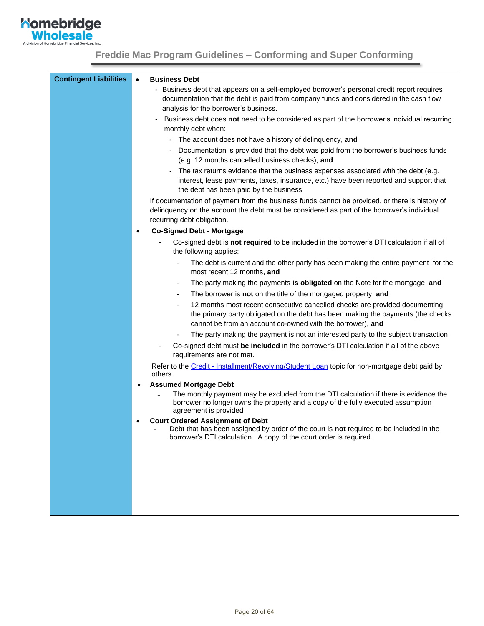

| <b>Contingent Liabilities</b> | $\bullet$ | <b>Business Debt</b>                                                                                                                                                                                                                                          |
|-------------------------------|-----------|---------------------------------------------------------------------------------------------------------------------------------------------------------------------------------------------------------------------------------------------------------------|
|                               |           | - Business debt that appears on a self-employed borrower's personal credit report requires                                                                                                                                                                    |
|                               |           | documentation that the debt is paid from company funds and considered in the cash flow<br>analysis for the borrower's business.                                                                                                                               |
|                               |           | Business debt does not need to be considered as part of the borrower's individual recurring                                                                                                                                                                   |
|                               |           | monthly debt when:                                                                                                                                                                                                                                            |
|                               |           | The account does not have a history of delinquency, and<br>۰.                                                                                                                                                                                                 |
|                               |           | Documentation is provided that the debt was paid from the borrower's business funds<br>(e.g. 12 months cancelled business checks), and                                                                                                                        |
|                               |           | The tax returns evidence that the business expenses associated with the debt (e.g.<br>interest, lease payments, taxes, insurance, etc.) have been reported and support that<br>the debt has been paid by the business                                         |
|                               |           | If documentation of payment from the business funds cannot be provided, or there is history of<br>delinquency on the account the debt must be considered as part of the borrower's individual<br>recurring debt obligation.                                   |
|                               | $\bullet$ | <b>Co-Signed Debt - Mortgage</b>                                                                                                                                                                                                                              |
|                               |           | Co-signed debt is not required to be included in the borrower's DTI calculation if all of<br>the following applies:                                                                                                                                           |
|                               |           | The debt is current and the other party has been making the entire payment for the<br>most recent 12 months, and                                                                                                                                              |
|                               |           | The party making the payments is obligated on the Note for the mortgage, and<br>$\overline{\phantom{a}}$                                                                                                                                                      |
|                               |           | The borrower is not on the title of the mortgaged property, and<br>$\overline{\phantom{a}}$                                                                                                                                                                   |
|                               |           | 12 months most recent consecutive cancelled checks are provided documenting<br>$\qquad \qquad \blacksquare$<br>the primary party obligated on the debt has been making the payments (the checks<br>cannot be from an account co-owned with the borrower), and |
|                               |           | The party making the payment is not an interested party to the subject transaction                                                                                                                                                                            |
|                               |           | Co-signed debt must be included in the borrower's DTI calculation if all of the above<br>requirements are not met.                                                                                                                                            |
|                               |           | Refer to the Credit - Installment/Revolving/Student Loan topic for non-mortgage debt paid by<br>others                                                                                                                                                        |
|                               |           | <b>Assumed Mortgage Debt</b>                                                                                                                                                                                                                                  |
|                               |           | The monthly payment may be excluded from the DTI calculation if there is evidence the<br>borrower no longer owns the property and a copy of the fully executed assumption<br>agreement is provided                                                            |
|                               | ٠         | <b>Court Ordered Assignment of Debt</b>                                                                                                                                                                                                                       |
|                               |           | Debt that has been assigned by order of the court is not required to be included in the<br>borrower's DTI calculation. A copy of the court order is required.                                                                                                 |
|                               |           |                                                                                                                                                                                                                                                               |
|                               |           |                                                                                                                                                                                                                                                               |
|                               |           |                                                                                                                                                                                                                                                               |
|                               |           |                                                                                                                                                                                                                                                               |
|                               |           |                                                                                                                                                                                                                                                               |
|                               |           |                                                                                                                                                                                                                                                               |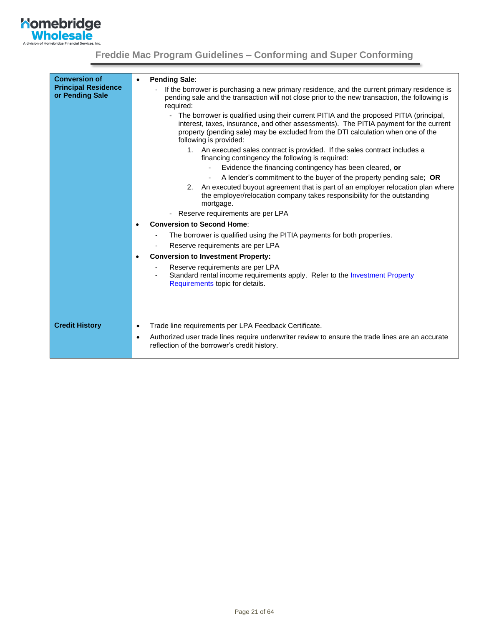

| <b>Conversion of</b><br><b>Principal Residence</b><br>or Pending Sale | <b>Pending Sale:</b><br>If the borrower is purchasing a new primary residence, and the current primary residence is<br>pending sale and the transaction will not close prior to the new transaction, the following is<br>required:<br>The borrower is qualified using their current PITIA and the proposed PITIA (principal,<br>$\blacksquare$<br>interest, taxes, insurance, and other assessments). The PITIA payment for the current<br>property (pending sale) may be excluded from the DTI calculation when one of the<br>following is provided:<br>1. An executed sales contract is provided. If the sales contract includes a<br>financing contingency the following is required:<br>Evidence the financing contingency has been cleared, or<br>A lender's commitment to the buyer of the property pending sale; OR<br>2. An executed buyout agreement that is part of an employer relocation plan where<br>the employer/relocation company takes responsibility for the outstanding<br>mortgage.<br>Reserve requirements are per LPA<br><b>Conversion to Second Home:</b><br>The borrower is qualified using the PITIA payments for both properties.<br>Reserve requirements are per LPA<br><b>Conversion to Investment Property:</b><br>$\bullet$<br>Reserve requirements are per LPA<br>Standard rental income requirements apply. Refer to the Investment Property<br>Requirements topic for details. |
|-----------------------------------------------------------------------|------------------------------------------------------------------------------------------------------------------------------------------------------------------------------------------------------------------------------------------------------------------------------------------------------------------------------------------------------------------------------------------------------------------------------------------------------------------------------------------------------------------------------------------------------------------------------------------------------------------------------------------------------------------------------------------------------------------------------------------------------------------------------------------------------------------------------------------------------------------------------------------------------------------------------------------------------------------------------------------------------------------------------------------------------------------------------------------------------------------------------------------------------------------------------------------------------------------------------------------------------------------------------------------------------------------------------------------------------------------------------------------------------------------|
|                                                                       |                                                                                                                                                                                                                                                                                                                                                                                                                                                                                                                                                                                                                                                                                                                                                                                                                                                                                                                                                                                                                                                                                                                                                                                                                                                                                                                                                                                                                  |
| <b>Credit History</b>                                                 | Trade line requirements per LPA Feedback Certificate.<br>$\bullet$                                                                                                                                                                                                                                                                                                                                                                                                                                                                                                                                                                                                                                                                                                                                                                                                                                                                                                                                                                                                                                                                                                                                                                                                                                                                                                                                               |
|                                                                       | Authorized user trade lines require underwriter review to ensure the trade lines are an accurate<br>$\bullet$<br>reflection of the borrower's credit history.                                                                                                                                                                                                                                                                                                                                                                                                                                                                                                                                                                                                                                                                                                                                                                                                                                                                                                                                                                                                                                                                                                                                                                                                                                                    |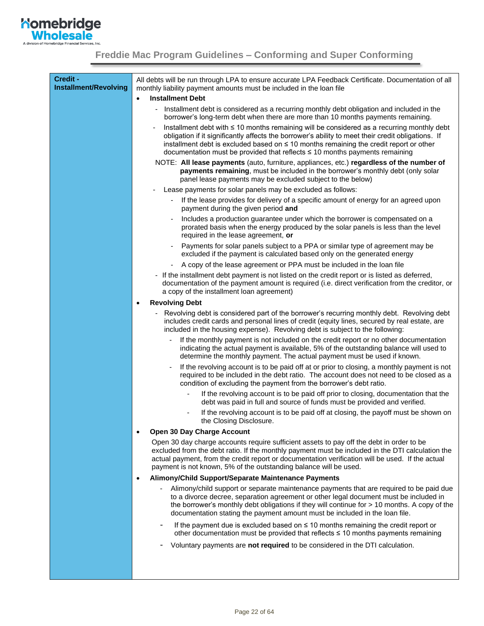| Credit -<br>Installment/Revolving | All debts will be run through LPA to ensure accurate LPA Feedback Certificate. Documentation of all<br>monthly liability payment amounts must be included in the loan file                                                                                                                                                                                                     |
|-----------------------------------|--------------------------------------------------------------------------------------------------------------------------------------------------------------------------------------------------------------------------------------------------------------------------------------------------------------------------------------------------------------------------------|
|                                   | <b>Installment Debt</b><br>$\bullet$                                                                                                                                                                                                                                                                                                                                           |
|                                   | Installment debt is considered as a recurring monthly debt obligation and included in the<br>borrower's long-term debt when there are more than 10 months payments remaining.                                                                                                                                                                                                  |
|                                   | Installment debt with ≤ 10 months remaining will be considered as a recurring monthly debt<br>obligation if it significantly affects the borrower's ability to meet their credit obligations. If<br>installment debt is excluded based on ≤ 10 months remaining the credit report or other<br>documentation must be provided that reflects $\leq$ 10 months payments remaining |
|                                   | NOTE: All lease payments (auto, furniture, appliances, etc.) regardless of the number of<br>payments remaining, must be included in the borrower's monthly debt (only solar<br>panel lease payments may be excluded subject to the below)                                                                                                                                      |
|                                   | Lease payments for solar panels may be excluded as follows:                                                                                                                                                                                                                                                                                                                    |
|                                   | If the lease provides for delivery of a specific amount of energy for an agreed upon<br>payment during the given period and                                                                                                                                                                                                                                                    |
|                                   | Includes a production guarantee under which the borrower is compensated on a<br>prorated basis when the energy produced by the solar panels is less than the level<br>required in the lease agreement, or                                                                                                                                                                      |
|                                   | Payments for solar panels subject to a PPA or similar type of agreement may be<br>excluded if the payment is calculated based only on the generated energy                                                                                                                                                                                                                     |
|                                   | A copy of the lease agreement or PPA must be included in the loan file                                                                                                                                                                                                                                                                                                         |
|                                   | - If the installment debt payment is not listed on the credit report or is listed as deferred,<br>documentation of the payment amount is required (i.e. direct verification from the creditor, or<br>a copy of the installment loan agreement)                                                                                                                                 |
|                                   | <b>Revolving Debt</b><br>$\bullet$                                                                                                                                                                                                                                                                                                                                             |
|                                   | Revolving debt is considered part of the borrower's recurring monthly debt. Revolving debt<br>includes credit cards and personal lines of credit (equity lines, secured by real estate, are<br>included in the housing expense). Revolving debt is subject to the following:                                                                                                   |
|                                   | If the monthly payment is not included on the credit report or no other documentation<br>indicating the actual payment is available, 5% of the outstanding balance will used to<br>determine the monthly payment. The actual payment must be used if known.                                                                                                                    |
|                                   | If the revolving account is to be paid off at or prior to closing, a monthly payment is not<br>required to be included in the debt ratio. The account does not need to be closed as a<br>condition of excluding the payment from the borrower's debt ratio.                                                                                                                    |
|                                   | If the revolving account is to be paid off prior to closing, documentation that the<br>debt was paid in full and source of funds must be provided and verified.                                                                                                                                                                                                                |
|                                   | If the revolving account is to be paid off at closing, the payoff must be shown on<br>the Closing Disclosure.                                                                                                                                                                                                                                                                  |
|                                   | Open 30 Day Charge Account                                                                                                                                                                                                                                                                                                                                                     |
|                                   | Open 30 day charge accounts require sufficient assets to pay off the debt in order to be<br>excluded from the debt ratio. If the monthly payment must be included in the DTI calculation the<br>actual payment, from the credit report or documentation verification will be used. If the actual<br>payment is not known, 5% of the outstanding balance will be used.          |
|                                   | Alimony/Child Support/Separate Maintenance Payments<br>$\bullet$                                                                                                                                                                                                                                                                                                               |
|                                   | Alimony/child support or separate maintenance payments that are required to be paid due<br>to a divorce decree, separation agreement or other legal document must be included in<br>the borrower's monthly debt obligations if they will continue for > 10 months. A copy of the<br>documentation stating the payment amount must be included in the loan file.                |
|                                   | If the payment due is excluded based on $\leq 10$ months remaining the credit report or<br>other documentation must be provided that reflects ≤ 10 months payments remaining                                                                                                                                                                                                   |
|                                   | Voluntary payments are not required to be considered in the DTI calculation.                                                                                                                                                                                                                                                                                                   |
|                                   |                                                                                                                                                                                                                                                                                                                                                                                |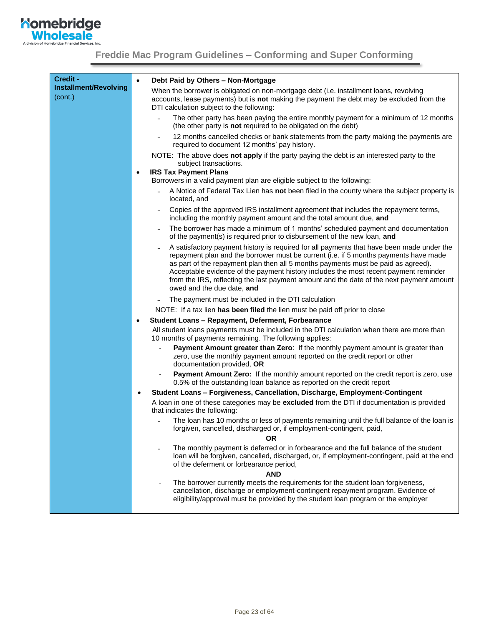<span id="page-22-0"></span>

| Credit -                     |                                                                                                                                                                                                                                                                                                                                                                                                                                                                                          |
|------------------------------|------------------------------------------------------------------------------------------------------------------------------------------------------------------------------------------------------------------------------------------------------------------------------------------------------------------------------------------------------------------------------------------------------------------------------------------------------------------------------------------|
| <b>Installment/Revolving</b> | Debt Paid by Others - Non-Mortgage<br>$\bullet$                                                                                                                                                                                                                                                                                                                                                                                                                                          |
| (cont.)                      | When the borrower is obligated on non-mortgage debt (i.e. installment loans, revolving<br>accounts, lease payments) but is not making the payment the debt may be excluded from the<br>DTI calculation subject to the following:                                                                                                                                                                                                                                                         |
|                              | The other party has been paying the entire monthly payment for a minimum of 12 months<br>(the other party is not required to be obligated on the debt)                                                                                                                                                                                                                                                                                                                                   |
|                              | 12 months cancelled checks or bank statements from the party making the payments are<br>required to document 12 months' pay history.                                                                                                                                                                                                                                                                                                                                                     |
|                              | NOTE: The above does not apply if the party paying the debt is an interested party to the<br>subject transactions.                                                                                                                                                                                                                                                                                                                                                                       |
|                              | <b>IRS Tax Payment Plans</b><br>$\bullet$<br>Borrowers in a valid payment plan are eligible subject to the following:                                                                                                                                                                                                                                                                                                                                                                    |
|                              | A Notice of Federal Tax Lien has not been filed in the county where the subject property is<br>located, and                                                                                                                                                                                                                                                                                                                                                                              |
|                              | Copies of the approved IRS installment agreement that includes the repayment terms,<br>including the monthly payment amount and the total amount due, and                                                                                                                                                                                                                                                                                                                                |
|                              | The borrower has made a minimum of 1 months' scheduled payment and documentation<br>of the payment(s) is required prior to disbursement of the new loan, and                                                                                                                                                                                                                                                                                                                             |
|                              | A satisfactory payment history is required for all payments that have been made under the<br>repayment plan and the borrower must be current (i.e. if 5 months payments have made<br>as part of the repayment plan then all 5 months payments must be paid as agreed).<br>Acceptable evidence of the payment history includes the most recent payment reminder<br>from the IRS, reflecting the last payment amount and the date of the next payment amount<br>owed and the due date, and |
|                              | The payment must be included in the DTI calculation                                                                                                                                                                                                                                                                                                                                                                                                                                      |
|                              | NOTE: If a tax lien has been filed the lien must be paid off prior to close                                                                                                                                                                                                                                                                                                                                                                                                              |
|                              | Student Loans - Repayment, Deferment, Forbearance<br>$\bullet$                                                                                                                                                                                                                                                                                                                                                                                                                           |
|                              | All student loans payments must be included in the DTI calculation when there are more than<br>10 months of payments remaining. The following applies:                                                                                                                                                                                                                                                                                                                                   |
|                              | Payment Amount greater than Zero: If the monthly payment amount is greater than<br>zero, use the monthly payment amount reported on the credit report or other<br>documentation provided, OR                                                                                                                                                                                                                                                                                             |
|                              | Payment Amount Zero: If the monthly amount reported on the credit report is zero, use<br>0.5% of the outstanding loan balance as reported on the credit report                                                                                                                                                                                                                                                                                                                           |
|                              | Student Loans - Forgiveness, Cancellation, Discharge, Employment-Contingent<br>$\bullet$                                                                                                                                                                                                                                                                                                                                                                                                 |
|                              | A loan in one of these categories may be excluded from the DTI if documentation is provided<br>that indicates the following:                                                                                                                                                                                                                                                                                                                                                             |
|                              | The loan has 10 months or less of payments remaining until the full balance of the loan is<br>forgiven, cancelled, discharged or, if employment-contingent, paid,                                                                                                                                                                                                                                                                                                                        |
|                              | <b>OR</b>                                                                                                                                                                                                                                                                                                                                                                                                                                                                                |
|                              | The monthly payment is deferred or in forbearance and the full balance of the student<br>loan will be forgiven, cancelled, discharged, or, if employment-contingent, paid at the end<br>of the deferment or forbearance period,<br><b>AND</b>                                                                                                                                                                                                                                            |
|                              | The borrower currently meets the requirements for the student loan forgiveness,                                                                                                                                                                                                                                                                                                                                                                                                          |
|                              | cancellation, discharge or employment-contingent repayment program. Evidence of<br>eligibility/approval must be provided by the student loan program or the employer                                                                                                                                                                                                                                                                                                                     |
|                              |                                                                                                                                                                                                                                                                                                                                                                                                                                                                                          |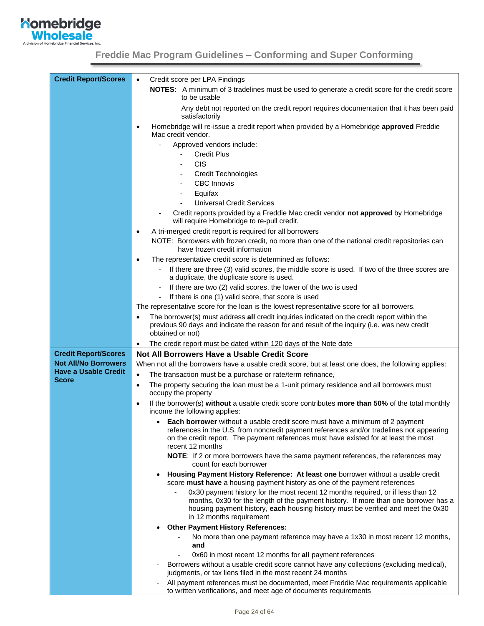

| <b>Credit Report/Scores</b>                 | Credit score per LPA Findings<br>$\bullet$                                                                                                                                                                                                                                             |
|---------------------------------------------|----------------------------------------------------------------------------------------------------------------------------------------------------------------------------------------------------------------------------------------------------------------------------------------|
|                                             | NOTES: A minimum of 3 tradelines must be used to generate a credit score for the credit score<br>to be usable                                                                                                                                                                          |
|                                             | Any debt not reported on the credit report requires documentation that it has been paid<br>satisfactorily                                                                                                                                                                              |
|                                             | Homebridge will re-issue a credit report when provided by a Homebridge approved Freddie<br>$\bullet$<br>Mac credit vendor.                                                                                                                                                             |
|                                             | Approved vendors include:                                                                                                                                                                                                                                                              |
|                                             | <b>Credit Plus</b>                                                                                                                                                                                                                                                                     |
|                                             | <b>CIS</b>                                                                                                                                                                                                                                                                             |
|                                             | <b>Credit Technologies</b>                                                                                                                                                                                                                                                             |
|                                             | <b>CBC Innovis</b>                                                                                                                                                                                                                                                                     |
|                                             | Equifax<br>$\qquad \qquad \blacksquare$                                                                                                                                                                                                                                                |
|                                             | <b>Universal Credit Services</b>                                                                                                                                                                                                                                                       |
|                                             | Credit reports provided by a Freddie Mac credit vendor not approved by Homebridge<br>will require Homebridge to re-pull credit.                                                                                                                                                        |
|                                             | A tri-merged credit report is required for all borrowers<br>$\bullet$                                                                                                                                                                                                                  |
|                                             | NOTE: Borrowers with frozen credit, no more than one of the national credit repositories can<br>have frozen credit information                                                                                                                                                         |
|                                             | The representative credit score is determined as follows:<br>$\bullet$                                                                                                                                                                                                                 |
|                                             | If there are three (3) valid scores, the middle score is used. If two of the three scores are<br>a duplicate, the duplicate score is used.                                                                                                                                             |
|                                             | If there are two (2) valid scores, the lower of the two is used                                                                                                                                                                                                                        |
|                                             | If there is one (1) valid score, that score is used                                                                                                                                                                                                                                    |
|                                             | The representative score for the loan is the lowest representative score for all borrowers.                                                                                                                                                                                            |
|                                             | The borrower(s) must address all credit inquiries indicated on the credit report within the<br>$\bullet$<br>previous 90 days and indicate the reason for and result of the inquiry (i.e. was new credit<br>obtained or not)                                                            |
|                                             | The credit report must be dated within 120 days of the Note date<br>$\bullet$                                                                                                                                                                                                          |
| <b>Credit Report/Scores</b>                 | Not All Borrowers Have a Usable Credit Score                                                                                                                                                                                                                                           |
| <b>Not All/No Borrowers</b>                 | When not all the borrowers have a usable credit score, but at least one does, the following applies:                                                                                                                                                                                   |
| <b>Have a Usable Credit</b><br><b>Score</b> | $\bullet$<br>The transaction must be a purchase or rate/term refinance,                                                                                                                                                                                                                |
|                                             | The property securing the loan must be a 1-unit primary residence and all borrowers must<br>$\bullet$<br>occupy the property                                                                                                                                                           |
|                                             | If the borrower(s) without a usable credit score contributes more than 50% of the total monthly<br>$\bullet$<br>income the following applies:                                                                                                                                          |
|                                             | • Each borrower without a usable credit score must have a minimum of 2 payment<br>references in the U.S. from noncredit payment references and/or tradelines not appearing<br>on the credit report. The payment references must have existed for at least the most<br>recent 12 months |
|                                             | NOTE: If 2 or more borrowers have the same payment references, the references may<br>count for each borrower                                                                                                                                                                           |
|                                             | Housing Payment History Reference: At least one borrower without a usable credit<br>score must have a housing payment history as one of the payment references<br>0x30 payment history for the most recent 12 months required, or if less than 12                                      |
|                                             | months, 0x30 for the length of the payment history. If more than one borrower has a<br>housing payment history, each housing history must be verified and meet the 0x30<br>in 12 months requirement                                                                                    |
|                                             | <b>Other Payment History References:</b>                                                                                                                                                                                                                                               |
|                                             | No more than one payment reference may have a 1x30 in most recent 12 months,<br>and                                                                                                                                                                                                    |
|                                             | 0x60 in most recent 12 months for all payment references                                                                                                                                                                                                                               |
|                                             | Borrowers without a usable credit score cannot have any collections (excluding medical),<br>judgments, or tax liens filed in the most recent 24 months                                                                                                                                 |
|                                             | All payment references must be documented, meet Freddie Mac requirements applicable<br>to written verifications, and meet age of documents requirements                                                                                                                                |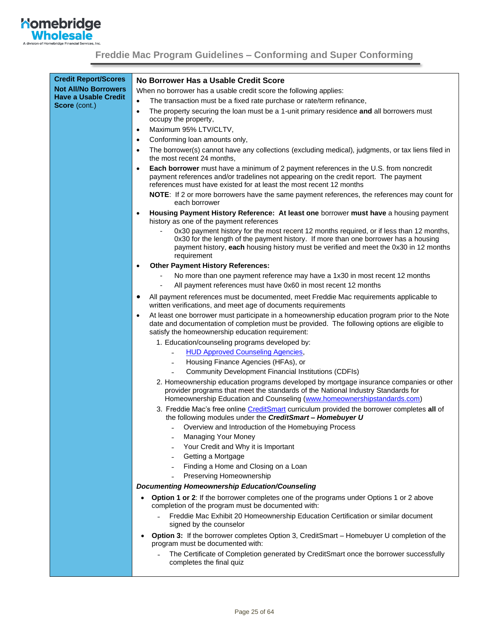

| <b>Credit Report/Scores</b><br><b>Not All/No Borrowers</b> | No Borrower Has a Usable Credit Score<br>When no borrower has a usable credit score the following applies:                                                                                                                                                                             |  |  |  |
|------------------------------------------------------------|----------------------------------------------------------------------------------------------------------------------------------------------------------------------------------------------------------------------------------------------------------------------------------------|--|--|--|
| <b>Have a Usable Credit</b>                                | The transaction must be a fixed rate purchase or rate/term refinance,<br>$\bullet$                                                                                                                                                                                                     |  |  |  |
| Score (cont.)                                              | The property securing the loan must be a 1-unit primary residence and all borrowers must<br>$\bullet$                                                                                                                                                                                  |  |  |  |
|                                                            | occupy the property,                                                                                                                                                                                                                                                                   |  |  |  |
|                                                            | Maximum 95% LTV/CLTV,<br>$\bullet$                                                                                                                                                                                                                                                     |  |  |  |
|                                                            | Conforming loan amounts only,<br>$\bullet$                                                                                                                                                                                                                                             |  |  |  |
|                                                            | The borrower(s) cannot have any collections (excluding medical), judgments, or tax liens filed in<br>$\bullet$<br>the most recent 24 months,                                                                                                                                           |  |  |  |
|                                                            | Each borrower must have a minimum of 2 payment references in the U.S. from noncredit<br>$\bullet$<br>payment references and/or tradelines not appearing on the credit report. The payment<br>references must have existed for at least the most recent 12 months                       |  |  |  |
|                                                            | <b>NOTE:</b> If 2 or more borrowers have the same payment references, the references may count for<br>each borrower                                                                                                                                                                    |  |  |  |
|                                                            | Housing Payment History Reference: At least one borrower must have a housing payment<br>$\bullet$<br>history as one of the payment references                                                                                                                                          |  |  |  |
|                                                            | 0x30 payment history for the most recent 12 months required, or if less than 12 months,<br>0x30 for the length of the payment history. If more than one borrower has a housing<br>payment history, each housing history must be verified and meet the 0x30 in 12 months<br>requirement |  |  |  |
|                                                            | <b>Other Payment History References:</b>                                                                                                                                                                                                                                               |  |  |  |
|                                                            | No more than one payment reference may have a 1x30 in most recent 12 months                                                                                                                                                                                                            |  |  |  |
|                                                            | All payment references must have 0x60 in most recent 12 months                                                                                                                                                                                                                         |  |  |  |
|                                                            | All payment references must be documented, meet Freddie Mac requirements applicable to<br>$\bullet$<br>written verifications, and meet age of documents requirements                                                                                                                   |  |  |  |
|                                                            | At least one borrower must participate in a homeownership education program prior to the Note<br>$\bullet$<br>date and documentation of completion must be provided. The following options are eligible to<br>satisfy the homeownership education requirement:                         |  |  |  |
|                                                            | 1. Education/counseling programs developed by:                                                                                                                                                                                                                                         |  |  |  |
|                                                            | <b>HUD Approved Counseling Agencies,</b>                                                                                                                                                                                                                                               |  |  |  |
|                                                            | Housing Finance Agencies (HFAs), or                                                                                                                                                                                                                                                    |  |  |  |
|                                                            | <b>Community Development Financial Institutions (CDFIs)</b>                                                                                                                                                                                                                            |  |  |  |
|                                                            | 2. Homeownership education programs developed by mortgage insurance companies or other<br>provider programs that meet the standards of the National Industry Standards for<br>Homeownership Education and Counseling (www.homeownershipstandards.com)                                  |  |  |  |
|                                                            | 3. Freddie Mac's free online CreditSmart curriculum provided the borrower completes all of<br>the following modules under the CreditSmart- Homebuyer U                                                                                                                                 |  |  |  |
|                                                            | Overview and Introduction of the Homebuying Process                                                                                                                                                                                                                                    |  |  |  |
|                                                            | Managing Your Money                                                                                                                                                                                                                                                                    |  |  |  |
|                                                            | Your Credit and Why it is Important                                                                                                                                                                                                                                                    |  |  |  |
|                                                            | Getting a Mortgage                                                                                                                                                                                                                                                                     |  |  |  |
|                                                            | Finding a Home and Closing on a Loan<br>Preserving Homeownership                                                                                                                                                                                                                       |  |  |  |
|                                                            |                                                                                                                                                                                                                                                                                        |  |  |  |
|                                                            | <b>Documenting Homeownership Education/Counseling</b>                                                                                                                                                                                                                                  |  |  |  |
|                                                            | Option 1 or 2: If the borrower completes one of the programs under Options 1 or 2 above<br>$\bullet$<br>completion of the program must be documented with:                                                                                                                             |  |  |  |
|                                                            | Freddie Mac Exhibit 20 Homeownership Education Certification or similar document<br>signed by the counselor                                                                                                                                                                            |  |  |  |
|                                                            | Option 3: If the borrower completes Option 3, CreditSmart - Homebuyer U completion of the<br>$\bullet$<br>program must be documented with:                                                                                                                                             |  |  |  |
|                                                            | The Certificate of Completion generated by CreditSmart once the borrower successfully<br>completes the final quiz                                                                                                                                                                      |  |  |  |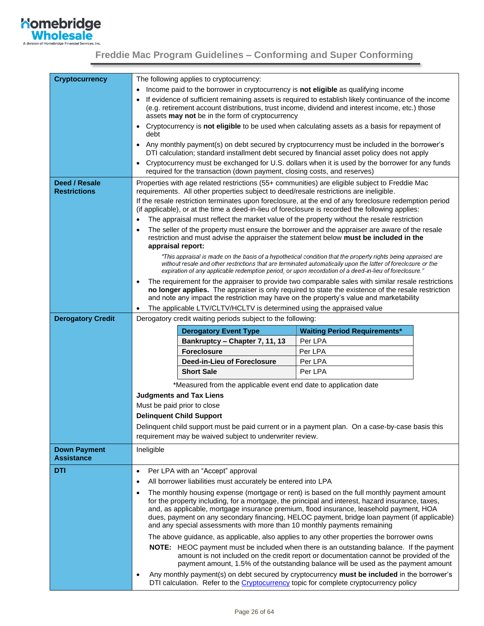

<span id="page-25-0"></span>

| <b>Cryptocurrency</b>                    |                                                                                                                                                                                                                                                            | The following applies to cryptocurrency:                                                                                                                                 |                                                                                                                                                                                                                                                                                 |  |
|------------------------------------------|------------------------------------------------------------------------------------------------------------------------------------------------------------------------------------------------------------------------------------------------------------|--------------------------------------------------------------------------------------------------------------------------------------------------------------------------|---------------------------------------------------------------------------------------------------------------------------------------------------------------------------------------------------------------------------------------------------------------------------------|--|
|                                          |                                                                                                                                                                                                                                                            | Income paid to the borrower in cryptocurrency is not eligible as qualifying income                                                                                       |                                                                                                                                                                                                                                                                                 |  |
|                                          | If evidence of sufficient remaining assets is required to establish likely continuance of the income<br>(e.g. retirement account distributions, trust income, dividend and interest income, etc.) those<br>assets may not be in the form of cryptocurrency |                                                                                                                                                                          |                                                                                                                                                                                                                                                                                 |  |
|                                          | • Cryptocurrency is not eligible to be used when calculating assets as a basis for repayment of                                                                                                                                                            |                                                                                                                                                                          |                                                                                                                                                                                                                                                                                 |  |
|                                          | debt<br>Any monthly payment(s) on debt secured by cryptocurrency must be included in the borrower's<br>$\bullet$                                                                                                                                           |                                                                                                                                                                          |                                                                                                                                                                                                                                                                                 |  |
|                                          |                                                                                                                                                                                                                                                            | required for the transaction (down payment, closing costs, and reserves)                                                                                                 | DTI calculation; standard installment debt secured by financial asset policy does not apply<br>Cryptocurrency must be exchanged for U.S. dollars when it is used by the borrower for any funds                                                                                  |  |
| Deed / Resale                            |                                                                                                                                                                                                                                                            |                                                                                                                                                                          |                                                                                                                                                                                                                                                                                 |  |
| <b>Restrictions</b>                      | Properties with age related restrictions (55+ communities) are eligible subject to Freddie Mac<br>requirements. All other properties subject to deed/resale restrictions are ineligible.                                                                   |                                                                                                                                                                          |                                                                                                                                                                                                                                                                                 |  |
|                                          |                                                                                                                                                                                                                                                            |                                                                                                                                                                          | If the resale restriction terminates upon foreclosure, at the end of any foreclosure redemption period<br>(if applicable), or at the time a deed-in-lieu of foreclosure is recorded the following applies:                                                                      |  |
|                                          |                                                                                                                                                                                                                                                            |                                                                                                                                                                          | The appraisal must reflect the market value of the property without the resale restriction                                                                                                                                                                                      |  |
|                                          |                                                                                                                                                                                                                                                            |                                                                                                                                                                          | The seller of the property must ensure the borrower and the appraiser are aware of the resale                                                                                                                                                                                   |  |
|                                          | appraisal report:                                                                                                                                                                                                                                          |                                                                                                                                                                          | restriction and must advise the appraiser the statement below must be included in the                                                                                                                                                                                           |  |
|                                          |                                                                                                                                                                                                                                                            |                                                                                                                                                                          | "This appraisal is made on the basis of a hypothetical condition that the property rights being appraised are                                                                                                                                                                   |  |
|                                          |                                                                                                                                                                                                                                                            |                                                                                                                                                                          | without resale and other restrictions that are terminated automatically upon the latter of foreclosure or the<br>expiration of any applicable redemption period, or upon recordation of a deed-in-lieu of foreclosure."                                                         |  |
|                                          |                                                                                                                                                                                                                                                            |                                                                                                                                                                          | The requirement for the appraiser to provide two comparable sales with similar resale restrictions                                                                                                                                                                              |  |
|                                          | no longer applies. The appraiser is only required to state the existence of the resale restriction<br>and note any impact the restriction may have on the property's value and marketability                                                               |                                                                                                                                                                          |                                                                                                                                                                                                                                                                                 |  |
|                                          |                                                                                                                                                                                                                                                            | The applicable LTV/CLTV/HCLTV is determined using the appraised value                                                                                                    |                                                                                                                                                                                                                                                                                 |  |
| <b>Derogatory Credit</b>                 |                                                                                                                                                                                                                                                            | Derogatory credit waiting periods subject to the following:                                                                                                              |                                                                                                                                                                                                                                                                                 |  |
|                                          |                                                                                                                                                                                                                                                            | <b>Derogatory Event Type</b>                                                                                                                                             | <b>Waiting Period Requirements*</b>                                                                                                                                                                                                                                             |  |
|                                          |                                                                                                                                                                                                                                                            | Bankruptcy - Chapter 7, 11, 13                                                                                                                                           | Per LPA                                                                                                                                                                                                                                                                         |  |
|                                          |                                                                                                                                                                                                                                                            | <b>Foreclosure</b>                                                                                                                                                       | Per LPA                                                                                                                                                                                                                                                                         |  |
|                                          |                                                                                                                                                                                                                                                            | Deed-in-Lieu of Foreclosure                                                                                                                                              | Per LPA                                                                                                                                                                                                                                                                         |  |
|                                          |                                                                                                                                                                                                                                                            | <b>Short Sale</b>                                                                                                                                                        | Per LPA                                                                                                                                                                                                                                                                         |  |
|                                          |                                                                                                                                                                                                                                                            | *Measured from the applicable event end date to application date                                                                                                         |                                                                                                                                                                                                                                                                                 |  |
|                                          |                                                                                                                                                                                                                                                            | <b>Judgments and Tax Liens</b>                                                                                                                                           |                                                                                                                                                                                                                                                                                 |  |
|                                          |                                                                                                                                                                                                                                                            | Must be paid prior to close                                                                                                                                              |                                                                                                                                                                                                                                                                                 |  |
|                                          |                                                                                                                                                                                                                                                            | <b>Delinquent Child Support</b>                                                                                                                                          |                                                                                                                                                                                                                                                                                 |  |
|                                          | Delinquent child support must be paid current or in a payment plan. On a case-by-case basis this<br>requirement may be waived subject to underwriter review.                                                                                               |                                                                                                                                                                          |                                                                                                                                                                                                                                                                                 |  |
| <b>Down Payment</b><br><b>Assistance</b> | Ineligible                                                                                                                                                                                                                                                 |                                                                                                                                                                          |                                                                                                                                                                                                                                                                                 |  |
| <b>DTI</b>                               | $\bullet$                                                                                                                                                                                                                                                  | Per LPA with an "Accept" approval                                                                                                                                        |                                                                                                                                                                                                                                                                                 |  |
|                                          | $\bullet$                                                                                                                                                                                                                                                  | All borrower liabilities must accurately be entered into LPA                                                                                                             |                                                                                                                                                                                                                                                                                 |  |
|                                          | $\bullet$                                                                                                                                                                                                                                                  |                                                                                                                                                                          | The monthly housing expense (mortgage or rent) is based on the full monthly payment amount                                                                                                                                                                                      |  |
|                                          |                                                                                                                                                                                                                                                            |                                                                                                                                                                          | for the property including, for a mortgage, the principal and interest, hazard insurance, taxes,<br>and, as applicable, mortgage insurance premium, flood insurance, leasehold payment, HOA                                                                                     |  |
|                                          |                                                                                                                                                                                                                                                            | dues, payment on any secondary financing, HELOC payment, bridge loan payment (if applicable)<br>and any special assessments with more than 10 monthly payments remaining |                                                                                                                                                                                                                                                                                 |  |
|                                          |                                                                                                                                                                                                                                                            |                                                                                                                                                                          | The above guidance, as applicable, also applies to any other properties the borrower owns                                                                                                                                                                                       |  |
|                                          |                                                                                                                                                                                                                                                            |                                                                                                                                                                          | <b>NOTE:</b> HEOC payment must be included when there is an outstanding balance. If the payment<br>amount is not included on the credit report or documentation cannot be provided of the<br>payment amount, 1.5% of the outstanding balance will be used as the payment amount |  |
|                                          | $\bullet$                                                                                                                                                                                                                                                  |                                                                                                                                                                          | Any monthly payment(s) on debt secured by cryptocurrency must be included in the borrower's<br>DTI calculation. Refer to the Cryptocurrency topic for complete cryptocurrency policy                                                                                            |  |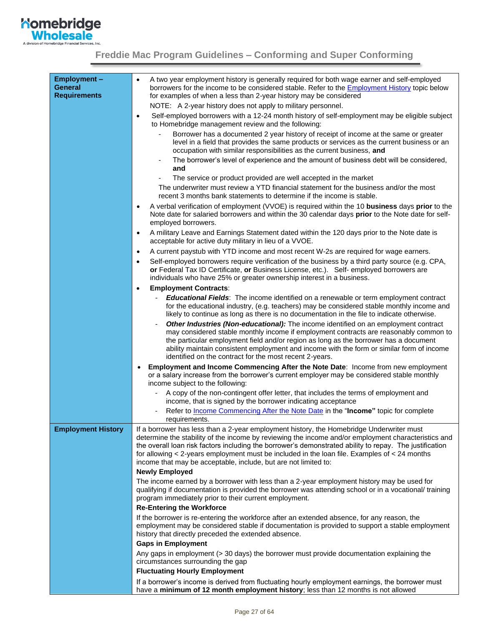

<span id="page-26-1"></span><span id="page-26-0"></span>

| <b>Employment-</b><br><b>General</b><br><b>Requirements</b> | A two year employment history is generally required for both wage earner and self-employed<br>$\bullet$<br>borrowers for the income to be considered stable. Refer to the <b>Employment History</b> topic below<br>for examples of when a less than 2-year history may be considered                                                                                                                                                                                                  |
|-------------------------------------------------------------|---------------------------------------------------------------------------------------------------------------------------------------------------------------------------------------------------------------------------------------------------------------------------------------------------------------------------------------------------------------------------------------------------------------------------------------------------------------------------------------|
|                                                             | NOTE: A 2-year history does not apply to military personnel.                                                                                                                                                                                                                                                                                                                                                                                                                          |
|                                                             | Self-employed borrowers with a 12-24 month history of self-employment may be eligible subject<br>$\bullet$<br>to Homebridge management review and the following:                                                                                                                                                                                                                                                                                                                      |
|                                                             | Borrower has a documented 2 year history of receipt of income at the same or greater<br>level in a field that provides the same products or services as the current business or an<br>occupation with similar responsibilities as the current business, and                                                                                                                                                                                                                           |
|                                                             | The borrower's level of experience and the amount of business debt will be considered,<br>and                                                                                                                                                                                                                                                                                                                                                                                         |
|                                                             | The service or product provided are well accepted in the market                                                                                                                                                                                                                                                                                                                                                                                                                       |
|                                                             | The underwriter must review a YTD financial statement for the business and/or the most<br>recent 3 months bank statements to determine if the income is stable.                                                                                                                                                                                                                                                                                                                       |
|                                                             | A verbal verification of employment (VVOE) is required within the 10 business days prior to the<br>$\bullet$<br>Note date for salaried borrowers and within the 30 calendar days prior to the Note date for self-<br>employed borrowers.                                                                                                                                                                                                                                              |
|                                                             | A military Leave and Earnings Statement dated within the 120 days prior to the Note date is<br>$\bullet$<br>acceptable for active duty military in lieu of a VVOE.                                                                                                                                                                                                                                                                                                                    |
|                                                             | A current paystub with YTD income and most recent W-2s are required for wage earners.<br>$\bullet$                                                                                                                                                                                                                                                                                                                                                                                    |
|                                                             | Self-employed borrowers require verification of the business by a third party source (e.g. CPA,<br>$\bullet$<br>or Federal Tax ID Certificate, or Business License, etc.). Self- employed borrowers are<br>individuals who have 25% or greater ownership interest in a business.                                                                                                                                                                                                      |
|                                                             | <b>Employment Contracts:</b><br>$\bullet$                                                                                                                                                                                                                                                                                                                                                                                                                                             |
|                                                             | <b>Educational Fields:</b> The income identified on a renewable or term employment contract<br>$\blacksquare$<br>for the educational industry, (e.g. teachers) may be considered stable monthly income and<br>likely to continue as long as there is no documentation in the file to indicate otherwise.                                                                                                                                                                              |
|                                                             | Other Industries (Non-educational): The income identified on an employment contract<br>may considered stable monthly income if employment contracts are reasonably common to<br>the particular employment field and/or region as long as the borrower has a document<br>ability maintain consistent employment and income with the form or similar form of income<br>identified on the contract for the most recent 2-years.                                                          |
|                                                             | Employment and Income Commencing After the Note Date: Income from new employment<br>or a salary increase from the borrower's current employer may be considered stable monthly<br>income subject to the following:                                                                                                                                                                                                                                                                    |
|                                                             | A copy of the non-contingent offer letter, that includes the terms of employment and<br>income, that is signed by the borrower indicating acceptance                                                                                                                                                                                                                                                                                                                                  |
|                                                             | Refer to Income Commencing After the Note Date in the "Income" topic for complete<br>requirements.                                                                                                                                                                                                                                                                                                                                                                                    |
| <b>Employment History</b>                                   | If a borrower has less than a 2-year employment history, the Homebridge Underwriter must<br>determine the stability of the income by reviewing the income and/or employment characteristics and<br>the overall loan risk factors including the borrower's demonstrated ability to repay. The justification<br>for allowing $\lt$ 2-years employment must be included in the loan file. Examples of $\lt$ 24 months<br>income that may be acceptable, include, but are not limited to: |
|                                                             | <b>Newly Employed</b>                                                                                                                                                                                                                                                                                                                                                                                                                                                                 |
|                                                             | The income earned by a borrower with less than a 2-year employment history may be used for<br>qualifying if documentation is provided the borrower was attending school or in a vocational/ training<br>program immediately prior to their current employment.                                                                                                                                                                                                                        |
|                                                             | <b>Re-Entering the Workforce</b>                                                                                                                                                                                                                                                                                                                                                                                                                                                      |
|                                                             | If the borrower is re-entering the workforce after an extended absence, for any reason, the<br>employment may be considered stable if documentation is provided to support a stable employment<br>history that directly preceded the extended absence.                                                                                                                                                                                                                                |
|                                                             | <b>Gaps in Employment</b>                                                                                                                                                                                                                                                                                                                                                                                                                                                             |
|                                                             | Any gaps in employment (> 30 days) the borrower must provide documentation explaining the<br>circumstances surrounding the gap                                                                                                                                                                                                                                                                                                                                                        |
|                                                             | <b>Fluctuating Hourly Employment</b>                                                                                                                                                                                                                                                                                                                                                                                                                                                  |
|                                                             | If a borrower's income is derived from fluctuating hourly employment earnings, the borrower must<br>have a minimum of 12 month employment history; less than 12 months is not allowed                                                                                                                                                                                                                                                                                                 |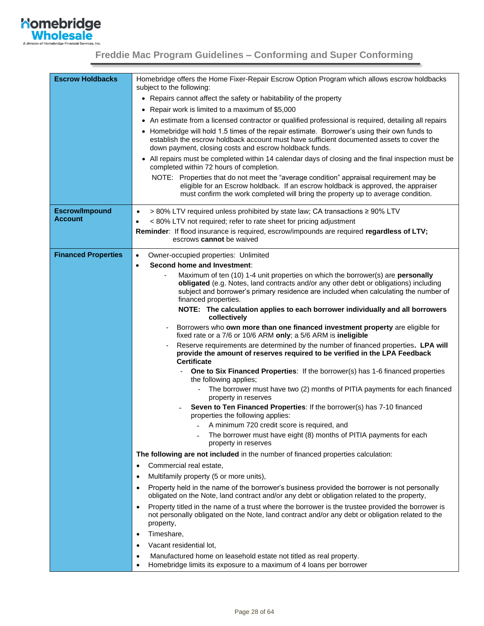

<span id="page-27-0"></span>

| <b>Escrow Holdbacks</b>    | Homebridge offers the Home Fixer-Repair Escrow Option Program which allows escrow holdbacks<br>subject to the following:                                                                                                                                        |  |
|----------------------------|-----------------------------------------------------------------------------------------------------------------------------------------------------------------------------------------------------------------------------------------------------------------|--|
|                            | • Repairs cannot affect the safety or habitability of the property                                                                                                                                                                                              |  |
|                            | Repair work is limited to a maximum of \$5,000<br>$\bullet$                                                                                                                                                                                                     |  |
|                            | • An estimate from a licensed contractor or qualified professional is required, detailing all repairs                                                                                                                                                           |  |
|                            | • Homebridge will hold 1.5 times of the repair estimate. Borrower's using their own funds to<br>establish the escrow holdback account must have sufficient documented assets to cover the<br>down payment, closing costs and escrow holdback funds.             |  |
|                            | • All repairs must be completed within 14 calendar days of closing and the final inspection must be<br>completed within 72 hours of completion.                                                                                                                 |  |
|                            | NOTE: Properties that do not meet the "average condition" appraisal requirement may be<br>eligible for an Escrow holdback. If an escrow holdback is approved, the appraiser<br>must confirm the work completed will bring the property up to average condition. |  |
| <b>Escrow/Impound</b>      | > 80% LTV required unless prohibited by state law; CA transactions ≥ 90% LTV<br>$\bullet$                                                                                                                                                                       |  |
| <b>Account</b>             | < 80% LTV not required; refer to rate sheet for pricing adjustment                                                                                                                                                                                              |  |
|                            | Reminder: If flood insurance is required, escrow/impounds are required regardless of LTV;<br>escrows cannot be waived                                                                                                                                           |  |
| <b>Financed Properties</b> | Owner-occupied properties: Unlimited<br>$\bullet$                                                                                                                                                                                                               |  |
|                            | Second home and Investment:<br>$\bullet$                                                                                                                                                                                                                        |  |
|                            | Maximum of ten (10) 1-4 unit properties on which the borrower(s) are personally                                                                                                                                                                                 |  |
|                            | obligated (e.g. Notes, land contracts and/or any other debt or obligations) including<br>subject and borrower's primary residence are included when calculating the number of                                                                                   |  |
|                            | financed properties.                                                                                                                                                                                                                                            |  |
|                            | NOTE: The calculation applies to each borrower individually and all borrowers<br>collectively                                                                                                                                                                   |  |
|                            | Borrowers who own more than one financed investment property are eligible for<br>$\overline{a}$<br>fixed rate or a 7/6 or 10/6 ARM only; a 5/6 ARM is ineligible                                                                                                |  |
|                            | Reserve requirements are determined by the number of financed properties. LPA will<br>provide the amount of reserves required to be verified in the LPA Feedback<br><b>Certificate</b>                                                                          |  |
|                            | One to Six Financed Properties: If the borrower(s) has 1-6 financed properties<br>$\overline{\phantom{a}}$<br>the following applies;                                                                                                                            |  |
|                            | The borrower must have two (2) months of PITIA payments for each financed<br>property in reserves                                                                                                                                                               |  |
|                            | Seven to Ten Financed Properties: If the borrower(s) has 7-10 financed<br>properties the following applies:                                                                                                                                                     |  |
|                            | A minimum 720 credit score is required, and                                                                                                                                                                                                                     |  |
|                            | The borrower must have eight (8) months of PITIA payments for each<br>property in reserves                                                                                                                                                                      |  |
|                            | The following are not included in the number of financed properties calculation:                                                                                                                                                                                |  |
|                            | Commercial real estate,<br>٠                                                                                                                                                                                                                                    |  |
|                            | Multifamily property (5 or more units),<br>٠                                                                                                                                                                                                                    |  |
|                            | Property held in the name of the borrower's business provided the borrower is not personally<br>$\bullet$<br>obligated on the Note, land contract and/or any debt or obligation related to the property,                                                        |  |
|                            | Property titled in the name of a trust where the borrower is the trustee provided the borrower is<br>$\bullet$<br>not personally obligated on the Note, land contract and/or any debt or obligation related to the<br>property,                                 |  |
|                            | Timeshare,<br>٠                                                                                                                                                                                                                                                 |  |
|                            | Vacant residential lot,                                                                                                                                                                                                                                         |  |
|                            | Manufactured home on leasehold estate not titled as real property.<br>Homebridge limits its exposure to a maximum of 4 loans per borrower                                                                                                                       |  |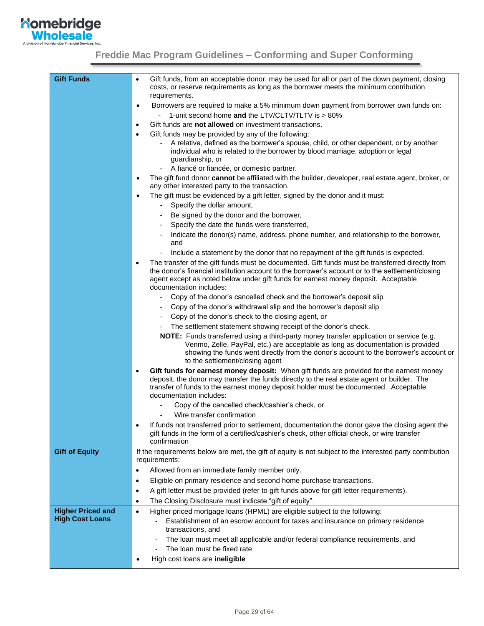

| <b>Gift Funds</b>                                  | Gift funds, from an acceptable donor, may be used for all or part of the down payment, closing<br>costs, or reserve requirements as long as the borrower meets the minimum contribution<br>requirements.                                                                                                                  |
|----------------------------------------------------|---------------------------------------------------------------------------------------------------------------------------------------------------------------------------------------------------------------------------------------------------------------------------------------------------------------------------|
|                                                    | Borrowers are required to make a 5% minimum down payment from borrower own funds on:<br>$\bullet$                                                                                                                                                                                                                         |
|                                                    | 1-unit second home and the LTV/CLTV/TLTV is > 80%                                                                                                                                                                                                                                                                         |
|                                                    | Gift funds are not allowed on investment transactions.<br>$\bullet$                                                                                                                                                                                                                                                       |
|                                                    | Gift funds may be provided by any of the following:<br>$\bullet$                                                                                                                                                                                                                                                          |
|                                                    | A relative, defined as the borrower's spouse, child, or other dependent, or by another<br>individual who is related to the borrower by blood marriage, adoption or legal<br>guardianship, or                                                                                                                              |
|                                                    | - A fiancé or fiancée, or domestic partner.                                                                                                                                                                                                                                                                               |
|                                                    | The gift fund donor cannot be affiliated with the builder, developer, real estate agent, broker, or<br>٠<br>any other interested party to the transaction.                                                                                                                                                                |
|                                                    | The gift must be evidenced by a gift letter, signed by the donor and it must:<br>$\bullet$                                                                                                                                                                                                                                |
|                                                    | Specify the dollar amount,<br>$\qquad \qquad \blacksquare$                                                                                                                                                                                                                                                                |
|                                                    | Be signed by the donor and the borrower,                                                                                                                                                                                                                                                                                  |
|                                                    | Specify the date the funds were transferred,<br>٠                                                                                                                                                                                                                                                                         |
|                                                    | Indicate the donor(s) name, address, phone number, and relationship to the borrower,                                                                                                                                                                                                                                      |
|                                                    | and                                                                                                                                                                                                                                                                                                                       |
|                                                    | Include a statement by the donor that no repayment of the gift funds is expected.<br>$\overline{a}$                                                                                                                                                                                                                       |
|                                                    | The transfer of the gift funds must be documented. Gift funds must be transferred directly from<br>٠<br>the donor's financial institution account to the borrower's account or to the settlement/closing<br>agent except as noted below under gift funds for earnest money deposit. Acceptable<br>documentation includes: |
|                                                    | Copy of the donor's cancelled check and the borrower's deposit slip                                                                                                                                                                                                                                                       |
|                                                    | Copy of the donor's withdrawal slip and the borrower's deposit slip                                                                                                                                                                                                                                                       |
|                                                    | Copy of the donor's check to the closing agent, or                                                                                                                                                                                                                                                                        |
|                                                    | The settlement statement showing receipt of the donor's check.                                                                                                                                                                                                                                                            |
|                                                    | NOTE: Funds transferred using a third-party money transfer application or service (e.g.<br>Venmo, Zelle, PayPal, etc.) are acceptable as long as documentation is provided<br>showing the funds went directly from the donor's account to the borrower's account or<br>to the settlement/closing agent                    |
|                                                    | Gift funds for earnest money deposit: When gift funds are provided for the earnest money<br>٠<br>deposit, the donor may transfer the funds directly to the real estate agent or builder. The<br>transfer of funds to the earnest money deposit holder must be documented. Acceptable<br>documentation includes:           |
|                                                    | Copy of the cancelled check/cashier's check, or                                                                                                                                                                                                                                                                           |
|                                                    | Wire transfer confirmation                                                                                                                                                                                                                                                                                                |
|                                                    | If funds not transferred prior to settlement, documentation the donor gave the closing agent the<br>gift funds in the form of a certified/cashier's check, other official check, or wire transfer<br>confirmation                                                                                                         |
| <b>Gift of Equity</b>                              | If the requirements below are met, the gift of equity is not subject to the interested party contribution<br>requirements:                                                                                                                                                                                                |
|                                                    | Allowed from an immediate family member only.                                                                                                                                                                                                                                                                             |
|                                                    | Eligible on primary residence and second home purchase transactions.<br>$\bullet$                                                                                                                                                                                                                                         |
|                                                    | A gift letter must be provided (refer to gift funds above for gift letter requirements).                                                                                                                                                                                                                                  |
|                                                    | $\bullet$                                                                                                                                                                                                                                                                                                                 |
|                                                    | The Closing Disclosure must indicate "gift of equity".<br>$\bullet$                                                                                                                                                                                                                                                       |
| <b>Higher Priced and</b><br><b>High Cost Loans</b> | Higher priced mortgage loans (HPML) are eligible subject to the following:<br>$\bullet$<br>Establishment of an escrow account for taxes and insurance on primary residence<br>transactions, and                                                                                                                           |
|                                                    | The loan must meet all applicable and/or federal compliance requirements, and                                                                                                                                                                                                                                             |
|                                                    | The loan must be fixed rate                                                                                                                                                                                                                                                                                               |
|                                                    | High cost loans are ineligible                                                                                                                                                                                                                                                                                            |
|                                                    |                                                                                                                                                                                                                                                                                                                           |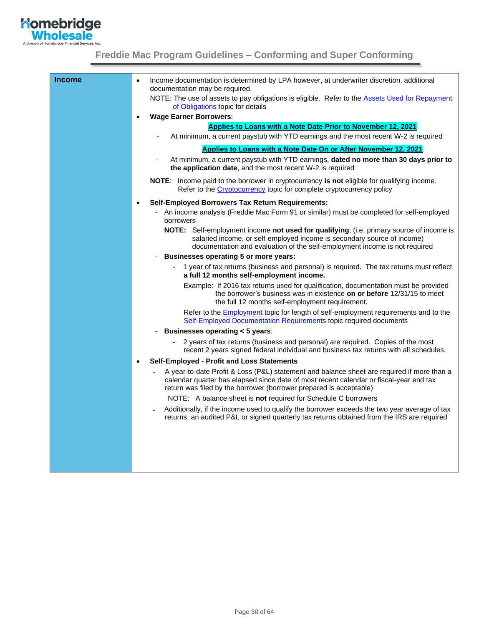

| <b>Income</b> | Income documentation is determined by LPA however, at underwriter discretion, additional<br>$\bullet$<br>documentation may be required.                                                                                                                    |  |  |
|---------------|------------------------------------------------------------------------------------------------------------------------------------------------------------------------------------------------------------------------------------------------------------|--|--|
|               | NOTE: The use of assets to pay obligations is eligible. Refer to the Assets Used for Repayment<br>of Obligations topic for details                                                                                                                         |  |  |
|               | <b>Wage Earner Borrowers:</b>                                                                                                                                                                                                                              |  |  |
|               | Applies to Loans with a Note Date Prior to November 12, 2021                                                                                                                                                                                               |  |  |
|               | At minimum, a current paystub with YTD earnings and the most recent W-2 is required                                                                                                                                                                        |  |  |
|               | Applies to Loans with a Note Date On or After November 12, 2021                                                                                                                                                                                            |  |  |
|               | At minimum, a current paystub with YTD earnings, dated no more than 30 days prior to<br>the application date, and the most recent W-2 is required                                                                                                          |  |  |
|               | NOTE: Income paid to the borrower in cryptocurrency is not eligible for qualifying income.<br>Refer to the <i>Cryptocurrency</i> topic for complete cryptocurrency policy                                                                                  |  |  |
|               | <b>Self-Employed Borrowers Tax Return Requirements:</b>                                                                                                                                                                                                    |  |  |
|               | An income analysis (Freddie Mac Form 91 or similar) must be completed for self-employed<br>borrowers                                                                                                                                                       |  |  |
|               | NOTE: Self-employment income not used for qualifying, (i.e. primary source of income is<br>salaried income, or self-employed income is secondary source of income)<br>documentation and evaluation of the self-employment income is not required           |  |  |
|               | <b>Businesses operating 5 or more years:</b><br>$\blacksquare$                                                                                                                                                                                             |  |  |
|               | 1 year of tax returns (business and personal) is required. The tax returns must reflect<br>a full 12 months self-employment income.                                                                                                                        |  |  |
|               | Example: If 2016 tax returns used for qualification, documentation must be provided<br>the borrower's business was in existence on or before 12/31/15 to meet<br>the full 12 months self-employment requirement.                                           |  |  |
|               | Refer to the <b>Employment</b> topic for length of self-employment requirements and to the<br>Self-Employed Documentation Requirements topic required documents                                                                                            |  |  |
|               | Businesses operating < 5 years:                                                                                                                                                                                                                            |  |  |
|               | 2 years of tax returns (business and personal) are required. Copies of the most<br>recent 2 years signed federal individual and business tax returns with all schedules.                                                                                   |  |  |
|               | Self-Employed - Profit and Loss Statements                                                                                                                                                                                                                 |  |  |
|               | A year-to-date Profit & Loss (P&L) statement and balance sheet are required if more than a<br>calendar quarter has elapsed since date of most recent calendar or fiscal-year end tax<br>return was filed by the borrower (borrower prepared is acceptable) |  |  |
|               | NOTE: A balance sheet is not required for Schedule C borrowers                                                                                                                                                                                             |  |  |
|               | Additionally, if the income used to qualify the borrower exceeds the two year average of tax<br>returns, an audited P&L or signed quarterly tax returns obtained from the IRS are required                                                                 |  |  |
|               |                                                                                                                                                                                                                                                            |  |  |
|               |                                                                                                                                                                                                                                                            |  |  |
|               |                                                                                                                                                                                                                                                            |  |  |
|               |                                                                                                                                                                                                                                                            |  |  |
|               |                                                                                                                                                                                                                                                            |  |  |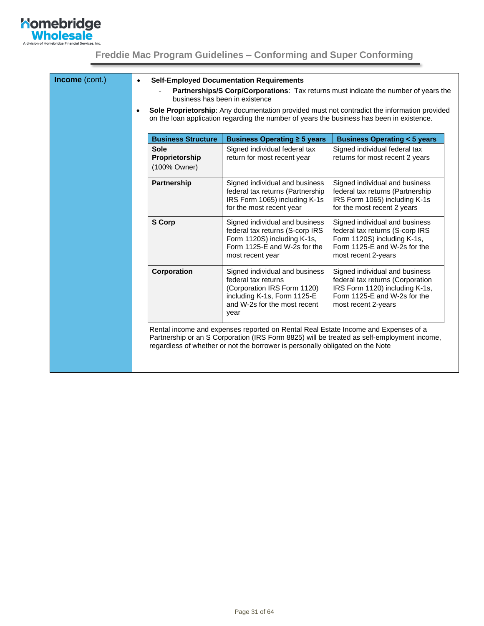

| Income (cont.) | <b>Self-Employed Documentation Requirements</b><br>$\bullet$<br>Partnerships/S Corp/Corporations: Tax returns must indicate the number of years the<br>business has been in existence |                                                                                                                                                                                           |                                                                                                                                                                     |                                                                                                                                                             |
|----------------|---------------------------------------------------------------------------------------------------------------------------------------------------------------------------------------|-------------------------------------------------------------------------------------------------------------------------------------------------------------------------------------------|---------------------------------------------------------------------------------------------------------------------------------------------------------------------|-------------------------------------------------------------------------------------------------------------------------------------------------------------|
|                | $\bullet$                                                                                                                                                                             | Sole Proprietorship: Any documentation provided must not contradict the information provided<br>on the loan application regarding the number of years the business has been in existence. |                                                                                                                                                                     |                                                                                                                                                             |
|                |                                                                                                                                                                                       | <b>Business Structure</b>                                                                                                                                                                 | Business Operating ≥ 5 years                                                                                                                                        | <b>Business Operating &lt; 5 years</b>                                                                                                                      |
|                |                                                                                                                                                                                       | <b>Sole</b><br>Proprietorship<br>(100% Owner)                                                                                                                                             | Signed individual federal tax<br>return for most recent year                                                                                                        | Signed individual federal tax<br>returns for most recent 2 years                                                                                            |
|                |                                                                                                                                                                                       | Partnership                                                                                                                                                                               | Signed individual and business<br>federal tax returns (Partnership<br>IRS Form 1065) including K-1s<br>for the most recent year                                     | Signed individual and business<br>federal tax returns (Partnership<br>IRS Form 1065) including K-1s<br>for the most recent 2 years                          |
|                |                                                                                                                                                                                       | <b>S</b> Corp                                                                                                                                                                             | Signed individual and business<br>federal tax returns (S-corp IRS<br>Form 1120S) including K-1s,<br>Form 1125-E and W-2s for the<br>most recent year                | Signed individual and business<br>federal tax returns (S-corp IRS<br>Form 1120S) including K-1s,<br>Form 1125-E and W-2s for the<br>most recent 2-years     |
|                |                                                                                                                                                                                       | Corporation                                                                                                                                                                               | Signed individual and business<br>federal tax returns<br>(Corporation IRS Form 1120)<br>including K-1s, Form 1125-E<br>and W-2s for the most recent<br>year         | Signed individual and business<br>federal tax returns (Corporation<br>IRS Form 1120) including K-1s,<br>Form 1125-E and W-2s for the<br>most recent 2-years |
|                |                                                                                                                                                                                       |                                                                                                                                                                                           | Rental income and expenses reported on Rental Real Estate Income and Expenses of a<br>regardless of whether or not the borrower is personally obligated on the Note | Partnership or an S Corporation (IRS Form 8825) will be treated as self-employment income,                                                                  |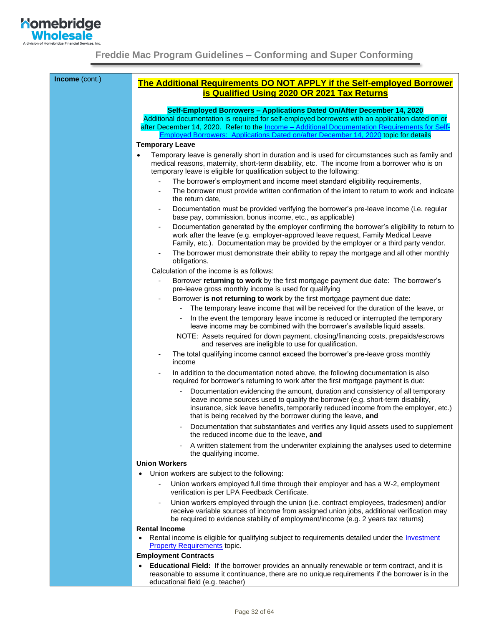

<span id="page-31-0"></span>

| Income (cont.) | The Additional Requirements DO NOT APPLY if the Self-employed Borrower<br>is Qualified Using 2020 OR 2021 Tax Returns                                                                                                                                                                                                                                                |  |  |
|----------------|----------------------------------------------------------------------------------------------------------------------------------------------------------------------------------------------------------------------------------------------------------------------------------------------------------------------------------------------------------------------|--|--|
|                |                                                                                                                                                                                                                                                                                                                                                                      |  |  |
|                | Self-Employed Borrowers - Applications Dated On/After December 14, 2020<br>Additional documentation is required for self-employed borrowers with an application dated on or<br>after December 14, 2020. Refer to the Income - Additional Documentation Requirements for Self-<br>Employed Borrowers: Applications Dated on/after December 14, 2020 topic for details |  |  |
|                | <b>Temporary Leave</b>                                                                                                                                                                                                                                                                                                                                               |  |  |
|                | Temporary leave is generally short in duration and is used for circumstances such as family and<br>$\bullet$<br>medical reasons, maternity, short-term disability, etc. The income from a borrower who is on<br>temporary leave is eligible for qualification subject to the following:                                                                              |  |  |
|                | The borrower's employment and income meet standard eligibility requirements,                                                                                                                                                                                                                                                                                         |  |  |
|                | The borrower must provide written confirmation of the intent to return to work and indicate<br>$\overline{\phantom{0}}$<br>the return date,                                                                                                                                                                                                                          |  |  |
|                | Documentation must be provided verifying the borrower's pre-leave income (i.e. regular<br>$\overline{\phantom{0}}$<br>base pay, commission, bonus income, etc., as applicable)                                                                                                                                                                                       |  |  |
|                | Documentation generated by the employer confirming the borrower's eligibility to return to<br>-<br>work after the leave (e.g. employer-approved leave request, Family Medical Leave<br>Family, etc.). Documentation may be provided by the employer or a third party vendor.                                                                                         |  |  |
|                | The borrower must demonstrate their ability to repay the mortgage and all other monthly<br>-<br>obligations.                                                                                                                                                                                                                                                         |  |  |
|                | Calculation of the income is as follows:                                                                                                                                                                                                                                                                                                                             |  |  |
|                | Borrower returning to work by the first mortgage payment due date: The borrower's<br>pre-leave gross monthly income is used for qualifying                                                                                                                                                                                                                           |  |  |
|                | Borrower is not returning to work by the first mortgage payment due date:                                                                                                                                                                                                                                                                                            |  |  |
|                | The temporary leave income that will be received for the duration of the leave, or                                                                                                                                                                                                                                                                                   |  |  |
|                | In the event the temporary leave income is reduced or interrupted the temporary<br>leave income may be combined with the borrower's available liquid assets.                                                                                                                                                                                                         |  |  |
|                | NOTE: Assets required for down payment, closing/financing costs, prepaids/escrows<br>and reserves are ineligible to use for qualification.                                                                                                                                                                                                                           |  |  |
|                | The total qualifying income cannot exceed the borrower's pre-leave gross monthly<br>income                                                                                                                                                                                                                                                                           |  |  |
|                | In addition to the documentation noted above, the following documentation is also<br>required for borrower's returning to work after the first mortgage payment is due:                                                                                                                                                                                              |  |  |
|                | Documentation evidencing the amount, duration and consistency of all temporary<br>leave income sources used to qualify the borrower (e.g. short-term disability,<br>insurance, sick leave benefits, temporarily reduced income from the employer, etc.)<br>that is being received by the borrower during the leave, and                                              |  |  |
|                | Documentation that substantiates and verifies any liquid assets used to supplement<br>the reduced income due to the leave, and                                                                                                                                                                                                                                       |  |  |
|                | A written statement from the underwriter explaining the analyses used to determine<br>the qualifying income.                                                                                                                                                                                                                                                         |  |  |
|                | <b>Union Workers</b>                                                                                                                                                                                                                                                                                                                                                 |  |  |
|                | Union workers are subject to the following:<br>$\bullet$                                                                                                                                                                                                                                                                                                             |  |  |
|                | Union workers employed full time through their employer and has a W-2, employment<br>verification is per LPA Feedback Certificate.                                                                                                                                                                                                                                   |  |  |
|                | Union workers employed through the union (i.e. contract employees, tradesmen) and/or<br>-<br>receive variable sources of income from assigned union jobs, additional verification may<br>be required to evidence stability of employment/income (e.g. 2 years tax returns)                                                                                           |  |  |
|                | <b>Rental Income</b><br>Rental income is eligible for qualifying subject to requirements detailed under the <i>Investment</i><br>$\bullet$<br><b>Property Requirements topic.</b>                                                                                                                                                                                    |  |  |
|                | <b>Employment Contracts</b>                                                                                                                                                                                                                                                                                                                                          |  |  |
|                | Educational Field: If the borrower provides an annually renewable or term contract, and it is<br>$\bullet$<br>reasonable to assume it continuance, there are no unique requirements if the borrower is in the<br>educational field (e.g. teacher)                                                                                                                    |  |  |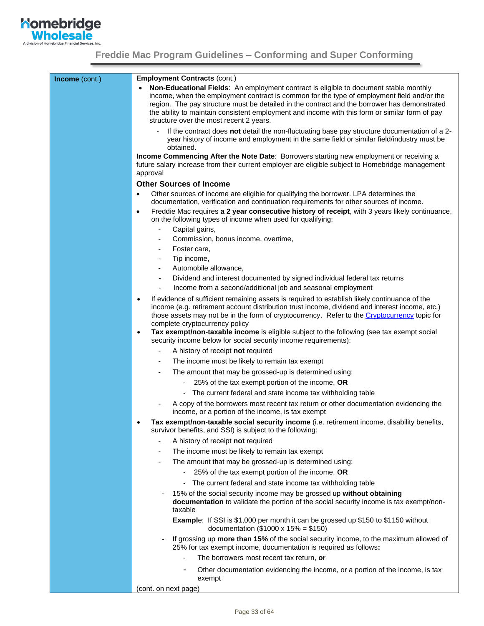

<span id="page-32-1"></span><span id="page-32-0"></span>

| Income (cont.) | <b>Employment Contracts (cont.)</b>                                                                                                                                                                                                                                                                                                                                                                                                                                                                                         |  |  |  |
|----------------|-----------------------------------------------------------------------------------------------------------------------------------------------------------------------------------------------------------------------------------------------------------------------------------------------------------------------------------------------------------------------------------------------------------------------------------------------------------------------------------------------------------------------------|--|--|--|
|                | Non-Educational Fields: An employment contract is eligible to document stable monthly<br>income, when the employment contract is common for the type of employment field and/or the<br>region. The pay structure must be detailed in the contract and the borrower has demonstrated<br>the ability to maintain consistent employment and income with this form or similar form of pay<br>structure over the most recent 2 years.                                                                                            |  |  |  |
|                | If the contract does not detail the non-fluctuating base pay structure documentation of a 2-<br>year history of income and employment in the same field or similar field/industry must be<br>obtained.                                                                                                                                                                                                                                                                                                                      |  |  |  |
|                | <b>Income Commencing After the Note Date:</b> Borrowers starting new employment or receiving a<br>future salary increase from their current employer are eligible subject to Homebridge management<br>approval                                                                                                                                                                                                                                                                                                              |  |  |  |
|                | <b>Other Sources of Income</b>                                                                                                                                                                                                                                                                                                                                                                                                                                                                                              |  |  |  |
|                | Other sources of income are eligible for qualifying the borrower. LPA determines the<br>٠<br>documentation, verification and continuation requirements for other sources of income.<br>Freddie Mac requires a 2 year consecutive history of receipt, with 3 years likely continuance,<br>$\bullet$<br>on the following types of income when used for qualifying:                                                                                                                                                            |  |  |  |
|                | Capital gains,<br>$\overline{\phantom{0}}$                                                                                                                                                                                                                                                                                                                                                                                                                                                                                  |  |  |  |
|                | Commission, bonus income, overtime,                                                                                                                                                                                                                                                                                                                                                                                                                                                                                         |  |  |  |
|                | Foster care,                                                                                                                                                                                                                                                                                                                                                                                                                                                                                                                |  |  |  |
|                | Tip income,<br>$\overline{\phantom{a}}$                                                                                                                                                                                                                                                                                                                                                                                                                                                                                     |  |  |  |
|                | Automobile allowance,<br>$\overline{\phantom{a}}$                                                                                                                                                                                                                                                                                                                                                                                                                                                                           |  |  |  |
|                | Dividend and interest documented by signed individual federal tax returns<br>$\overline{\phantom{a}}$<br>Income from a second/additional job and seasonal employment                                                                                                                                                                                                                                                                                                                                                        |  |  |  |
|                | If evidence of sufficient remaining assets is required to establish likely continuance of the<br>$\bullet$<br>income (e.g. retirement account distribution trust income, dividend and interest income, etc.)<br>those assets may not be in the form of cryptocurrency. Refer to the Cryptocurrency topic for<br>complete cryptocurrency policy<br>Tax exempt/non-taxable income is eligible subject to the following (see tax exempt social<br>$\bullet$<br>security income below for social security income requirements): |  |  |  |
|                | A history of receipt not required<br>-                                                                                                                                                                                                                                                                                                                                                                                                                                                                                      |  |  |  |
|                | The income must be likely to remain tax exempt                                                                                                                                                                                                                                                                                                                                                                                                                                                                              |  |  |  |
|                | The amount that may be grossed-up is determined using:                                                                                                                                                                                                                                                                                                                                                                                                                                                                      |  |  |  |
|                | 25% of the tax exempt portion of the income, OR                                                                                                                                                                                                                                                                                                                                                                                                                                                                             |  |  |  |
|                | - The current federal and state income tax withholding table                                                                                                                                                                                                                                                                                                                                                                                                                                                                |  |  |  |
|                | A copy of the borrowers most recent tax return or other documentation evidencing the<br>income, or a portion of the income, is tax exempt                                                                                                                                                                                                                                                                                                                                                                                   |  |  |  |
|                | Tax exempt/non-taxable social security income (i.e. retirement income, disability benefits,<br>$\bullet$<br>survivor benefits, and SSI) is subject to the following:                                                                                                                                                                                                                                                                                                                                                        |  |  |  |
|                | A history of receipt not required<br>٠                                                                                                                                                                                                                                                                                                                                                                                                                                                                                      |  |  |  |
|                | The income must be likely to remain tax exempt                                                                                                                                                                                                                                                                                                                                                                                                                                                                              |  |  |  |
|                | The amount that may be grossed-up is determined using:                                                                                                                                                                                                                                                                                                                                                                                                                                                                      |  |  |  |
|                | 25% of the tax exempt portion of the income, OR                                                                                                                                                                                                                                                                                                                                                                                                                                                                             |  |  |  |
|                | The current federal and state income tax withholding table<br>$\overline{\phantom{a}}$                                                                                                                                                                                                                                                                                                                                                                                                                                      |  |  |  |
|                | 15% of the social security income may be grossed up without obtaining<br>documentation to validate the portion of the social security income is tax exempt/non-<br>taxable                                                                                                                                                                                                                                                                                                                                                  |  |  |  |
|                | <b>Example:</b> If SSI is \$1,000 per month it can be grossed up \$150 to \$1150 without<br>documentation (\$1000 x 15% = \$150)                                                                                                                                                                                                                                                                                                                                                                                            |  |  |  |
|                | If grossing up more than 15% of the social security income, to the maximum allowed of<br>25% for tax exempt income, documentation is required as follows:                                                                                                                                                                                                                                                                                                                                                                   |  |  |  |
|                | The borrowers most recent tax return, or                                                                                                                                                                                                                                                                                                                                                                                                                                                                                    |  |  |  |
|                | Other documentation evidencing the income, or a portion of the income, is tax<br>exempt                                                                                                                                                                                                                                                                                                                                                                                                                                     |  |  |  |
|                | (cont. on next page)                                                                                                                                                                                                                                                                                                                                                                                                                                                                                                        |  |  |  |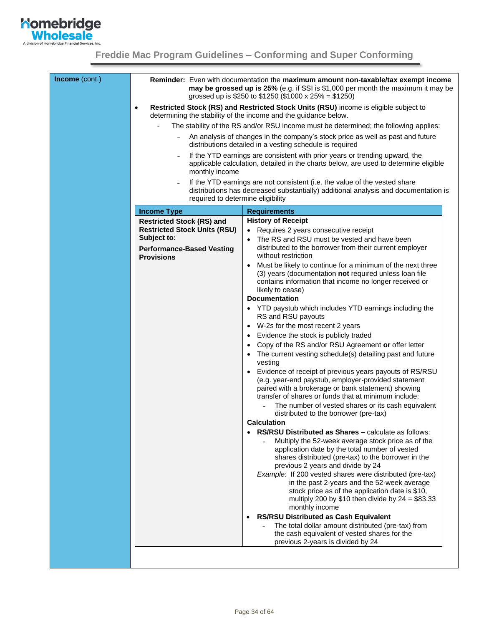

| Income (cont.) | Reminder: Even with documentation the maximum amount non-taxable/tax exempt income<br>may be grossed up is 25% (e.g. if SSI is \$1,000 per month the maximum it may be<br>grossed up is \$250 to \$1250 (\$1000 x 25% = \$1250) |                                                                                                                                                                                                                                                          |  |  |
|----------------|---------------------------------------------------------------------------------------------------------------------------------------------------------------------------------------------------------------------------------|----------------------------------------------------------------------------------------------------------------------------------------------------------------------------------------------------------------------------------------------------------|--|--|
|                | Restricted Stock (RS) and Restricted Stock Units (RSU) income is eligible subject to<br>determining the stability of the income and the guidance below.                                                                         |                                                                                                                                                                                                                                                          |  |  |
|                | The stability of the RS and/or RSU income must be determined; the following applies:                                                                                                                                            |                                                                                                                                                                                                                                                          |  |  |
|                |                                                                                                                                                                                                                                 | An analysis of changes in the company's stock price as well as past and future<br>distributions detailed in a vesting schedule is required                                                                                                               |  |  |
|                | monthly income                                                                                                                                                                                                                  | If the YTD earnings are consistent with prior years or trending upward, the<br>applicable calculation, detailed in the charts below, are used to determine eligible                                                                                      |  |  |
|                |                                                                                                                                                                                                                                 | If the YTD earnings are not consistent (i.e. the value of the vested share<br>distributions has decreased substantially) additional analysis and documentation is<br>required to determine eligibility                                                   |  |  |
|                | <b>Income Type</b>                                                                                                                                                                                                              | <b>Requirements</b>                                                                                                                                                                                                                                      |  |  |
|                | <b>Restricted Stock (RS) and</b>                                                                                                                                                                                                | <b>History of Receipt</b>                                                                                                                                                                                                                                |  |  |
|                | <b>Restricted Stock Units (RSU)</b>                                                                                                                                                                                             | • Requires 2 years consecutive receipt                                                                                                                                                                                                                   |  |  |
|                | Subject to:                                                                                                                                                                                                                     | The RS and RSU must be vested and have been                                                                                                                                                                                                              |  |  |
|                | <b>Performance-Based Vesting</b><br><b>Provisions</b>                                                                                                                                                                           | distributed to the borrower from their current employer<br>without restriction                                                                                                                                                                           |  |  |
|                |                                                                                                                                                                                                                                 | Must be likely to continue for a minimum of the next three<br>$\bullet$<br>(3) years (documentation not required unless loan file<br>contains information that income no longer received or<br>likely to cease)                                          |  |  |
|                |                                                                                                                                                                                                                                 | <b>Documentation</b>                                                                                                                                                                                                                                     |  |  |
|                |                                                                                                                                                                                                                                 | • YTD paystub which includes YTD earnings including the<br>RS and RSU payouts                                                                                                                                                                            |  |  |
|                |                                                                                                                                                                                                                                 | W-2s for the most recent 2 years                                                                                                                                                                                                                         |  |  |
|                |                                                                                                                                                                                                                                 | Evidence the stock is publicly traded                                                                                                                                                                                                                    |  |  |
|                |                                                                                                                                                                                                                                 | Copy of the RS and/or RSU Agreement or offer letter                                                                                                                                                                                                      |  |  |
|                |                                                                                                                                                                                                                                 | The current vesting schedule(s) detailing past and future<br>vesting                                                                                                                                                                                     |  |  |
|                |                                                                                                                                                                                                                                 | Evidence of receipt of previous years payouts of RS/RSU<br>(e.g. year-end paystub, employer-provided statement<br>paired with a brokerage or bank statement) showing<br>transfer of shares or funds that at minimum include:                             |  |  |
|                |                                                                                                                                                                                                                                 | The number of vested shares or its cash equivalent<br>distributed to the borrower (pre-tax)                                                                                                                                                              |  |  |
|                |                                                                                                                                                                                                                                 | <b>Calculation</b>                                                                                                                                                                                                                                       |  |  |
|                |                                                                                                                                                                                                                                 | RS/RSU Distributed as Shares - calculate as follows:<br>Multiply the 52-week average stock price as of the<br>application date by the total number of vested<br>shares distributed (pre-tax) to the borrower in the<br>previous 2 years and divide by 24 |  |  |
|                |                                                                                                                                                                                                                                 | Example: If 200 vested shares were distributed (pre-tax)<br>in the past 2-years and the 52-week average<br>stock price as of the application date is \$10,<br>multiply 200 by \$10 then divide by $24 = $83.33$<br>monthly income                        |  |  |
|                |                                                                                                                                                                                                                                 | <b>RS/RSU Distributed as Cash Equivalent</b><br>$\bullet$<br>The total dollar amount distributed (pre-tax) from<br>the cash equivalent of vested shares for the                                                                                          |  |  |
|                |                                                                                                                                                                                                                                 | previous 2-years is divided by 24                                                                                                                                                                                                                        |  |  |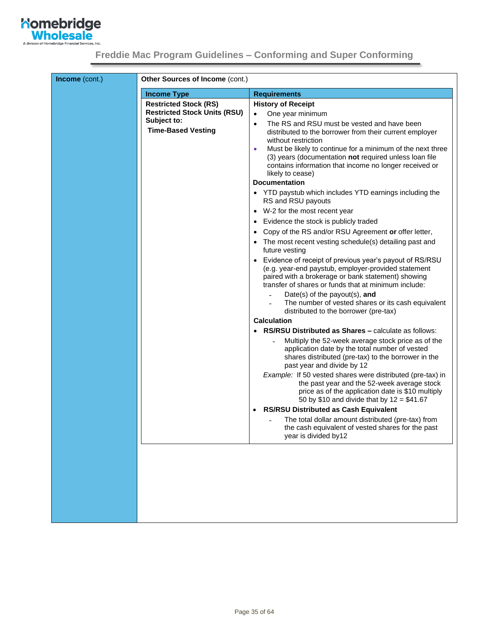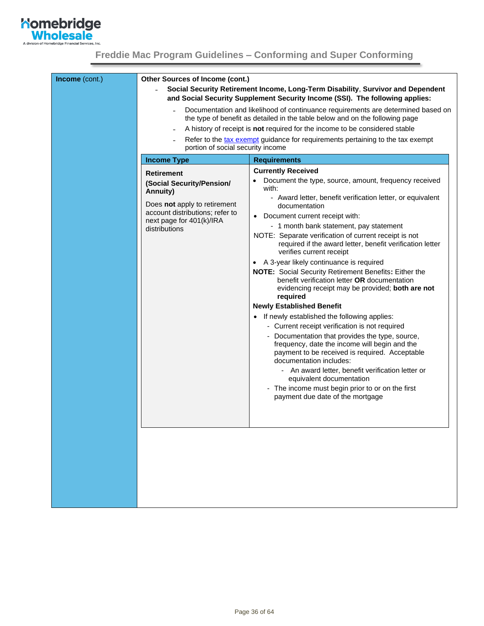

| Income (cont.) | Other Sources of Income (cont.)                                                                                                                                            | Social Security Retirement Income, Long-Term Disability, Survivor and Dependent<br>and Social Security Supplement Security Income (SSI). The following applies:                                                                                                                                                                                                                                                                                                                                                                                                                                                                                                                                                                                                                                                                                                                                                                                                                                                                                                                                                                                                 |  |  |
|----------------|----------------------------------------------------------------------------------------------------------------------------------------------------------------------------|-----------------------------------------------------------------------------------------------------------------------------------------------------------------------------------------------------------------------------------------------------------------------------------------------------------------------------------------------------------------------------------------------------------------------------------------------------------------------------------------------------------------------------------------------------------------------------------------------------------------------------------------------------------------------------------------------------------------------------------------------------------------------------------------------------------------------------------------------------------------------------------------------------------------------------------------------------------------------------------------------------------------------------------------------------------------------------------------------------------------------------------------------------------------|--|--|
|                |                                                                                                                                                                            | Documentation and likelihood of continuance requirements are determined based on<br>the type of benefit as detailed in the table below and on the following page                                                                                                                                                                                                                                                                                                                                                                                                                                                                                                                                                                                                                                                                                                                                                                                                                                                                                                                                                                                                |  |  |
|                |                                                                                                                                                                            | A history of receipt is not required for the income to be considered stable                                                                                                                                                                                                                                                                                                                                                                                                                                                                                                                                                                                                                                                                                                                                                                                                                                                                                                                                                                                                                                                                                     |  |  |
|                |                                                                                                                                                                            | Refer to the tax exempt guidance for requirements pertaining to the tax exempt<br>portion of social security income                                                                                                                                                                                                                                                                                                                                                                                                                                                                                                                                                                                                                                                                                                                                                                                                                                                                                                                                                                                                                                             |  |  |
|                | <b>Income Type</b>                                                                                                                                                         | <b>Requirements</b>                                                                                                                                                                                                                                                                                                                                                                                                                                                                                                                                                                                                                                                                                                                                                                                                                                                                                                                                                                                                                                                                                                                                             |  |  |
|                | <b>Retirement</b><br>(Social Security/Pension/<br>Annuity)<br>Does not apply to retirement<br>account distributions; refer to<br>next page for 401(k)/IRA<br>distributions | <b>Currently Received</b><br>Document the type, source, amount, frequency received<br>with:<br>- Award letter, benefit verification letter, or equivalent<br>documentation<br>Document current receipt with:<br>$\bullet$<br>- 1 month bank statement, pay statement<br>NOTE: Separate verification of current receipt is not<br>required if the award letter, benefit verification letter<br>verifies current receipt<br>A 3-year likely continuance is required<br>$\bullet$<br><b>NOTE:</b> Social Security Retirement Benefits: Either the<br>benefit verification letter OR documentation<br>evidencing receipt may be provided; both are not<br>required<br><b>Newly Established Benefit</b><br>• If newly established the following applies:<br>- Current receipt verification is not required<br>- Documentation that provides the type, source,<br>frequency, date the income will begin and the<br>payment to be received is required. Acceptable<br>documentation includes:<br>- An award letter, benefit verification letter or<br>equivalent documentation<br>- The income must begin prior to or on the first<br>payment due date of the mortgage |  |  |
|                |                                                                                                                                                                            |                                                                                                                                                                                                                                                                                                                                                                                                                                                                                                                                                                                                                                                                                                                                                                                                                                                                                                                                                                                                                                                                                                                                                                 |  |  |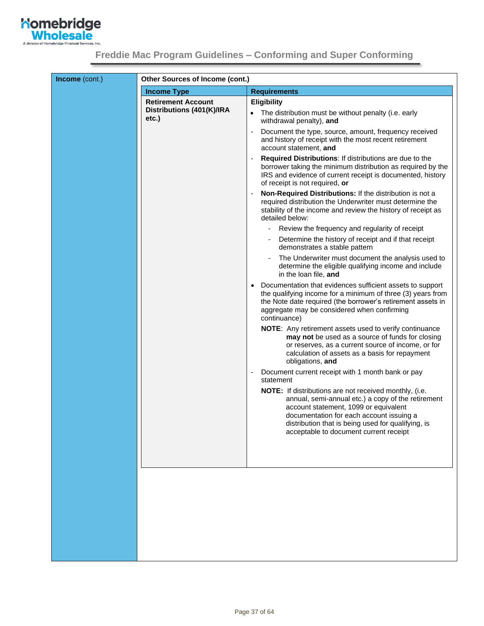

|                                       | <b>Other Sources of Income (cont.)</b>                                                                                                                                                                                                                                                            |  |  |  |  |
|---------------------------------------|---------------------------------------------------------------------------------------------------------------------------------------------------------------------------------------------------------------------------------------------------------------------------------------------------|--|--|--|--|
| <b>Income Type</b>                    | <b>Requirements</b>                                                                                                                                                                                                                                                                               |  |  |  |  |
| <b>Retirement Account</b>             | <b>Eligibility</b>                                                                                                                                                                                                                                                                                |  |  |  |  |
| Distributions (401(K)/IRA<br>$etc.$ ) | The distribution must be without penalty (i.e. early<br>withdrawal penalty), and                                                                                                                                                                                                                  |  |  |  |  |
|                                       | Document the type, source, amount, frequency received<br>and history of receipt with the most recent retirement<br>account statement, and                                                                                                                                                         |  |  |  |  |
|                                       | <b>Required Distributions: If distributions are due to the</b><br>borrower taking the minimum distribution as required by the<br>IRS and evidence of current receipt is documented, history<br>of receipt is not required, or                                                                     |  |  |  |  |
|                                       | Non-Required Distributions: If the distribution is not a<br>required distribution the Underwriter must determine the<br>stability of the income and review the history of receipt as<br>detailed below:                                                                                           |  |  |  |  |
|                                       | Review the frequency and regularity of receipt                                                                                                                                                                                                                                                    |  |  |  |  |
|                                       | Determine the history of receipt and if that receipt<br>demonstrates a stable pattern                                                                                                                                                                                                             |  |  |  |  |
|                                       | The Underwriter must document the analysis used to<br>$\overline{\phantom{a}}$<br>determine the eligible qualifying income and include<br>in the loan file, and                                                                                                                                   |  |  |  |  |
|                                       | Documentation that evidences sufficient assets to support<br>the qualifying income for a minimum of three (3) years from<br>the Note date required (the borrower's retirement assets in<br>aggregate may be considered when confirming<br>continuance)                                            |  |  |  |  |
|                                       | <b>NOTE:</b> Any retirement assets used to verify continuance<br>may not be used as a source of funds for closing<br>or reserves, as a current source of income, or for<br>calculation of assets as a basis for repayment<br>obligations, and                                                     |  |  |  |  |
|                                       | Document current receipt with 1 month bank or pay<br>statement                                                                                                                                                                                                                                    |  |  |  |  |
|                                       | NOTE: If distributions are not received monthly, (i.e.<br>annual, semi-annual etc.) a copy of the retirement<br>account statement, 1099 or equivalent<br>documentation for each account issuing a<br>distribution that is being used for qualifying, is<br>acceptable to document current receipt |  |  |  |  |
|                                       |                                                                                                                                                                                                                                                                                                   |  |  |  |  |
|                                       |                                                                                                                                                                                                                                                                                                   |  |  |  |  |
|                                       |                                                                                                                                                                                                                                                                                                   |  |  |  |  |
|                                       |                                                                                                                                                                                                                                                                                                   |  |  |  |  |
|                                       |                                                                                                                                                                                                                                                                                                   |  |  |  |  |
|                                       |                                                                                                                                                                                                                                                                                                   |  |  |  |  |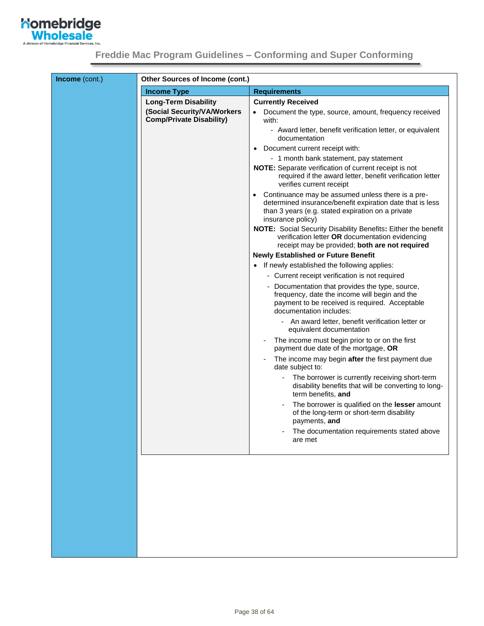

| Income (cont.) | Other Sources of Income (cont.)                                |                                                                                                                                                                                                       |  |  |  |
|----------------|----------------------------------------------------------------|-------------------------------------------------------------------------------------------------------------------------------------------------------------------------------------------------------|--|--|--|
|                | <b>Income Type</b>                                             | <b>Requirements</b>                                                                                                                                                                                   |  |  |  |
|                | <b>Long-Term Disability</b>                                    | <b>Currently Received</b>                                                                                                                                                                             |  |  |  |
|                | (Social Security/VA/Workers<br><b>Comp/Private Disability)</b> | Document the type, source, amount, frequency received<br>with:                                                                                                                                        |  |  |  |
|                |                                                                | - Award letter, benefit verification letter, or equivalent<br>documentation                                                                                                                           |  |  |  |
|                |                                                                | Document current receipt with:<br>$\bullet$                                                                                                                                                           |  |  |  |
|                |                                                                | - 1 month bank statement, pay statement                                                                                                                                                               |  |  |  |
|                |                                                                | NOTE: Separate verification of current receipt is not<br>required if the award letter, benefit verification letter<br>verifies current receipt                                                        |  |  |  |
|                |                                                                | Continuance may be assumed unless there is a pre-<br>$\bullet$<br>determined insurance/benefit expiration date that is less<br>than 3 years (e.g. stated expiration on a private<br>insurance policy) |  |  |  |
|                |                                                                | <b>NOTE:</b> Social Security Disability Benefits: Either the benefit<br>verification letter OR documentation evidencing<br>receipt may be provided; both are not required                             |  |  |  |
|                |                                                                | <b>Newly Established or Future Benefit</b>                                                                                                                                                            |  |  |  |
|                |                                                                | If newly established the following applies:                                                                                                                                                           |  |  |  |
|                |                                                                | - Current receipt verification is not required                                                                                                                                                        |  |  |  |
|                |                                                                | - Documentation that provides the type, source,<br>frequency, date the income will begin and the<br>payment to be received is required. Acceptable<br>documentation includes:                         |  |  |  |
|                |                                                                | - An award letter, benefit verification letter or<br>equivalent documentation                                                                                                                         |  |  |  |
|                |                                                                | The income must begin prior to or on the first<br>payment due date of the mortgage, OR                                                                                                                |  |  |  |
|                |                                                                | The income may begin after the first payment due<br>date subject to:                                                                                                                                  |  |  |  |
|                |                                                                | The borrower is currently receiving short-term<br>disability benefits that will be converting to long-<br>term benefits, and                                                                          |  |  |  |
|                |                                                                | The borrower is qualified on the lesser amount<br>of the long-term or short-term disability<br>payments, and                                                                                          |  |  |  |
|                |                                                                | The documentation requirements stated above<br>are met                                                                                                                                                |  |  |  |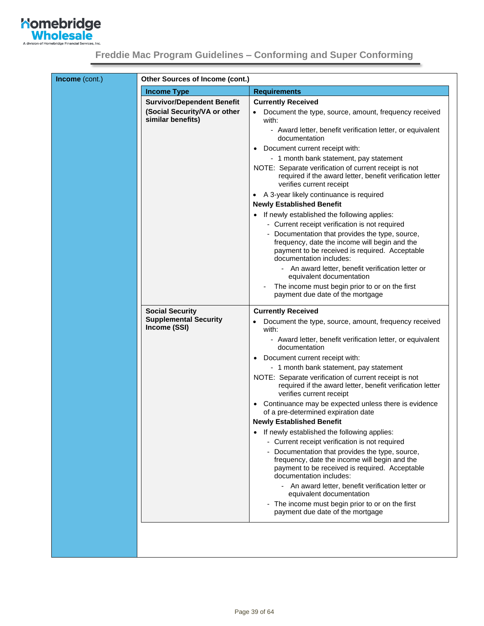

|                                                   | <b>Other Sources of Income (cont.)</b>                                                                                                                                        |  |  |  |
|---------------------------------------------------|-------------------------------------------------------------------------------------------------------------------------------------------------------------------------------|--|--|--|
| <b>Income Type</b>                                | <b>Requirements</b>                                                                                                                                                           |  |  |  |
| <b>Survivor/Dependent Benefit</b>                 | <b>Currently Received</b>                                                                                                                                                     |  |  |  |
| (Social Security/VA or other<br>similar benefits) | Document the type, source, amount, frequency received<br>with:                                                                                                                |  |  |  |
|                                                   | - Award letter, benefit verification letter, or equivalent<br>documentation                                                                                                   |  |  |  |
|                                                   | Document current receipt with:<br>$\bullet$                                                                                                                                   |  |  |  |
|                                                   | - 1 month bank statement, pay statement                                                                                                                                       |  |  |  |
|                                                   | NOTE: Separate verification of current receipt is not<br>required if the award letter, benefit verification letter<br>verifies current receipt                                |  |  |  |
|                                                   | A 3-year likely continuance is required<br>$\bullet$                                                                                                                          |  |  |  |
|                                                   | <b>Newly Established Benefit</b>                                                                                                                                              |  |  |  |
|                                                   | If newly established the following applies:<br>$\bullet$                                                                                                                      |  |  |  |
|                                                   | - Current receipt verification is not required                                                                                                                                |  |  |  |
|                                                   | - Documentation that provides the type, source,<br>frequency, date the income will begin and the<br>payment to be received is required. Acceptable<br>documentation includes: |  |  |  |
|                                                   | - An award letter, benefit verification letter or<br>equivalent documentation                                                                                                 |  |  |  |
|                                                   | The income must begin prior to or on the first<br>payment due date of the mortgage                                                                                            |  |  |  |
| <b>Social Security</b>                            | <b>Currently Received</b>                                                                                                                                                     |  |  |  |
| <b>Supplemental Security</b><br>Income (SSI)      | Document the type, source, amount, frequency received<br>with:                                                                                                                |  |  |  |
|                                                   | - Award letter, benefit verification letter, or equivalent<br>documentation                                                                                                   |  |  |  |
|                                                   | Document current receipt with:<br>$\bullet$                                                                                                                                   |  |  |  |
|                                                   | - 1 month bank statement, pay statement                                                                                                                                       |  |  |  |
|                                                   | NOTE: Separate verification of current receipt is not<br>required if the award letter, benefit verification letter<br>verifies current receipt                                |  |  |  |
|                                                   | Continuance may be expected unless there is evidence<br>$\bullet$<br>of a pre-determined expiration date                                                                      |  |  |  |
|                                                   | <b>Newly Established Benefit</b>                                                                                                                                              |  |  |  |
|                                                   | If newly established the following applies:<br>٠                                                                                                                              |  |  |  |
|                                                   | - Current receipt verification is not required                                                                                                                                |  |  |  |
|                                                   | Documentation that provides the type, source,<br>frequency, date the income will begin and the<br>payment to be received is required. Acceptable<br>documentation includes:   |  |  |  |
|                                                   | - An award letter, benefit verification letter or<br>equivalent documentation                                                                                                 |  |  |  |
|                                                   | - The income must begin prior to or on the first<br>payment due date of the mortgage                                                                                          |  |  |  |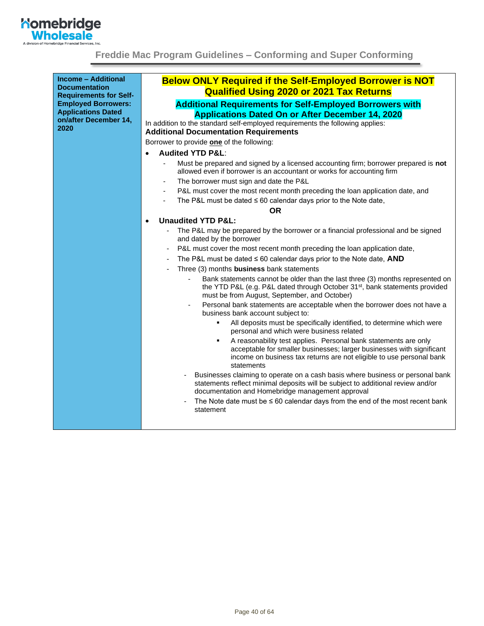

<span id="page-39-0"></span>

| <b>Income - Additional</b><br><b>Documentation</b> | <b>Below ONLY Required if the Self-Employed Borrower is NOT</b>                                                                                                                                                                     |
|----------------------------------------------------|-------------------------------------------------------------------------------------------------------------------------------------------------------------------------------------------------------------------------------------|
| <b>Requirements for Self-</b>                      | <b>Qualified Using 2020 or 2021 Tax Returns</b>                                                                                                                                                                                     |
| <b>Employed Borrowers:</b>                         | <b>Additional Requirements for Self-Employed Borrowers with</b>                                                                                                                                                                     |
| <b>Applications Dated</b>                          | <b>Applications Dated On or After December 14, 2020</b>                                                                                                                                                                             |
| on/after December 14,                              | In addition to the standard self-employed requirements the following applies:                                                                                                                                                       |
| 2020                                               | <b>Additional Documentation Requirements</b>                                                                                                                                                                                        |
|                                                    | Borrower to provide one of the following:                                                                                                                                                                                           |
|                                                    | <b>Audited YTD P&amp;L:</b>                                                                                                                                                                                                         |
|                                                    | Must be prepared and signed by a licensed accounting firm; borrower prepared is not                                                                                                                                                 |
|                                                    | allowed even if borrower is an accountant or works for accounting firm                                                                                                                                                              |
|                                                    | The borrower must sign and date the P&L<br>$\qquad \qquad \blacksquare$                                                                                                                                                             |
|                                                    | P&L must cover the most recent month preceding the loan application date, and<br>$\overline{\phantom{a}}$                                                                                                                           |
|                                                    | The P&L must be dated $\leq 60$ calendar days prior to the Note date,<br>$\overline{\phantom{a}}$                                                                                                                                   |
|                                                    | <b>OR</b>                                                                                                                                                                                                                           |
|                                                    | <b>Unaudited YTD P&amp;L:</b><br>$\bullet$                                                                                                                                                                                          |
|                                                    | The P&L may be prepared by the borrower or a financial professional and be signed<br>and dated by the borrower                                                                                                                      |
|                                                    | P&L must cover the most recent month preceding the loan application date,                                                                                                                                                           |
|                                                    | The P&L must be dated $\leq 60$ calendar days prior to the Note date, AND                                                                                                                                                           |
|                                                    | Three (3) months business bank statements                                                                                                                                                                                           |
|                                                    | Bank statements cannot be older than the last three (3) months represented on<br>the YTD P&L (e.g. P&L dated through October 31 <sup>st</sup> , bank statements provided<br>must be from August, September, and October)            |
|                                                    | Personal bank statements are acceptable when the borrower does not have a<br>business bank account subject to:                                                                                                                      |
|                                                    | All deposits must be specifically identified, to determine which were<br>personal and which were business related                                                                                                                   |
|                                                    | A reasonability test applies. Personal bank statements are only<br>٠<br>acceptable for smaller businesses; larger businesses with significant<br>income on business tax returns are not eligible to use personal bank<br>statements |
|                                                    | Businesses claiming to operate on a cash basis where business or personal bank<br>statements reflect minimal deposits will be subject to additional review and/or<br>documentation and Homebridge management approval               |
|                                                    | The Note date must be $\leq 60$ calendar days from the end of the most recent bank<br>statement                                                                                                                                     |
|                                                    |                                                                                                                                                                                                                                     |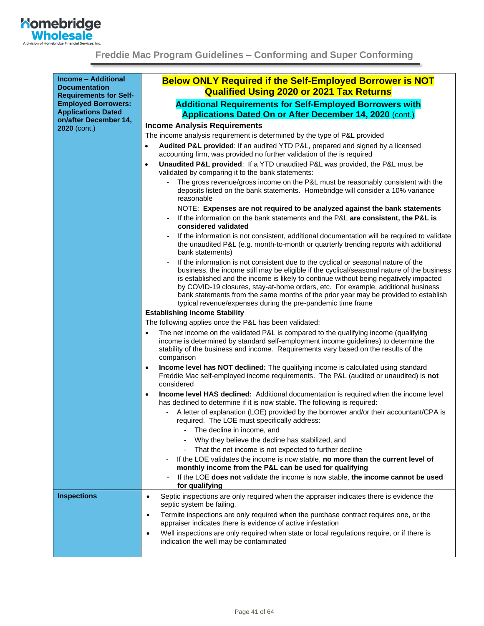

| <b>Income - Additional</b><br><b>Documentation</b>                                       | <b>Below ONLY Required if the Self-Employed Borrower is NOT</b><br><b>Qualified Using 2020 or 2021 Tax Returns</b>                                                                                                                                                                                                                                                                                                                                                                                                  |
|------------------------------------------------------------------------------------------|---------------------------------------------------------------------------------------------------------------------------------------------------------------------------------------------------------------------------------------------------------------------------------------------------------------------------------------------------------------------------------------------------------------------------------------------------------------------------------------------------------------------|
| <b>Requirements for Self-</b><br><b>Employed Borrowers:</b><br><b>Applications Dated</b> | <b>Additional Requirements for Self-Employed Borrowers with</b>                                                                                                                                                                                                                                                                                                                                                                                                                                                     |
| on/after December 14,                                                                    | <b>Applications Dated On or After December 14, 2020 (cont.)</b>                                                                                                                                                                                                                                                                                                                                                                                                                                                     |
| 2020 (cont.)                                                                             | <b>Income Analysis Requirements</b>                                                                                                                                                                                                                                                                                                                                                                                                                                                                                 |
|                                                                                          | The income analysis requirement is determined by the type of P&L provided                                                                                                                                                                                                                                                                                                                                                                                                                                           |
|                                                                                          | Audited P&L provided: If an audited YTD P&L, prepared and signed by a licensed<br>accounting firm, was provided no further validation of the is required                                                                                                                                                                                                                                                                                                                                                            |
|                                                                                          | Unaudited P&L provided: If a YTD unaudited P&L was provided, the P&L must be<br>validated by comparing it to the bank statements:                                                                                                                                                                                                                                                                                                                                                                                   |
|                                                                                          | The gross revenue/gross income on the P&L must be reasonably consistent with the<br>deposits listed on the bank statements. Homebridge will consider a 10% variance<br>reasonable                                                                                                                                                                                                                                                                                                                                   |
|                                                                                          | NOTE: Expenses are not required to be analyzed against the bank statements                                                                                                                                                                                                                                                                                                                                                                                                                                          |
|                                                                                          | If the information on the bank statements and the P&L are consistent, the P&L is<br>considered validated                                                                                                                                                                                                                                                                                                                                                                                                            |
|                                                                                          | If the information is not consistent, additional documentation will be required to validate<br>the unaudited P&L (e.g. month-to-month or quarterly trending reports with additional<br>bank statements)                                                                                                                                                                                                                                                                                                             |
|                                                                                          | If the information is not consistent due to the cyclical or seasonal nature of the<br>business, the income still may be eligible if the cyclical/seasonal nature of the business<br>is established and the income is likely to continue without being negatively impacted<br>by COVID-19 closures, stay-at-home orders, etc. For example, additional business<br>bank statements from the same months of the prior year may be provided to establish<br>typical revenue/expenses during the pre-pandemic time frame |
|                                                                                          | <b>Establishing Income Stability</b>                                                                                                                                                                                                                                                                                                                                                                                                                                                                                |
|                                                                                          | The following applies once the P&L has been validated:                                                                                                                                                                                                                                                                                                                                                                                                                                                              |
|                                                                                          | The net income on the validated P&L is compared to the qualifying income (qualifying<br>$\bullet$<br>income is determined by standard self-employment income guidelines) to determine the<br>stability of the business and income. Requirements vary based on the results of the<br>comparison                                                                                                                                                                                                                      |
|                                                                                          | Income level has NOT declined: The qualifying income is calculated using standard<br>$\bullet$<br>Freddie Mac self-employed income requirements. The P&L (audited or unaudited) is not<br>considered                                                                                                                                                                                                                                                                                                                |
|                                                                                          | Income level HAS declined: Additional documentation is required when the income level<br>$\bullet$<br>has declined to determine if it is now stable. The following is required:                                                                                                                                                                                                                                                                                                                                     |
|                                                                                          | A letter of explanation (LOE) provided by the borrower and/or their accountant/CPA is<br>required. The LOE must specifically address:                                                                                                                                                                                                                                                                                                                                                                               |
|                                                                                          | The decline in income, and                                                                                                                                                                                                                                                                                                                                                                                                                                                                                          |
|                                                                                          | Why they believe the decline has stabilized, and                                                                                                                                                                                                                                                                                                                                                                                                                                                                    |
|                                                                                          | That the net income is not expected to further decline                                                                                                                                                                                                                                                                                                                                                                                                                                                              |
|                                                                                          | If the LOE validates the income is now stable, no more than the current level of<br>monthly income from the P&L can be used for qualifying                                                                                                                                                                                                                                                                                                                                                                          |
|                                                                                          | If the LOE does not validate the income is now stable, the income cannot be used<br>for qualifying                                                                                                                                                                                                                                                                                                                                                                                                                  |
| <b>Inspections</b>                                                                       | Septic inspections are only required when the appraiser indicates there is evidence the<br>$\bullet$<br>septic system be failing.                                                                                                                                                                                                                                                                                                                                                                                   |
|                                                                                          | Termite inspections are only required when the purchase contract requires one, or the<br>$\bullet$<br>appraiser indicates there is evidence of active infestation                                                                                                                                                                                                                                                                                                                                                   |
|                                                                                          | Well inspections are only required when state or local regulations require, or if there is<br>$\bullet$<br>indication the well may be contaminated                                                                                                                                                                                                                                                                                                                                                                  |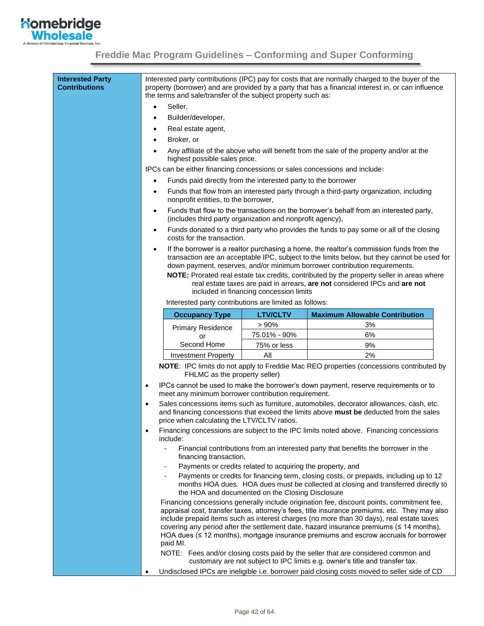

<span id="page-41-0"></span>

| <b>Interested Party</b><br><b>Contributions</b> |                                                                                                                                                                                                                                                | the terms and sale/transfer of the subject property such as:               |                                                            | Interested party contributions (IPC) pay for costs that are normally charged to the buyer of the<br>property (borrower) and are provided by a party that has a financial interest in, or can influence                                                                                                                                                                       |
|-------------------------------------------------|------------------------------------------------------------------------------------------------------------------------------------------------------------------------------------------------------------------------------------------------|----------------------------------------------------------------------------|------------------------------------------------------------|------------------------------------------------------------------------------------------------------------------------------------------------------------------------------------------------------------------------------------------------------------------------------------------------------------------------------------------------------------------------------|
|                                                 | $\bullet$                                                                                                                                                                                                                                      | Seller,                                                                    |                                                            |                                                                                                                                                                                                                                                                                                                                                                              |
|                                                 | Builder/developer,                                                                                                                                                                                                                             |                                                                            |                                                            |                                                                                                                                                                                                                                                                                                                                                                              |
|                                                 | Real estate agent,                                                                                                                                                                                                                             |                                                                            |                                                            |                                                                                                                                                                                                                                                                                                                                                                              |
|                                                 | Broker, or                                                                                                                                                                                                                                     |                                                                            |                                                            |                                                                                                                                                                                                                                                                                                                                                                              |
|                                                 |                                                                                                                                                                                                                                                | highest possible sales price.                                              |                                                            | Any affiliate of the above who will benefit from the sale of the property and/or at the                                                                                                                                                                                                                                                                                      |
|                                                 |                                                                                                                                                                                                                                                | IPCs can be either financing concessions or sales concessions and include: |                                                            |                                                                                                                                                                                                                                                                                                                                                                              |
|                                                 |                                                                                                                                                                                                                                                | Funds paid directly from the interested party to the borrower              |                                                            |                                                                                                                                                                                                                                                                                                                                                                              |
|                                                 |                                                                                                                                                                                                                                                | nonprofit entities, to the borrower,                                       |                                                            | Funds that flow from an interested party through a third-party organization, including                                                                                                                                                                                                                                                                                       |
|                                                 | $\bullet$                                                                                                                                                                                                                                      | (includes third party organization and nonprofit agency),                  |                                                            | Funds that flow to the transactions on the borrower's behalf from an interested party,                                                                                                                                                                                                                                                                                       |
|                                                 | $\bullet$                                                                                                                                                                                                                                      | costs for the transaction.                                                 |                                                            | Funds donated to a third party who provides the funds to pay some or all of the closing                                                                                                                                                                                                                                                                                      |
|                                                 | $\bullet$                                                                                                                                                                                                                                      |                                                                            |                                                            | If the borrower is a realtor purchasing a home, the realtor's commission funds from the<br>transaction are an acceptable IPC, subject to the limits below, but they cannot be used for<br>down payment, reserves, and/or minimum borrower contribution requirements.                                                                                                         |
|                                                 |                                                                                                                                                                                                                                                |                                                                            | included in financing concession limits                    | NOTE: Prorated real estate tax credits, contributed by the property seller in areas where<br>real estate taxes are paid in arrears, are not considered IPCs and are not                                                                                                                                                                                                      |
|                                                 |                                                                                                                                                                                                                                                | Interested party contributions are limited as follows:                     |                                                            |                                                                                                                                                                                                                                                                                                                                                                              |
|                                                 |                                                                                                                                                                                                                                                | <b>Occupancy Type</b>                                                      | <b>LTV/CLTV</b>                                            | <b>Maximum Allowable Contribution</b>                                                                                                                                                                                                                                                                                                                                        |
|                                                 |                                                                                                                                                                                                                                                | <b>Primary Residence</b>                                                   | > 90%                                                      | 3%                                                                                                                                                                                                                                                                                                                                                                           |
|                                                 |                                                                                                                                                                                                                                                | or                                                                         | 75.01% - 90%                                               | 6%                                                                                                                                                                                                                                                                                                                                                                           |
|                                                 |                                                                                                                                                                                                                                                | Second Home                                                                | 75% or less                                                | 9%<br>2%                                                                                                                                                                                                                                                                                                                                                                     |
|                                                 |                                                                                                                                                                                                                                                | <b>Investment Property</b>                                                 | All                                                        |                                                                                                                                                                                                                                                                                                                                                                              |
|                                                 | NOTE: IPC limits do not apply to Freddie Mac REO properties (concessions contributed by<br>FHLMC as the property seller)                                                                                                                       |                                                                            |                                                            |                                                                                                                                                                                                                                                                                                                                                                              |
|                                                 | $\bullet$                                                                                                                                                                                                                                      | meet any minimum borrower contribution requirement.                        |                                                            | IPCs cannot be used to make the borrower's down payment, reserve requirements or to                                                                                                                                                                                                                                                                                          |
|                                                 | Sales concessions items such as furniture, automobiles, decorator allowances, cash, etc.<br>$\bullet$<br>and financing concessions that exceed the limits above must be deducted from the sales<br>price when calculating the LTV/CLTV ratios. |                                                                            |                                                            |                                                                                                                                                                                                                                                                                                                                                                              |
|                                                 |                                                                                                                                                                                                                                                | include:                                                                   |                                                            | Financing concessions are subject to the IPC limits noted above. Financing concessions                                                                                                                                                                                                                                                                                       |
|                                                 |                                                                                                                                                                                                                                                | ä,<br>financing transaction,                                               |                                                            | Financial contributions from an interested party that benefits the borrower in the                                                                                                                                                                                                                                                                                           |
|                                                 |                                                                                                                                                                                                                                                | ۰                                                                          | Payments or credits related to acquiring the property, and |                                                                                                                                                                                                                                                                                                                                                                              |
|                                                 |                                                                                                                                                                                                                                                |                                                                            | the HOA and documented on the Closing Disclosure           | Payments or credits for financing term, closing costs, or prepaids, including up to 12<br>months HOA dues. HOA dues must be collected at closing and transferred directly to                                                                                                                                                                                                 |
|                                                 |                                                                                                                                                                                                                                                |                                                                            |                                                            | Financing concessions generally include origination fee, discount points, commitment fee,                                                                                                                                                                                                                                                                                    |
|                                                 |                                                                                                                                                                                                                                                | paid MI.                                                                   |                                                            | appraisal cost, transfer taxes, attorney's fees, title insurance premiums, etc. They may also<br>include prepaid items such as interest charges (no more than 30 days), real estate taxes<br>covering any period after the settlement date, hazard insurance premiums (≤ 14 months),<br>HOA dues (≤ 12 months), mortgage insurance premiums and escrow accruals for borrower |
|                                                 | $\bullet$                                                                                                                                                                                                                                      |                                                                            |                                                            | NOTE: Fees and/or closing costs paid by the seller that are considered common and<br>customary are not subject to IPC limits e.g. owner's title and transfer tax.<br>Undisclosed IPCs are ineligible i.e. borrower paid closing costs moved to seller side of CD                                                                                                             |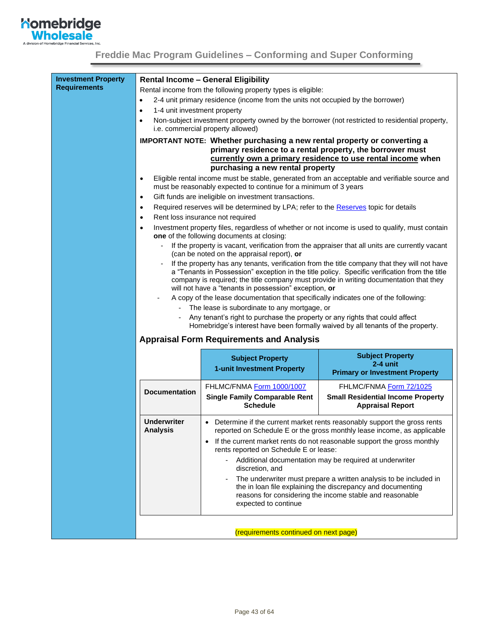

| <b>Requirements</b> |                                           | <b>Rental Income - General Eligibility</b>                                           |                                                                                                                                                    |
|---------------------|-------------------------------------------|--------------------------------------------------------------------------------------|----------------------------------------------------------------------------------------------------------------------------------------------------|
|                     |                                           | Rental income from the following property types is eligible:                         |                                                                                                                                                    |
|                     | $\bullet$                                 | 2-4 unit primary residence (income from the units not occupied by the borrower)      |                                                                                                                                                    |
|                     | 1-4 unit investment property<br>$\bullet$ |                                                                                      |                                                                                                                                                    |
|                     | $\bullet$                                 | i.e. commercial property allowed)                                                    | Non-subject investment property owned by the borrower (not restricted to residential property,                                                     |
|                     |                                           | IMPORTANT NOTE: Whether purchasing a new rental property or converting a             |                                                                                                                                                    |
|                     |                                           |                                                                                      | primary residence to a rental property, the borrower must                                                                                          |
|                     |                                           |                                                                                      | currently own a primary residence to use rental income when                                                                                        |
|                     |                                           | purchasing a new rental property                                                     |                                                                                                                                                    |
|                     | $\bullet$                                 | must be reasonably expected to continue for a minimum of 3 years                     | Eligible rental income must be stable, generated from an acceptable and verifiable source and                                                      |
|                     | $\bullet$                                 | Gift funds are ineligible on investment transactions.                                |                                                                                                                                                    |
|                     | $\bullet$                                 | Required reserves will be determined by LPA; refer to the Reserves topic for details |                                                                                                                                                    |
|                     | $\bullet$                                 | Rent loss insurance not required                                                     |                                                                                                                                                    |
|                     | $\bullet$                                 | one of the following documents at closing:                                           | Investment property files, regardless of whether or not income is used to qualify, must contain                                                    |
|                     |                                           | (can be noted on the appraisal report), or                                           | If the property is vacant, verification from the appraiser that all units are currently vacant                                                     |
|                     |                                           |                                                                                      | If the property has any tenants, verification from the title company that they will not have                                                       |
|                     |                                           |                                                                                      | a "Tenants in Possession" exception in the title policy. Specific verification from the title                                                      |
|                     |                                           | will not have a "tenants in possession" exception, or                                | company is required; the title company must provide in writing documentation that they                                                             |
|                     |                                           | A copy of the lease documentation that specifically indicates one of the following:  |                                                                                                                                                    |
|                     |                                           | The lease is subordinate to any mortgage, or                                         |                                                                                                                                                    |
|                     |                                           | Any tenant's right to purchase the property or any rights that could affect          |                                                                                                                                                    |
|                     |                                           |                                                                                      | Homebridge's interest have been formally waived by all tenants of the property.                                                                    |
|                     |                                           |                                                                                      |                                                                                                                                                    |
|                     |                                           | <b>Appraisal Form Requirements and Analysis</b>                                      |                                                                                                                                                    |
|                     |                                           | <b>Subject Property</b>                                                              | <b>Subject Property</b>                                                                                                                            |
|                     |                                           | 1-unit Investment Property                                                           | $2-4$ unit<br><b>Primary or Investment Property</b>                                                                                                |
|                     |                                           | FHLMC/FNMA Form 1000/1007                                                            | FHLMC/FNMA Form 72/1025                                                                                                                            |
|                     | <b>Documentation</b>                      | <b>Single Family Comparable Rent</b><br><b>Schedule</b>                              | <b>Small Residential Income Property</b><br><b>Appraisal Report</b>                                                                                |
|                     | <b>Underwriter</b><br><b>Analysis</b>     |                                                                                      | • Determine if the current market rents reasonably support the gross rents                                                                         |
|                     |                                           |                                                                                      | reported on Schedule E or the gross monthly lease income, as applicable<br>If the current market rents do not reasonable support the gross monthly |
|                     |                                           | rents reported on Schedule E or lease:                                               |                                                                                                                                                    |
|                     |                                           | discretion, and                                                                      | Additional documentation may be required at underwriter                                                                                            |
|                     |                                           |                                                                                      | The underwriter must prepare a written analysis to be included in                                                                                  |
|                     |                                           | expected to continue                                                                 | the in loan file explaining the discrepancy and documenting<br>reasons for considering the income stable and reasonable                            |
|                     |                                           |                                                                                      |                                                                                                                                                    |
|                     |                                           | (requirements continued on next page)                                                |                                                                                                                                                    |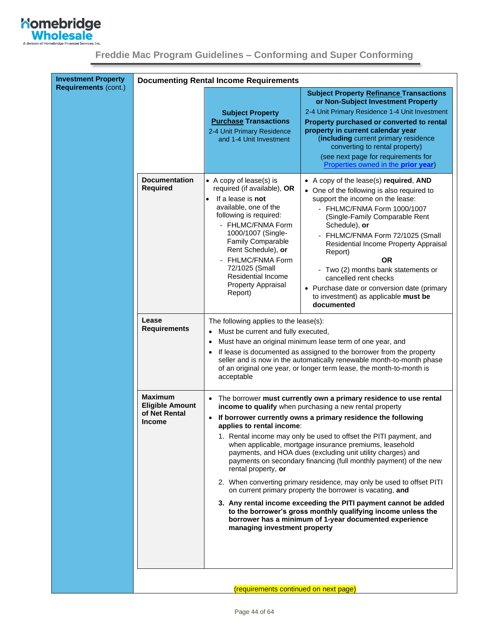

<span id="page-43-1"></span>

|  |  | Freddie Mac Program Guidelines - Conforming and Super Conforming |  |
|--|--|------------------------------------------------------------------|--|
|  |  |                                                                  |  |

<span id="page-43-0"></span>

| <b>Investment Property</b><br><b>Requirements (cont.)</b> |                                                                            | <b>Documenting Rental Income Requirements</b>                                                                                                                                                                                                                                                                    |                                                                                                                                                                                                                                                                                                                                                                                                                                                                                                                                                                                                                                                                                                                                                                                                     |
|-----------------------------------------------------------|----------------------------------------------------------------------------|------------------------------------------------------------------------------------------------------------------------------------------------------------------------------------------------------------------------------------------------------------------------------------------------------------------|-----------------------------------------------------------------------------------------------------------------------------------------------------------------------------------------------------------------------------------------------------------------------------------------------------------------------------------------------------------------------------------------------------------------------------------------------------------------------------------------------------------------------------------------------------------------------------------------------------------------------------------------------------------------------------------------------------------------------------------------------------------------------------------------------------|
|                                                           |                                                                            | <b>Subject Property</b><br><b>Purchase Transactions</b><br>2-4 Unit Primary Residence<br>and 1-4 Unit Investment                                                                                                                                                                                                 | <b>Subject Property Refinance Transactions</b><br>or Non-Subject Investment Property<br>2-4 Unit Primary Residence 1-4 Unit Investment<br>Property purchased or converted to rental<br>property in current calendar year<br>(including current primary residence<br>converting to rental property)<br>(see next page for requirements for<br>Properties owned in the prior year)                                                                                                                                                                                                                                                                                                                                                                                                                    |
|                                                           | <b>Documentation</b><br><b>Required</b>                                    | • A copy of lease(s) is<br>required (if available), OR<br>If a lease is not<br>available, one of the<br>following is required:<br>- FHLMC/FNMA Form<br>1000/1007 (Single-<br>Family Comparable<br>Rent Schedule), or<br>FHLMC/FNMA Form<br>72/1025 (Small<br>Residential Income<br>Property Appraisal<br>Report) | • A copy of the lease(s) required, AND<br>• One of the following is also required to<br>support the income on the lease:<br>- FHLMC/FNMA Form 1000/1007<br>(Single-Family Comparable Rent)<br>Schedule), or<br>FHLMC/FNMA Form 72/1025 (Small<br>Residential Income Property Appraisal<br>Report)<br><b>OR</b><br>- Two (2) months bank statements or<br>cancelled rent checks<br>• Purchase date or conversion date (primary<br>to investment) as applicable must be<br>documented                                                                                                                                                                                                                                                                                                                 |
|                                                           | Lease<br><b>Requirements</b>                                               | The following applies to the lease(s):<br>Must be current and fully executed,<br>$\bullet$<br>acceptable                                                                                                                                                                                                         | Must have an original minimum lease term of one year, and<br>If lease is documented as assigned to the borrower from the property<br>seller and is now in the automatically renewable month-to-month phase<br>of an original one year, or longer term lease, the month-to-month is                                                                                                                                                                                                                                                                                                                                                                                                                                                                                                                  |
|                                                           | <b>Maximum</b><br><b>Eligible Amount</b><br>of Net Rental<br><b>Income</b> | $\bullet$<br>applies to rental income:<br>rental property, or<br>managing investment property                                                                                                                                                                                                                    | The borrower must currently own a primary residence to use rental<br>income to qualify when purchasing a new rental property<br>If borrower currently owns a primary residence the following<br>1. Rental income may only be used to offset the PITI payment, and<br>when applicable, mortgage insurance premiums, leasehold<br>payments, and HOA dues (excluding unit utility charges) and<br>payments on secondary financing (full monthly payment) of the new<br>2. When converting primary residence, may only be used to offset PITI<br>on current primary property the borrower is vacating, and<br>3. Any rental income exceeding the PITI payment cannot be added<br>to the borrower's gross monthly qualifying income unless the<br>borrower has a minimum of 1-year documented experience |
|                                                           |                                                                            | (requirements continued on next page)                                                                                                                                                                                                                                                                            |                                                                                                                                                                                                                                                                                                                                                                                                                                                                                                                                                                                                                                                                                                                                                                                                     |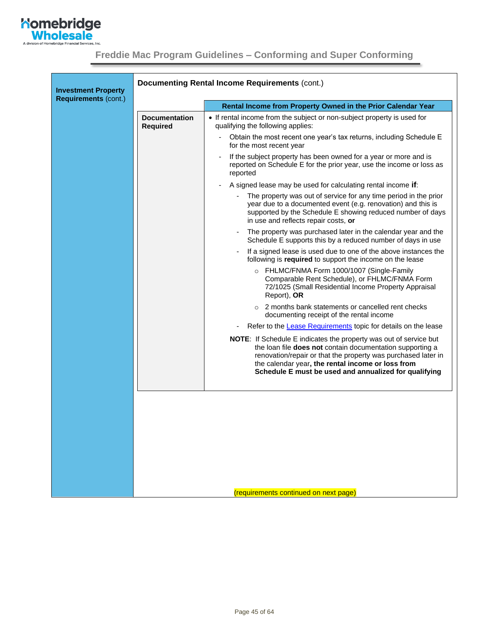

<span id="page-44-0"></span>

| <b>Investment Property</b>  | <b>Documenting Rental Income Requirements (cont.)</b> |                                                                                                                                                                                                                                                                                                                      |  |
|-----------------------------|-------------------------------------------------------|----------------------------------------------------------------------------------------------------------------------------------------------------------------------------------------------------------------------------------------------------------------------------------------------------------------------|--|
| <b>Requirements (cont.)</b> |                                                       | Rental Income from Property Owned in the Prior Calendar Year                                                                                                                                                                                                                                                         |  |
|                             | <b>Documentation</b><br><b>Required</b>               | • If rental income from the subject or non-subject property is used for<br>qualifying the following applies:                                                                                                                                                                                                         |  |
|                             |                                                       | Obtain the most recent one year's tax returns, including Schedule E<br>for the most recent year                                                                                                                                                                                                                      |  |
|                             |                                                       | If the subject property has been owned for a year or more and is<br>reported on Schedule E for the prior year, use the income or loss as<br>reported                                                                                                                                                                 |  |
|                             |                                                       | A signed lease may be used for calculating rental income if:                                                                                                                                                                                                                                                         |  |
|                             |                                                       | The property was out of service for any time period in the prior<br>year due to a documented event (e.g. renovation) and this is<br>supported by the Schedule E showing reduced number of days<br>in use and reflects repair costs, or                                                                               |  |
|                             |                                                       | The property was purchased later in the calendar year and the<br>Schedule E supports this by a reduced number of days in use                                                                                                                                                                                         |  |
|                             |                                                       | If a signed lease is used due to one of the above instances the<br>following is required to support the income on the lease                                                                                                                                                                                          |  |
|                             |                                                       | o FHLMC/FNMA Form 1000/1007 (Single-Family<br>Comparable Rent Schedule), or FHLMC/FNMA Form<br>72/1025 (Small Residential Income Property Appraisal<br>Report), OR                                                                                                                                                   |  |
|                             |                                                       | $\circ$ 2 months bank statements or cancelled rent checks<br>documenting receipt of the rental income                                                                                                                                                                                                                |  |
|                             |                                                       | Refer to the Lease Requirements topic for details on the lease                                                                                                                                                                                                                                                       |  |
|                             |                                                       | <b>NOTE:</b> If Schedule E indicates the property was out of service but<br>the loan file does not contain documentation supporting a<br>renovation/repair or that the property was purchased later in<br>the calendar year, the rental income or loss from<br>Schedule E must be used and annualized for qualifying |  |
|                             |                                                       |                                                                                                                                                                                                                                                                                                                      |  |
|                             |                                                       |                                                                                                                                                                                                                                                                                                                      |  |
|                             |                                                       |                                                                                                                                                                                                                                                                                                                      |  |
|                             |                                                       |                                                                                                                                                                                                                                                                                                                      |  |
|                             |                                                       |                                                                                                                                                                                                                                                                                                                      |  |
|                             |                                                       |                                                                                                                                                                                                                                                                                                                      |  |
|                             |                                                       |                                                                                                                                                                                                                                                                                                                      |  |
|                             |                                                       | (requirements continued on next page)                                                                                                                                                                                                                                                                                |  |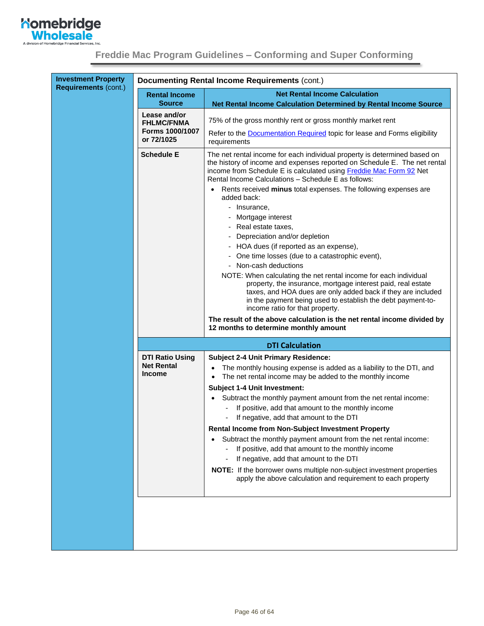

| <b>Investment Property</b>  |                                       | <b>Documenting Rental Income Requirements (cont.)</b>                                                                                                                                                                                                                                              |
|-----------------------------|---------------------------------------|----------------------------------------------------------------------------------------------------------------------------------------------------------------------------------------------------------------------------------------------------------------------------------------------------|
| <b>Requirements (cont.)</b> | <b>Rental Income</b><br><b>Source</b> | <b>Net Rental Income Calculation</b><br>Net Rental Income Calculation Determined by Rental Income Source                                                                                                                                                                                           |
|                             | Lease and/or<br><b>FHLMC/FNMA</b>     | 75% of the gross monthly rent or gross monthly market rent                                                                                                                                                                                                                                         |
|                             | Forms 1000/1007<br>or 72/1025         | Refer to the <b>Documentation Required</b> topic for lease and Forms eligibility<br>requirements                                                                                                                                                                                                   |
|                             | <b>Schedule E</b>                     | The net rental income for each individual property is determined based on<br>the history of income and expenses reported on Schedule E. The net rental<br>income from Schedule E is calculated using Freddie Mac Form 92 Net<br>Rental Income Calculations - Schedule E as follows:                |
|                             |                                       | Rents received minus total expenses. The following expenses are<br>added back:                                                                                                                                                                                                                     |
|                             |                                       | - Insurance,                                                                                                                                                                                                                                                                                       |
|                             |                                       | Mortgage interest                                                                                                                                                                                                                                                                                  |
|                             |                                       | Real estate taxes,                                                                                                                                                                                                                                                                                 |
|                             |                                       | Depreciation and/or depletion                                                                                                                                                                                                                                                                      |
|                             |                                       | - HOA dues (if reported as an expense),                                                                                                                                                                                                                                                            |
|                             |                                       | One time losses (due to a catastrophic event),<br>- Non-cash deductions                                                                                                                                                                                                                            |
|                             |                                       | NOTE: When calculating the net rental income for each individual<br>property, the insurance, mortgage interest paid, real estate<br>taxes, and HOA dues are only added back if they are included<br>in the payment being used to establish the debt payment-to-<br>income ratio for that property. |
|                             |                                       | The result of the above calculation is the net rental income divided by<br>12 months to determine monthly amount                                                                                                                                                                                   |
|                             |                                       | <b>DTI Calculation</b>                                                                                                                                                                                                                                                                             |
|                             | <b>DTI Ratio Using</b>                | <b>Subject 2-4 Unit Primary Residence:</b>                                                                                                                                                                                                                                                         |
|                             | <b>Net Rental</b><br><b>Income</b>    | The monthly housing expense is added as a liability to the DTI, and<br>The net rental income may be added to the monthly income                                                                                                                                                                    |
|                             |                                       | <b>Subject 1-4 Unit Investment:</b>                                                                                                                                                                                                                                                                |
|                             |                                       | Subtract the monthly payment amount from the net rental income:<br>If positive, add that amount to the monthly income                                                                                                                                                                              |
|                             |                                       | If negative, add that amount to the DTI                                                                                                                                                                                                                                                            |
|                             |                                       | Rental Income from Non-Subject Investment Property<br>Subtract the monthly payment amount from the net rental income:<br>If positive, add that amount to the monthly income                                                                                                                        |
|                             |                                       | If negative, add that amount to the DTI                                                                                                                                                                                                                                                            |
|                             |                                       | NOTE: If the borrower owns multiple non-subject investment properties<br>apply the above calculation and requirement to each property                                                                                                                                                              |
|                             |                                       |                                                                                                                                                                                                                                                                                                    |
|                             |                                       |                                                                                                                                                                                                                                                                                                    |
|                             |                                       |                                                                                                                                                                                                                                                                                                    |
|                             |                                       |                                                                                                                                                                                                                                                                                                    |
|                             |                                       |                                                                                                                                                                                                                                                                                                    |
|                             |                                       |                                                                                                                                                                                                                                                                                                    |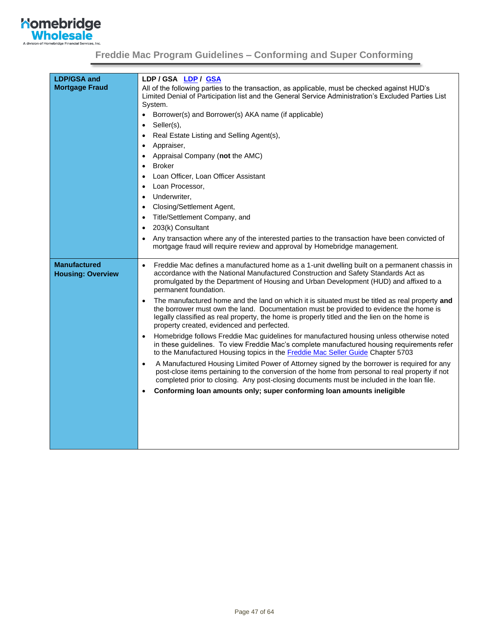

| <b>LDP/GSA and</b><br><b>Mortgage Fraud</b>     | LDP/GSA LDP/GSA<br>All of the following parties to the transaction, as applicable, must be checked against HUD's<br>Limited Denial of Participation list and the General Service Administration's Excluded Parties List<br>System.<br>Borrower(s) and Borrower(s) AKA name (if applicable)<br>$\bullet$<br>Seller(s),<br>$\bullet$<br>Real Estate Listing and Selling Agent(s),<br>$\bullet$<br>Appraiser,<br>$\bullet$<br>Appraisal Company (not the AMC)<br><b>Broker</b><br>Loan Officer, Loan Officer Assistant<br>Loan Processor,<br>$\bullet$<br>Underwriter,<br>Closing/Settlement Agent,<br>Title/Settlement Company, and<br>203(k) Consultant<br>Any transaction where any of the interested parties to the transaction have been convicted of<br>mortgage fraud will require review and approval by Homebridge management.                                                                                                                                                                                                                                                                                                                                                                                                                                                                                                          |
|-------------------------------------------------|-----------------------------------------------------------------------------------------------------------------------------------------------------------------------------------------------------------------------------------------------------------------------------------------------------------------------------------------------------------------------------------------------------------------------------------------------------------------------------------------------------------------------------------------------------------------------------------------------------------------------------------------------------------------------------------------------------------------------------------------------------------------------------------------------------------------------------------------------------------------------------------------------------------------------------------------------------------------------------------------------------------------------------------------------------------------------------------------------------------------------------------------------------------------------------------------------------------------------------------------------------------------------------------------------------------------------------------------------|
| <b>Manufactured</b><br><b>Housing: Overview</b> | Freddie Mac defines a manufactured home as a 1-unit dwelling built on a permanent chassis in<br>$\bullet$<br>accordance with the National Manufactured Construction and Safety Standards Act as<br>promulgated by the Department of Housing and Urban Development (HUD) and affixed to a<br>permanent foundation.<br>The manufactured home and the land on which it is situated must be titled as real property and<br>the borrower must own the land. Documentation must be provided to evidence the home is<br>legally classified as real property, the home is properly titled and the lien on the home is<br>property created, evidenced and perfected.<br>Homebridge follows Freddie Mac guidelines for manufactured housing unless otherwise noted<br>in these guidelines. To view Freddie Mac's complete manufactured housing requirements refer<br>to the Manufactured Housing topics in the Freddie Mac Seller Guide Chapter 5703<br>A Manufactured Housing Limited Power of Attorney signed by the borrower is required for any<br>$\bullet$<br>post-close items pertaining to the conversion of the home from personal to real property if not<br>completed prior to closing. Any post-closing documents must be included in the loan file.<br>Conforming loan amounts only; super conforming loan amounts ineligible<br>$\bullet$ |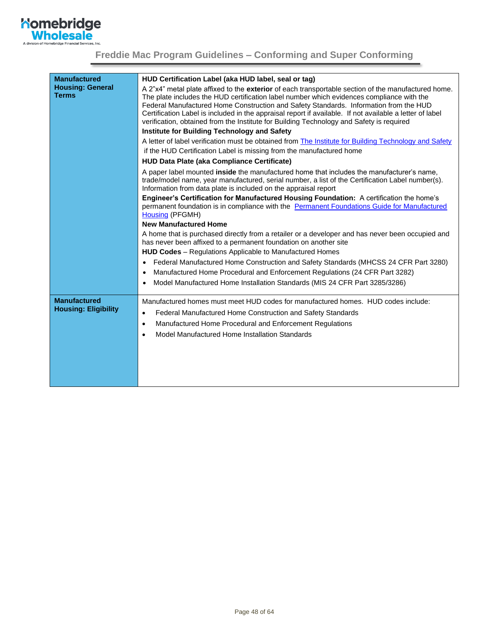

| <b>Manufactured</b><br><b>Housing: General</b><br><b>Terms</b> | HUD Certification Label (aka HUD label, seal or tag)<br>A 2"x4" metal plate affixed to the exterior of each transportable section of the manufactured home.<br>The plate includes the HUD certification label number which evidences compliance with the<br>Federal Manufactured Home Construction and Safety Standards. Information from the HUD<br>Certification Label is included in the appraisal report if available. If not available a letter of label<br>verification, obtained from the Institute for Building Technology and Safety is required<br>Institute for Building Technology and Safety<br>A letter of label verification must be obtained from The Institute for Building Technology and Safety<br>if the HUD Certification Label is missing from the manufactured home<br>HUD Data Plate (aka Compliance Certificate)<br>A paper label mounted inside the manufactured home that includes the manufacturer's name,<br>trade/model name, year manufactured, serial number, a list of the Certification Label number(s).<br>Information from data plate is included on the appraisal report<br>Engineer's Certification for Manufactured Housing Foundation: A certification the home's<br>permanent foundation is in compliance with the Permanent Foundations Guide for Manufactured<br>Housing (PFGMH)<br><b>New Manufactured Home</b><br>A home that is purchased directly from a retailer or a developer and has never been occupied and<br>has never been affixed to a permanent foundation on another site<br>HUD Codes - Regulations Applicable to Manufactured Homes<br>Federal Manufactured Home Construction and Safety Standards (MHCSS 24 CFR Part 3280)<br>$\bullet$<br>Manufactured Home Procedural and Enforcement Regulations (24 CFR Part 3282)<br>٠<br>Model Manufactured Home Installation Standards (MIS 24 CFR Part 3285/3286)<br>٠ |
|----------------------------------------------------------------|-----------------------------------------------------------------------------------------------------------------------------------------------------------------------------------------------------------------------------------------------------------------------------------------------------------------------------------------------------------------------------------------------------------------------------------------------------------------------------------------------------------------------------------------------------------------------------------------------------------------------------------------------------------------------------------------------------------------------------------------------------------------------------------------------------------------------------------------------------------------------------------------------------------------------------------------------------------------------------------------------------------------------------------------------------------------------------------------------------------------------------------------------------------------------------------------------------------------------------------------------------------------------------------------------------------------------------------------------------------------------------------------------------------------------------------------------------------------------------------------------------------------------------------------------------------------------------------------------------------------------------------------------------------------------------------------------------------------------------------------------------------------------------------------------------------------------------------------------------------------------------|
| <b>Manufactured</b><br><b>Housing: Eligibility</b>             | Manufactured homes must meet HUD codes for manufactured homes. HUD codes include:<br>Federal Manufactured Home Construction and Safety Standards<br>$\bullet$<br>Manufactured Home Procedural and Enforcement Regulations<br>$\bullet$<br>Model Manufactured Home Installation Standards<br>$\bullet$                                                                                                                                                                                                                                                                                                                                                                                                                                                                                                                                                                                                                                                                                                                                                                                                                                                                                                                                                                                                                                                                                                                                                                                                                                                                                                                                                                                                                                                                                                                                                                       |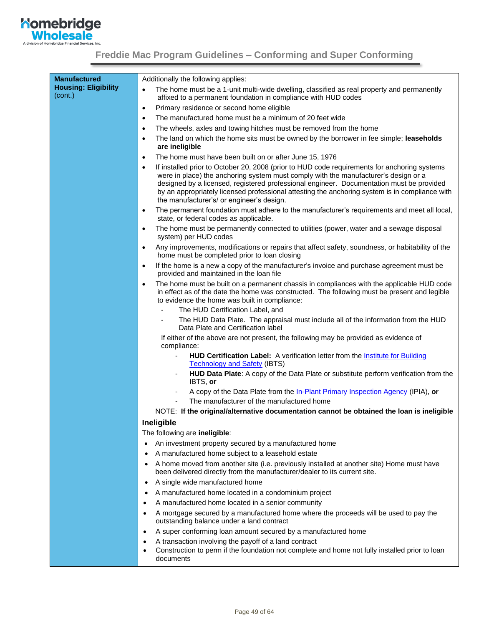

| <b>Manufactured</b>                    | Additionally the following applies:                                                                                                                                                                                                                                                                                                                                                                                                         |  |  |  |  |
|----------------------------------------|---------------------------------------------------------------------------------------------------------------------------------------------------------------------------------------------------------------------------------------------------------------------------------------------------------------------------------------------------------------------------------------------------------------------------------------------|--|--|--|--|
| <b>Housing: Eligibility</b><br>(cont.) | The home must be a 1-unit multi-wide dwelling, classified as real property and permanently<br>$\bullet$<br>affixed to a permanent foundation in compliance with HUD codes                                                                                                                                                                                                                                                                   |  |  |  |  |
|                                        | Primary residence or second home eligible<br>$\bullet$                                                                                                                                                                                                                                                                                                                                                                                      |  |  |  |  |
|                                        | The manufactured home must be a minimum of 20 feet wide<br>$\bullet$                                                                                                                                                                                                                                                                                                                                                                        |  |  |  |  |
|                                        | The wheels, axles and towing hitches must be removed from the home<br>$\bullet$                                                                                                                                                                                                                                                                                                                                                             |  |  |  |  |
|                                        | The land on which the home sits must be owned by the borrower in fee simple; leaseholds<br>$\bullet$<br>are ineligible                                                                                                                                                                                                                                                                                                                      |  |  |  |  |
|                                        | The home must have been built on or after June 15, 1976<br>$\bullet$                                                                                                                                                                                                                                                                                                                                                                        |  |  |  |  |
|                                        | If installed prior to October 20, 2008 (prior to HUD code requirements for anchoring systems<br>$\bullet$<br>were in place) the anchoring system must comply with the manufacturer's design or a<br>designed by a licensed, registered professional engineer. Documentation must be provided<br>by an appropriately licensed professional attesting the anchoring system is in compliance with<br>the manufacturer's/ or engineer's design. |  |  |  |  |
|                                        | The permanent foundation must adhere to the manufacturer's requirements and meet all local,<br>$\bullet$<br>state, or federal codes as applicable.                                                                                                                                                                                                                                                                                          |  |  |  |  |
|                                        | The home must be permanently connected to utilities (power, water and a sewage disposal<br>$\bullet$<br>system) per HUD codes                                                                                                                                                                                                                                                                                                               |  |  |  |  |
|                                        | Any improvements, modifications or repairs that affect safety, soundness, or habitability of the<br>$\bullet$<br>home must be completed prior to loan closing                                                                                                                                                                                                                                                                               |  |  |  |  |
|                                        | If the home is a new a copy of the manufacturer's invoice and purchase agreement must be<br>$\bullet$<br>provided and maintained in the loan file                                                                                                                                                                                                                                                                                           |  |  |  |  |
|                                        | The home must be built on a permanent chassis in compliances with the applicable HUD code<br>$\bullet$<br>in effect as of the date the home was constructed. The following must be present and legible<br>to evidence the home was built in compliance:                                                                                                                                                                                     |  |  |  |  |
|                                        | The HUD Certification Label, and                                                                                                                                                                                                                                                                                                                                                                                                            |  |  |  |  |
|                                        | The HUD Data Plate. The appraisal must include all of the information from the HUD<br>Data Plate and Certification label                                                                                                                                                                                                                                                                                                                    |  |  |  |  |
|                                        | If either of the above are not present, the following may be provided as evidence of<br>compliance:                                                                                                                                                                                                                                                                                                                                         |  |  |  |  |
|                                        | HUD Certification Label: A verification letter from the <b>Institute for Building</b><br>٠<br><b>Technology and Safety (IBTS)</b>                                                                                                                                                                                                                                                                                                           |  |  |  |  |
|                                        | HUD Data Plate: A copy of the Data Plate or substitute perform verification from the<br>IBTS, or                                                                                                                                                                                                                                                                                                                                            |  |  |  |  |
|                                        | A copy of the Data Plate from the In-Plant Primary Inspection Agency (IPIA), or                                                                                                                                                                                                                                                                                                                                                             |  |  |  |  |
|                                        | The manufacturer of the manufactured home                                                                                                                                                                                                                                                                                                                                                                                                   |  |  |  |  |
|                                        | NOTE: If the original/alternative documentation cannot be obtained the loan is ineligible                                                                                                                                                                                                                                                                                                                                                   |  |  |  |  |
|                                        | Ineligible                                                                                                                                                                                                                                                                                                                                                                                                                                  |  |  |  |  |
|                                        | The following are ineligible:                                                                                                                                                                                                                                                                                                                                                                                                               |  |  |  |  |
|                                        | An investment property secured by a manufactured home<br>$\bullet$                                                                                                                                                                                                                                                                                                                                                                          |  |  |  |  |
|                                        | A manufactured home subject to a leasehold estate<br>$\bullet$                                                                                                                                                                                                                                                                                                                                                                              |  |  |  |  |
|                                        | A home moved from another site (i.e. previously installed at another site) Home must have<br>$\bullet$<br>been delivered directly from the manufacturer/dealer to its current site.                                                                                                                                                                                                                                                         |  |  |  |  |
|                                        | A single wide manufactured home<br>$\bullet$                                                                                                                                                                                                                                                                                                                                                                                                |  |  |  |  |
|                                        | A manufactured home located in a condominium project<br>$\bullet$                                                                                                                                                                                                                                                                                                                                                                           |  |  |  |  |
|                                        | A manufactured home located in a senior community<br>٠                                                                                                                                                                                                                                                                                                                                                                                      |  |  |  |  |
|                                        | A mortgage secured by a manufactured home where the proceeds will be used to pay the<br>٠<br>outstanding balance under a land contract                                                                                                                                                                                                                                                                                                      |  |  |  |  |
|                                        | A super conforming loan amount secured by a manufactured home<br>$\bullet$                                                                                                                                                                                                                                                                                                                                                                  |  |  |  |  |
|                                        | A transaction involving the payoff of a land contract<br>٠<br>Construction to perm if the foundation not complete and home not fully installed prior to loan<br>٠<br>documents                                                                                                                                                                                                                                                              |  |  |  |  |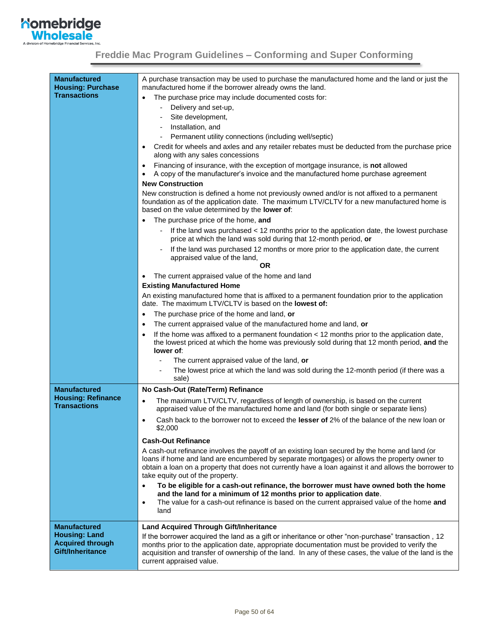

| <b>Manufactured</b><br>A purchase transaction may be used to purchase the manufactured home and the land or just the<br><b>Housing: Purchase</b><br>manufactured home if the borrower already owns the land.<br><b>Transactions</b><br>The purchase price may include documented costs for:<br>Delivery and set-up,<br>Site development,<br>Installation, and<br>Permanent utility connections (including well/septic)<br>Credit for wheels and axles and any retailer rebates must be deducted from the purchase price<br>$\bullet$<br>along with any sales concessions<br>Financing of insurance, with the exception of mortgage insurance, is not allowed<br>٠<br>A copy of the manufacturer's invoice and the manufactured home purchase agreement<br><b>New Construction</b><br>New construction is defined a home not previously owned and/or is not affixed to a permanent<br>foundation as of the application date. The maximum LTV/CLTV for a new manufactured home is<br>based on the value determined by the <b>lower of</b> :<br>The purchase price of the home, and<br>$\bullet$<br>If the land was purchased < 12 months prior to the application date, the lowest purchase<br>price at which the land was sold during that 12-month period, or<br>If the land was purchased 12 months or more prior to the application date, the current<br>appraised value of the land,<br>ΟR<br>The current appraised value of the home and land<br>$\bullet$<br><b>Existing Manufactured Home</b><br>An existing manufactured home that is affixed to a permanent foundation prior to the application<br>date. The maximum LTV/CLTV is based on the lowest of:<br>The purchase price of the home and land, or<br>$\bullet$<br>The current appraised value of the manufactured home and land, or<br>٠<br>If the home was affixed to a permanent foundation $<$ 12 months prior to the application date,<br>the lowest priced at which the home was previously sold during that 12 month period, and the<br>lower of:<br>The current appraised value of the land, or<br>The lowest price at which the land was sold during the 12-month period (if there was a<br>sale)<br><b>Manufactured</b><br>No Cash-Out (Rate/Term) Refinance<br><b>Housing: Refinance</b><br>The maximum LTV/CLTV, regardless of length of ownership, is based on the current<br>$\bullet$<br><b>Transactions</b><br>appraised value of the manufactured home and land (for both single or separate liens)<br>Cash back to the borrower not to exceed the lesser of 2% of the balance of the new loan or<br>$\bullet$<br>\$2,000<br><b>Cash-Out Refinance</b><br>A cash-out refinance involves the payoff of an existing loan secured by the home and land (or<br>loans if home and land are encumbered by separate mortgages) or allows the property owner to<br>obtain a loan on a property that does not currently have a loan against it and allows the borrower to<br>take equity out of the property.<br>To be eligible for a cash-out refinance, the borrower must have owned both the home<br>$\bullet$<br>and the land for a minimum of 12 months prior to application date.<br>The value for a cash-out refinance is based on the current appraised value of the home and<br>$\bullet$<br>land<br><b>Manufactured</b><br><b>Land Acquired Through Gift/Inheritance</b><br><b>Housing: Land</b><br>If the borrower acquired the land as a gift or inheritance or other "non-purchase" transaction, 12<br><b>Acquired through</b><br>months prior to the application date, appropriate documentation must be provided to verify the<br><b>Gift/Inheritance</b><br>acquisition and transfer of ownership of the land. In any of these cases, the value of the land is the<br>current appraised value. |  |
|-------------------------------------------------------------------------------------------------------------------------------------------------------------------------------------------------------------------------------------------------------------------------------------------------------------------------------------------------------------------------------------------------------------------------------------------------------------------------------------------------------------------------------------------------------------------------------------------------------------------------------------------------------------------------------------------------------------------------------------------------------------------------------------------------------------------------------------------------------------------------------------------------------------------------------------------------------------------------------------------------------------------------------------------------------------------------------------------------------------------------------------------------------------------------------------------------------------------------------------------------------------------------------------------------------------------------------------------------------------------------------------------------------------------------------------------------------------------------------------------------------------------------------------------------------------------------------------------------------------------------------------------------------------------------------------------------------------------------------------------------------------------------------------------------------------------------------------------------------------------------------------------------------------------------------------------------------------------------------------------------------------------------------------------------------------------------------------------------------------------------------------------------------------------------------------------------------------------------------------------------------------------------------------------------------------------------------------------------------------------------------------------------------------------------------------------------------------------------------------------------------------------------------------------------------------------------------------------------------------------------------------------------------------------------------------------------------------------------------------------------------------------------------------------------------------------------------------------------------------------------------------------------------------------------------------------------------------------------------------------------------------------------------------------------------------------------------------------------------------------------------------------------------------------------------------------------------------------------------------------------------------------------------------------------------------------------------------------------------------------------------------------------------------------------------------------------------------------------------------------------------------------------------------------------------------------------------------------------------------------------------------------------------------------------------------------------------------------------------------------------------------------------------------|--|
|                                                                                                                                                                                                                                                                                                                                                                                                                                                                                                                                                                                                                                                                                                                                                                                                                                                                                                                                                                                                                                                                                                                                                                                                                                                                                                                                                                                                                                                                                                                                                                                                                                                                                                                                                                                                                                                                                                                                                                                                                                                                                                                                                                                                                                                                                                                                                                                                                                                                                                                                                                                                                                                                                                                                                                                                                                                                                                                                                                                                                                                                                                                                                                                                                                                                                                                                                                                                                                                                                                                                                                                                                                                                                                                                                                                     |  |
|                                                                                                                                                                                                                                                                                                                                                                                                                                                                                                                                                                                                                                                                                                                                                                                                                                                                                                                                                                                                                                                                                                                                                                                                                                                                                                                                                                                                                                                                                                                                                                                                                                                                                                                                                                                                                                                                                                                                                                                                                                                                                                                                                                                                                                                                                                                                                                                                                                                                                                                                                                                                                                                                                                                                                                                                                                                                                                                                                                                                                                                                                                                                                                                                                                                                                                                                                                                                                                                                                                                                                                                                                                                                                                                                                                                     |  |
|                                                                                                                                                                                                                                                                                                                                                                                                                                                                                                                                                                                                                                                                                                                                                                                                                                                                                                                                                                                                                                                                                                                                                                                                                                                                                                                                                                                                                                                                                                                                                                                                                                                                                                                                                                                                                                                                                                                                                                                                                                                                                                                                                                                                                                                                                                                                                                                                                                                                                                                                                                                                                                                                                                                                                                                                                                                                                                                                                                                                                                                                                                                                                                                                                                                                                                                                                                                                                                                                                                                                                                                                                                                                                                                                                                                     |  |
|                                                                                                                                                                                                                                                                                                                                                                                                                                                                                                                                                                                                                                                                                                                                                                                                                                                                                                                                                                                                                                                                                                                                                                                                                                                                                                                                                                                                                                                                                                                                                                                                                                                                                                                                                                                                                                                                                                                                                                                                                                                                                                                                                                                                                                                                                                                                                                                                                                                                                                                                                                                                                                                                                                                                                                                                                                                                                                                                                                                                                                                                                                                                                                                                                                                                                                                                                                                                                                                                                                                                                                                                                                                                                                                                                                                     |  |
|                                                                                                                                                                                                                                                                                                                                                                                                                                                                                                                                                                                                                                                                                                                                                                                                                                                                                                                                                                                                                                                                                                                                                                                                                                                                                                                                                                                                                                                                                                                                                                                                                                                                                                                                                                                                                                                                                                                                                                                                                                                                                                                                                                                                                                                                                                                                                                                                                                                                                                                                                                                                                                                                                                                                                                                                                                                                                                                                                                                                                                                                                                                                                                                                                                                                                                                                                                                                                                                                                                                                                                                                                                                                                                                                                                                     |  |
|                                                                                                                                                                                                                                                                                                                                                                                                                                                                                                                                                                                                                                                                                                                                                                                                                                                                                                                                                                                                                                                                                                                                                                                                                                                                                                                                                                                                                                                                                                                                                                                                                                                                                                                                                                                                                                                                                                                                                                                                                                                                                                                                                                                                                                                                                                                                                                                                                                                                                                                                                                                                                                                                                                                                                                                                                                                                                                                                                                                                                                                                                                                                                                                                                                                                                                                                                                                                                                                                                                                                                                                                                                                                                                                                                                                     |  |
|                                                                                                                                                                                                                                                                                                                                                                                                                                                                                                                                                                                                                                                                                                                                                                                                                                                                                                                                                                                                                                                                                                                                                                                                                                                                                                                                                                                                                                                                                                                                                                                                                                                                                                                                                                                                                                                                                                                                                                                                                                                                                                                                                                                                                                                                                                                                                                                                                                                                                                                                                                                                                                                                                                                                                                                                                                                                                                                                                                                                                                                                                                                                                                                                                                                                                                                                                                                                                                                                                                                                                                                                                                                                                                                                                                                     |  |
|                                                                                                                                                                                                                                                                                                                                                                                                                                                                                                                                                                                                                                                                                                                                                                                                                                                                                                                                                                                                                                                                                                                                                                                                                                                                                                                                                                                                                                                                                                                                                                                                                                                                                                                                                                                                                                                                                                                                                                                                                                                                                                                                                                                                                                                                                                                                                                                                                                                                                                                                                                                                                                                                                                                                                                                                                                                                                                                                                                                                                                                                                                                                                                                                                                                                                                                                                                                                                                                                                                                                                                                                                                                                                                                                                                                     |  |
|                                                                                                                                                                                                                                                                                                                                                                                                                                                                                                                                                                                                                                                                                                                                                                                                                                                                                                                                                                                                                                                                                                                                                                                                                                                                                                                                                                                                                                                                                                                                                                                                                                                                                                                                                                                                                                                                                                                                                                                                                                                                                                                                                                                                                                                                                                                                                                                                                                                                                                                                                                                                                                                                                                                                                                                                                                                                                                                                                                                                                                                                                                                                                                                                                                                                                                                                                                                                                                                                                                                                                                                                                                                                                                                                                                                     |  |
|                                                                                                                                                                                                                                                                                                                                                                                                                                                                                                                                                                                                                                                                                                                                                                                                                                                                                                                                                                                                                                                                                                                                                                                                                                                                                                                                                                                                                                                                                                                                                                                                                                                                                                                                                                                                                                                                                                                                                                                                                                                                                                                                                                                                                                                                                                                                                                                                                                                                                                                                                                                                                                                                                                                                                                                                                                                                                                                                                                                                                                                                                                                                                                                                                                                                                                                                                                                                                                                                                                                                                                                                                                                                                                                                                                                     |  |
|                                                                                                                                                                                                                                                                                                                                                                                                                                                                                                                                                                                                                                                                                                                                                                                                                                                                                                                                                                                                                                                                                                                                                                                                                                                                                                                                                                                                                                                                                                                                                                                                                                                                                                                                                                                                                                                                                                                                                                                                                                                                                                                                                                                                                                                                                                                                                                                                                                                                                                                                                                                                                                                                                                                                                                                                                                                                                                                                                                                                                                                                                                                                                                                                                                                                                                                                                                                                                                                                                                                                                                                                                                                                                                                                                                                     |  |
|                                                                                                                                                                                                                                                                                                                                                                                                                                                                                                                                                                                                                                                                                                                                                                                                                                                                                                                                                                                                                                                                                                                                                                                                                                                                                                                                                                                                                                                                                                                                                                                                                                                                                                                                                                                                                                                                                                                                                                                                                                                                                                                                                                                                                                                                                                                                                                                                                                                                                                                                                                                                                                                                                                                                                                                                                                                                                                                                                                                                                                                                                                                                                                                                                                                                                                                                                                                                                                                                                                                                                                                                                                                                                                                                                                                     |  |
|                                                                                                                                                                                                                                                                                                                                                                                                                                                                                                                                                                                                                                                                                                                                                                                                                                                                                                                                                                                                                                                                                                                                                                                                                                                                                                                                                                                                                                                                                                                                                                                                                                                                                                                                                                                                                                                                                                                                                                                                                                                                                                                                                                                                                                                                                                                                                                                                                                                                                                                                                                                                                                                                                                                                                                                                                                                                                                                                                                                                                                                                                                                                                                                                                                                                                                                                                                                                                                                                                                                                                                                                                                                                                                                                                                                     |  |
|                                                                                                                                                                                                                                                                                                                                                                                                                                                                                                                                                                                                                                                                                                                                                                                                                                                                                                                                                                                                                                                                                                                                                                                                                                                                                                                                                                                                                                                                                                                                                                                                                                                                                                                                                                                                                                                                                                                                                                                                                                                                                                                                                                                                                                                                                                                                                                                                                                                                                                                                                                                                                                                                                                                                                                                                                                                                                                                                                                                                                                                                                                                                                                                                                                                                                                                                                                                                                                                                                                                                                                                                                                                                                                                                                                                     |  |
|                                                                                                                                                                                                                                                                                                                                                                                                                                                                                                                                                                                                                                                                                                                                                                                                                                                                                                                                                                                                                                                                                                                                                                                                                                                                                                                                                                                                                                                                                                                                                                                                                                                                                                                                                                                                                                                                                                                                                                                                                                                                                                                                                                                                                                                                                                                                                                                                                                                                                                                                                                                                                                                                                                                                                                                                                                                                                                                                                                                                                                                                                                                                                                                                                                                                                                                                                                                                                                                                                                                                                                                                                                                                                                                                                                                     |  |
|                                                                                                                                                                                                                                                                                                                                                                                                                                                                                                                                                                                                                                                                                                                                                                                                                                                                                                                                                                                                                                                                                                                                                                                                                                                                                                                                                                                                                                                                                                                                                                                                                                                                                                                                                                                                                                                                                                                                                                                                                                                                                                                                                                                                                                                                                                                                                                                                                                                                                                                                                                                                                                                                                                                                                                                                                                                                                                                                                                                                                                                                                                                                                                                                                                                                                                                                                                                                                                                                                                                                                                                                                                                                                                                                                                                     |  |
|                                                                                                                                                                                                                                                                                                                                                                                                                                                                                                                                                                                                                                                                                                                                                                                                                                                                                                                                                                                                                                                                                                                                                                                                                                                                                                                                                                                                                                                                                                                                                                                                                                                                                                                                                                                                                                                                                                                                                                                                                                                                                                                                                                                                                                                                                                                                                                                                                                                                                                                                                                                                                                                                                                                                                                                                                                                                                                                                                                                                                                                                                                                                                                                                                                                                                                                                                                                                                                                                                                                                                                                                                                                                                                                                                                                     |  |
|                                                                                                                                                                                                                                                                                                                                                                                                                                                                                                                                                                                                                                                                                                                                                                                                                                                                                                                                                                                                                                                                                                                                                                                                                                                                                                                                                                                                                                                                                                                                                                                                                                                                                                                                                                                                                                                                                                                                                                                                                                                                                                                                                                                                                                                                                                                                                                                                                                                                                                                                                                                                                                                                                                                                                                                                                                                                                                                                                                                                                                                                                                                                                                                                                                                                                                                                                                                                                                                                                                                                                                                                                                                                                                                                                                                     |  |
|                                                                                                                                                                                                                                                                                                                                                                                                                                                                                                                                                                                                                                                                                                                                                                                                                                                                                                                                                                                                                                                                                                                                                                                                                                                                                                                                                                                                                                                                                                                                                                                                                                                                                                                                                                                                                                                                                                                                                                                                                                                                                                                                                                                                                                                                                                                                                                                                                                                                                                                                                                                                                                                                                                                                                                                                                                                                                                                                                                                                                                                                                                                                                                                                                                                                                                                                                                                                                                                                                                                                                                                                                                                                                                                                                                                     |  |
|                                                                                                                                                                                                                                                                                                                                                                                                                                                                                                                                                                                                                                                                                                                                                                                                                                                                                                                                                                                                                                                                                                                                                                                                                                                                                                                                                                                                                                                                                                                                                                                                                                                                                                                                                                                                                                                                                                                                                                                                                                                                                                                                                                                                                                                                                                                                                                                                                                                                                                                                                                                                                                                                                                                                                                                                                                                                                                                                                                                                                                                                                                                                                                                                                                                                                                                                                                                                                                                                                                                                                                                                                                                                                                                                                                                     |  |
|                                                                                                                                                                                                                                                                                                                                                                                                                                                                                                                                                                                                                                                                                                                                                                                                                                                                                                                                                                                                                                                                                                                                                                                                                                                                                                                                                                                                                                                                                                                                                                                                                                                                                                                                                                                                                                                                                                                                                                                                                                                                                                                                                                                                                                                                                                                                                                                                                                                                                                                                                                                                                                                                                                                                                                                                                                                                                                                                                                                                                                                                                                                                                                                                                                                                                                                                                                                                                                                                                                                                                                                                                                                                                                                                                                                     |  |
|                                                                                                                                                                                                                                                                                                                                                                                                                                                                                                                                                                                                                                                                                                                                                                                                                                                                                                                                                                                                                                                                                                                                                                                                                                                                                                                                                                                                                                                                                                                                                                                                                                                                                                                                                                                                                                                                                                                                                                                                                                                                                                                                                                                                                                                                                                                                                                                                                                                                                                                                                                                                                                                                                                                                                                                                                                                                                                                                                                                                                                                                                                                                                                                                                                                                                                                                                                                                                                                                                                                                                                                                                                                                                                                                                                                     |  |
|                                                                                                                                                                                                                                                                                                                                                                                                                                                                                                                                                                                                                                                                                                                                                                                                                                                                                                                                                                                                                                                                                                                                                                                                                                                                                                                                                                                                                                                                                                                                                                                                                                                                                                                                                                                                                                                                                                                                                                                                                                                                                                                                                                                                                                                                                                                                                                                                                                                                                                                                                                                                                                                                                                                                                                                                                                                                                                                                                                                                                                                                                                                                                                                                                                                                                                                                                                                                                                                                                                                                                                                                                                                                                                                                                                                     |  |
|                                                                                                                                                                                                                                                                                                                                                                                                                                                                                                                                                                                                                                                                                                                                                                                                                                                                                                                                                                                                                                                                                                                                                                                                                                                                                                                                                                                                                                                                                                                                                                                                                                                                                                                                                                                                                                                                                                                                                                                                                                                                                                                                                                                                                                                                                                                                                                                                                                                                                                                                                                                                                                                                                                                                                                                                                                                                                                                                                                                                                                                                                                                                                                                                                                                                                                                                                                                                                                                                                                                                                                                                                                                                                                                                                                                     |  |
|                                                                                                                                                                                                                                                                                                                                                                                                                                                                                                                                                                                                                                                                                                                                                                                                                                                                                                                                                                                                                                                                                                                                                                                                                                                                                                                                                                                                                                                                                                                                                                                                                                                                                                                                                                                                                                                                                                                                                                                                                                                                                                                                                                                                                                                                                                                                                                                                                                                                                                                                                                                                                                                                                                                                                                                                                                                                                                                                                                                                                                                                                                                                                                                                                                                                                                                                                                                                                                                                                                                                                                                                                                                                                                                                                                                     |  |
|                                                                                                                                                                                                                                                                                                                                                                                                                                                                                                                                                                                                                                                                                                                                                                                                                                                                                                                                                                                                                                                                                                                                                                                                                                                                                                                                                                                                                                                                                                                                                                                                                                                                                                                                                                                                                                                                                                                                                                                                                                                                                                                                                                                                                                                                                                                                                                                                                                                                                                                                                                                                                                                                                                                                                                                                                                                                                                                                                                                                                                                                                                                                                                                                                                                                                                                                                                                                                                                                                                                                                                                                                                                                                                                                                                                     |  |
|                                                                                                                                                                                                                                                                                                                                                                                                                                                                                                                                                                                                                                                                                                                                                                                                                                                                                                                                                                                                                                                                                                                                                                                                                                                                                                                                                                                                                                                                                                                                                                                                                                                                                                                                                                                                                                                                                                                                                                                                                                                                                                                                                                                                                                                                                                                                                                                                                                                                                                                                                                                                                                                                                                                                                                                                                                                                                                                                                                                                                                                                                                                                                                                                                                                                                                                                                                                                                                                                                                                                                                                                                                                                                                                                                                                     |  |
|                                                                                                                                                                                                                                                                                                                                                                                                                                                                                                                                                                                                                                                                                                                                                                                                                                                                                                                                                                                                                                                                                                                                                                                                                                                                                                                                                                                                                                                                                                                                                                                                                                                                                                                                                                                                                                                                                                                                                                                                                                                                                                                                                                                                                                                                                                                                                                                                                                                                                                                                                                                                                                                                                                                                                                                                                                                                                                                                                                                                                                                                                                                                                                                                                                                                                                                                                                                                                                                                                                                                                                                                                                                                                                                                                                                     |  |
|                                                                                                                                                                                                                                                                                                                                                                                                                                                                                                                                                                                                                                                                                                                                                                                                                                                                                                                                                                                                                                                                                                                                                                                                                                                                                                                                                                                                                                                                                                                                                                                                                                                                                                                                                                                                                                                                                                                                                                                                                                                                                                                                                                                                                                                                                                                                                                                                                                                                                                                                                                                                                                                                                                                                                                                                                                                                                                                                                                                                                                                                                                                                                                                                                                                                                                                                                                                                                                                                                                                                                                                                                                                                                                                                                                                     |  |
|                                                                                                                                                                                                                                                                                                                                                                                                                                                                                                                                                                                                                                                                                                                                                                                                                                                                                                                                                                                                                                                                                                                                                                                                                                                                                                                                                                                                                                                                                                                                                                                                                                                                                                                                                                                                                                                                                                                                                                                                                                                                                                                                                                                                                                                                                                                                                                                                                                                                                                                                                                                                                                                                                                                                                                                                                                                                                                                                                                                                                                                                                                                                                                                                                                                                                                                                                                                                                                                                                                                                                                                                                                                                                                                                                                                     |  |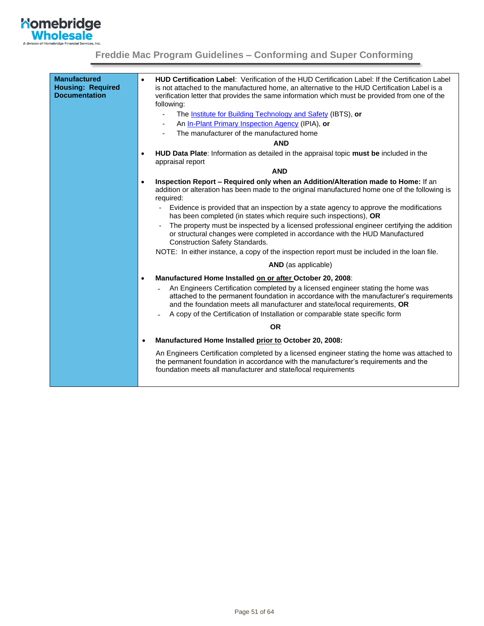

| <b>Manufactured</b><br><b>Housing: Required</b><br><b>Documentation</b> | HUD Certification Label: Verification of the HUD Certification Label: If the Certification Label<br>$\bullet$<br>is not attached to the manufactured home, an alternative to the HUD Certification Label is a<br>verification letter that provides the same information which must be provided from one of the<br>following:<br>The <b>Institute for Building Technology and Safety</b> (IBTS), or<br>An In-Plant Primary Inspection Agency (IPIA), or<br>The manufacturer of the manufactured home<br><b>AND</b> |
|-------------------------------------------------------------------------|-------------------------------------------------------------------------------------------------------------------------------------------------------------------------------------------------------------------------------------------------------------------------------------------------------------------------------------------------------------------------------------------------------------------------------------------------------------------------------------------------------------------|
|                                                                         | HUD Data Plate: Information as detailed in the appraisal topic must be included in the<br>$\bullet$<br>appraisal report                                                                                                                                                                                                                                                                                                                                                                                           |
|                                                                         | <b>AND</b>                                                                                                                                                                                                                                                                                                                                                                                                                                                                                                        |
|                                                                         | Inspection Report - Required only when an Addition/Alteration made to Home: If an<br>$\bullet$<br>addition or alteration has been made to the original manufactured home one of the following is<br>required:                                                                                                                                                                                                                                                                                                     |
|                                                                         | Evidence is provided that an inspection by a state agency to approve the modifications<br>has been completed (in states which require such inspections), OR                                                                                                                                                                                                                                                                                                                                                       |
|                                                                         | The property must be inspected by a licensed professional engineer certifying the addition<br>or structural changes were completed in accordance with the HUD Manufactured<br><b>Construction Safety Standards.</b>                                                                                                                                                                                                                                                                                               |
|                                                                         | NOTE: In either instance, a copy of the inspection report must be included in the loan file.                                                                                                                                                                                                                                                                                                                                                                                                                      |
|                                                                         | <b>AND</b> (as applicable)                                                                                                                                                                                                                                                                                                                                                                                                                                                                                        |
|                                                                         | Manufactured Home Installed on or after October 20, 2008:<br>$\bullet$                                                                                                                                                                                                                                                                                                                                                                                                                                            |
|                                                                         | An Engineers Certification completed by a licensed engineer stating the home was<br>attached to the permanent foundation in accordance with the manufacturer's requirements<br>and the foundation meets all manufacturer and state/local requirements, OR<br>A copy of the Certification of Installation or comparable state specific form                                                                                                                                                                        |
|                                                                         | <b>OR</b>                                                                                                                                                                                                                                                                                                                                                                                                                                                                                                         |
|                                                                         | Manufactured Home Installed prior to October 20, 2008:<br>$\bullet$                                                                                                                                                                                                                                                                                                                                                                                                                                               |
|                                                                         | An Engineers Certification completed by a licensed engineer stating the home was attached to<br>the permanent foundation in accordance with the manufacturer's requirements and the<br>foundation meets all manufacturer and state/local requirements                                                                                                                                                                                                                                                             |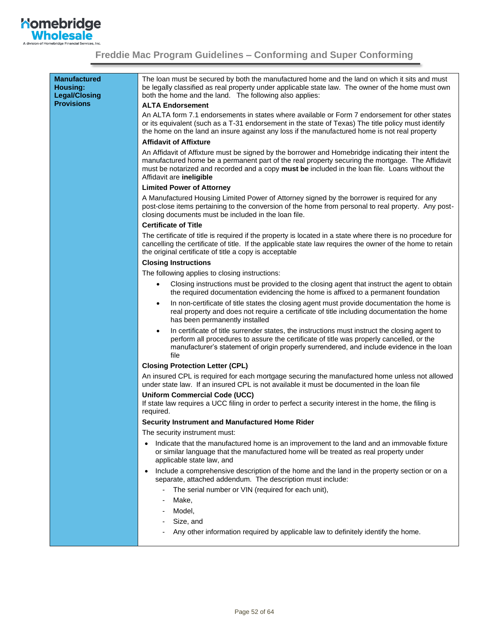

| <b>Manufactured</b><br>Housing:<br><b>Legal/Closing</b><br><b>Provisions</b> | The loan must be secured by both the manufactured home and the land on which it sits and must<br>be legally classified as real property under applicable state law. The owner of the home must own<br>both the home and the land. The following also applies:<br><b>ALTA Endorsement</b>                                                    |
|------------------------------------------------------------------------------|---------------------------------------------------------------------------------------------------------------------------------------------------------------------------------------------------------------------------------------------------------------------------------------------------------------------------------------------|
|                                                                              | An ALTA form 7.1 endorsements in states where available or Form 7 endorsement for other states<br>or its equivalent (such as a T-31 endorsement in the state of Texas) The title policy must identify<br>the home on the land an insure against any loss if the manufactured home is not real property                                      |
|                                                                              | <b>Affidavit of Affixture</b>                                                                                                                                                                                                                                                                                                               |
|                                                                              | An Affidavit of Affixture must be signed by the borrower and Homebridge indicating their intent the<br>manufactured home be a permanent part of the real property securing the mortgage. The Affidavit<br>must be notarized and recorded and a copy must be included in the loan file. Loans without the<br>Affidavit are <b>ineligible</b> |
|                                                                              | <b>Limited Power of Attorney</b>                                                                                                                                                                                                                                                                                                            |
|                                                                              | A Manufactured Housing Limited Power of Attorney signed by the borrower is required for any<br>post-close items pertaining to the conversion of the home from personal to real property. Any post-<br>closing documents must be included in the loan file.                                                                                  |
|                                                                              | <b>Certificate of Title</b>                                                                                                                                                                                                                                                                                                                 |
|                                                                              | The certificate of title is required if the property is located in a state where there is no procedure for<br>cancelling the certificate of title. If the applicable state law requires the owner of the home to retain<br>the original certificate of title a copy is acceptable                                                           |
|                                                                              | <b>Closing Instructions</b>                                                                                                                                                                                                                                                                                                                 |
|                                                                              | The following applies to closing instructions:                                                                                                                                                                                                                                                                                              |
|                                                                              | Closing instructions must be provided to the closing agent that instruct the agent to obtain<br>$\bullet$<br>the required documentation evidencing the home is affixed to a permanent foundation                                                                                                                                            |
|                                                                              | In non-certificate of title states the closing agent must provide documentation the home is<br>$\bullet$<br>real property and does not require a certificate of title including documentation the home<br>has been permanently installed                                                                                                    |
|                                                                              | In certificate of title surrender states, the instructions must instruct the closing agent to<br>$\bullet$<br>perform all procedures to assure the certificate of title was properly cancelled, or the<br>manufacturer's statement of origin properly surrendered, and include evidence in the loan<br>file                                 |
|                                                                              | <b>Closing Protection Letter (CPL)</b>                                                                                                                                                                                                                                                                                                      |
|                                                                              | An insured CPL is required for each mortgage securing the manufactured home unless not allowed<br>under state law. If an insured CPL is not available it must be documented in the loan file                                                                                                                                                |
|                                                                              | <b>Uniform Commercial Code (UCC)</b><br>If state law requires a UCC filing in order to perfect a security interest in the home, the filing is<br>required.                                                                                                                                                                                  |
|                                                                              | Security Instrument and Manufactured Home Rider                                                                                                                                                                                                                                                                                             |
|                                                                              | The security instrument must:                                                                                                                                                                                                                                                                                                               |
|                                                                              | Indicate that the manufactured home is an improvement to the land and an immovable fixture<br>$\bullet$<br>or similar language that the manufactured home will be treated as real property under<br>applicable state law, and                                                                                                               |
|                                                                              | Include a comprehensive description of the home and the land in the property section or on a<br>$\bullet$<br>separate, attached addendum. The description must include:                                                                                                                                                                     |
|                                                                              | The serial number or VIN (required for each unit),<br>$\blacksquare$                                                                                                                                                                                                                                                                        |
|                                                                              | Make,                                                                                                                                                                                                                                                                                                                                       |
|                                                                              | Model,                                                                                                                                                                                                                                                                                                                                      |
|                                                                              | Size, and                                                                                                                                                                                                                                                                                                                                   |
|                                                                              | Any other information required by applicable law to definitely identify the home.                                                                                                                                                                                                                                                           |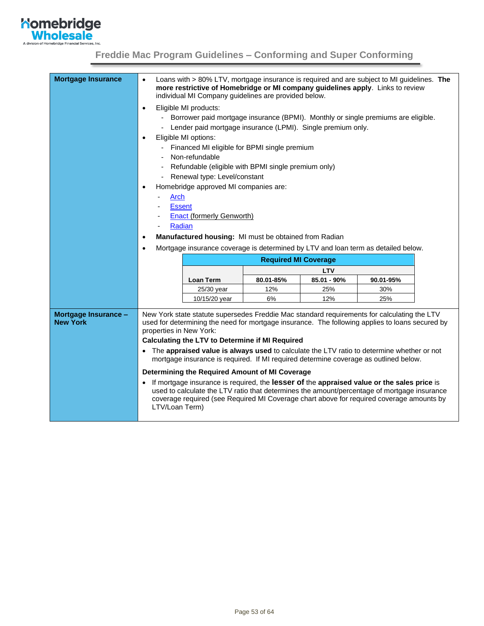

<span id="page-52-0"></span>

| <b>Mortgage Insurance</b>               | Loans with > 80% LTV, mortgage insurance is required and are subject to MI guidelines. The<br>$\bullet$<br>more restrictive of Homebridge or MI company guidelines apply. Links to review<br>individual MI Company guidelines are provided below.                                                       |                                                                                     |                             |                    |                  |  |
|-----------------------------------------|---------------------------------------------------------------------------------------------------------------------------------------------------------------------------------------------------------------------------------------------------------------------------------------------------------|-------------------------------------------------------------------------------------|-----------------------------|--------------------|------------------|--|
|                                         | $\bullet$                                                                                                                                                                                                                                                                                               | Eligible MI products:                                                               |                             |                    |                  |  |
|                                         |                                                                                                                                                                                                                                                                                                         | - Borrower paid mortgage insurance (BPMI). Monthly or single premiums are eligible. |                             |                    |                  |  |
|                                         |                                                                                                                                                                                                                                                                                                         | Lender paid mortgage insurance (LPMI). Single premium only.                         |                             |                    |                  |  |
|                                         | $\bullet$                                                                                                                                                                                                                                                                                               | Eligible MI options:                                                                |                             |                    |                  |  |
|                                         |                                                                                                                                                                                                                                                                                                         | - Financed MI eligible for BPMI single premium                                      |                             |                    |                  |  |
|                                         |                                                                                                                                                                                                                                                                                                         | Non-refundable                                                                      |                             |                    |                  |  |
|                                         |                                                                                                                                                                                                                                                                                                         | Refundable (eligible with BPMI single premium only)                                 |                             |                    |                  |  |
|                                         |                                                                                                                                                                                                                                                                                                         | Renewal type: Level/constant                                                        |                             |                    |                  |  |
|                                         | $\bullet$                                                                                                                                                                                                                                                                                               | Homebridge approved MI companies are:                                               |                             |                    |                  |  |
|                                         | Arch                                                                                                                                                                                                                                                                                                    |                                                                                     |                             |                    |                  |  |
|                                         | <b>Essent</b>                                                                                                                                                                                                                                                                                           |                                                                                     |                             |                    |                  |  |
|                                         |                                                                                                                                                                                                                                                                                                         | <b>Enact (formerly Genworth)</b>                                                    |                             |                    |                  |  |
|                                         | Radian                                                                                                                                                                                                                                                                                                  |                                                                                     |                             |                    |                  |  |
|                                         | $\bullet$                                                                                                                                                                                                                                                                                               | Manufactured housing: MI must be obtained from Radian                               |                             |                    |                  |  |
|                                         | Mortgage insurance coverage is determined by LTV and loan term as detailed below.<br>$\bullet$                                                                                                                                                                                                          |                                                                                     |                             |                    |                  |  |
|                                         |                                                                                                                                                                                                                                                                                                         |                                                                                     | <b>Required MI Coverage</b> |                    |                  |  |
|                                         |                                                                                                                                                                                                                                                                                                         |                                                                                     |                             | <b>LTV</b>         |                  |  |
|                                         |                                                                                                                                                                                                                                                                                                         | <b>Loan Term</b><br>25/30 year                                                      | 80.01-85%<br>12%            | 85.01 - 90%<br>25% | 90.01-95%<br>30% |  |
|                                         |                                                                                                                                                                                                                                                                                                         | 10/15/20 year                                                                       | 6%                          | 12%                | 25%              |  |
|                                         |                                                                                                                                                                                                                                                                                                         |                                                                                     |                             |                    |                  |  |
| Mortgage Insurance -<br><b>New York</b> | New York state statute supersedes Freddie Mac standard requirements for calculating the LTV<br>used for determining the need for mortgage insurance. The following applies to loans secured by<br>properties in New York:<br><b>Calculating the LTV to Determine if MI Required</b>                     |                                                                                     |                             |                    |                  |  |
|                                         |                                                                                                                                                                                                                                                                                                         |                                                                                     |                             |                    |                  |  |
|                                         | The appraised value is always used to calculate the LTV ratio to determine whether or not<br>mortgage insurance is required. If MI required determine coverage as outlined below.                                                                                                                       |                                                                                     |                             |                    |                  |  |
|                                         |                                                                                                                                                                                                                                                                                                         | Determining the Required Amount of MI Coverage                                      |                             |                    |                  |  |
|                                         | If mortgage insurance is required, the lesser of the appraised value or the sales price is<br>used to calculate the LTV ratio that determines the amount/percentage of mortgage insurance<br>coverage required (see Required MI Coverage chart above for required coverage amounts by<br>LTV/Loan Term) |                                                                                     |                             |                    |                  |  |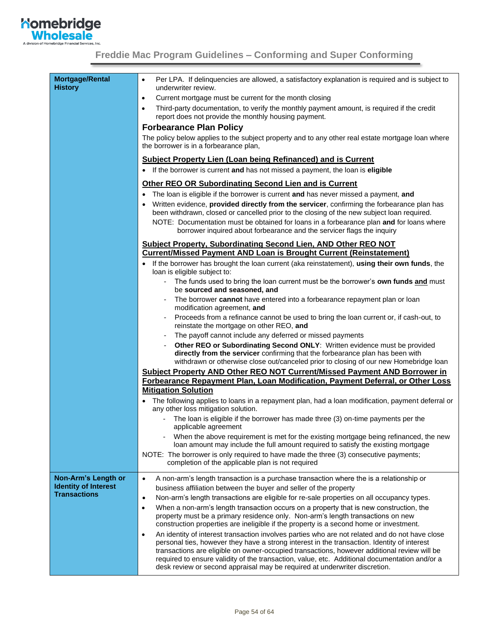

<span id="page-53-0"></span>

| <b>Mortgage/Rental</b><br><b>History</b>           | Per LPA. If delinquencies are allowed, a satisfactory explanation is required and is subject to<br>$\bullet$<br>underwriter review.                                                                                                                                                                                                                                                                                                                                                      |
|----------------------------------------------------|------------------------------------------------------------------------------------------------------------------------------------------------------------------------------------------------------------------------------------------------------------------------------------------------------------------------------------------------------------------------------------------------------------------------------------------------------------------------------------------|
|                                                    | Current mortgage must be current for the month closing<br>$\bullet$                                                                                                                                                                                                                                                                                                                                                                                                                      |
|                                                    | Third-party documentation, to verify the monthly payment amount, is required if the credit<br>$\bullet$<br>report does not provide the monthly housing payment.                                                                                                                                                                                                                                                                                                                          |
|                                                    | <b>Forbearance Plan Policy</b>                                                                                                                                                                                                                                                                                                                                                                                                                                                           |
|                                                    | The policy below applies to the subject property and to any other real estate mortgage loan where<br>the borrower is in a forbearance plan,                                                                                                                                                                                                                                                                                                                                              |
|                                                    | <b>Subject Property Lien (Loan being Refinanced) and is Current</b>                                                                                                                                                                                                                                                                                                                                                                                                                      |
|                                                    | • If the borrower is current and has not missed a payment, the loan is eligible                                                                                                                                                                                                                                                                                                                                                                                                          |
|                                                    | <b>Other REO OR Subordinating Second Lien and is Current</b>                                                                                                                                                                                                                                                                                                                                                                                                                             |
|                                                    | The loan is eligible if the borrower is current and has never missed a payment, and<br>٠                                                                                                                                                                                                                                                                                                                                                                                                 |
|                                                    | Written evidence, provided directly from the servicer, confirming the forbearance plan has<br>been withdrawn, closed or cancelled prior to the closing of the new subject loan required.<br>NOTE: Documentation must be obtained for loans in a forbearance plan and for loans where                                                                                                                                                                                                     |
|                                                    | borrower inquired about forbearance and the servicer flags the inquiry                                                                                                                                                                                                                                                                                                                                                                                                                   |
|                                                    | <b>Subject Property, Subordinating Second Lien, AND Other REO NOT</b><br><b>Current/Missed Payment AND Loan is Brought Current (Reinstatement)</b>                                                                                                                                                                                                                                                                                                                                       |
|                                                    | If the borrower has brought the loan current (aka reinstatement), using their own funds, the<br>loan is eligible subject to:                                                                                                                                                                                                                                                                                                                                                             |
|                                                    | - The funds used to bring the loan current must be the borrower's own funds and must<br>be sourced and seasoned, and                                                                                                                                                                                                                                                                                                                                                                     |
|                                                    | The borrower <b>cannot</b> have entered into a forbearance repayment plan or loan<br>modification agreement, and                                                                                                                                                                                                                                                                                                                                                                         |
|                                                    | Proceeds from a refinance cannot be used to bring the loan current or, if cash-out, to<br>reinstate the mortgage on other REO, and                                                                                                                                                                                                                                                                                                                                                       |
|                                                    | The payoff cannot include any deferred or missed payments                                                                                                                                                                                                                                                                                                                                                                                                                                |
|                                                    | Other REO or Subordinating Second ONLY: Written evidence must be provided<br>directly from the servicer confirming that the forbearance plan has been with<br>withdrawn or otherwise close out/canceled prior to closing of our new Homebridge loan                                                                                                                                                                                                                                      |
|                                                    | Subject Property AND Other REO NOT Current/Missed Payment AND Borrower in                                                                                                                                                                                                                                                                                                                                                                                                                |
|                                                    | Forbearance Repayment Plan, Loan Modification, Payment Deferral, or Other Loss<br><b>Mitigation Solution</b>                                                                                                                                                                                                                                                                                                                                                                             |
|                                                    | The following applies to loans in a repayment plan, had a loan modification, payment deferral or<br>any other loss mitigation solution.                                                                                                                                                                                                                                                                                                                                                  |
|                                                    | - The loan is eligible if the borrower has made three (3) on-time payments per the<br>applicable agreement                                                                                                                                                                                                                                                                                                                                                                               |
|                                                    | When the above requirement is met for the existing mortgage being refinanced, the new<br>loan amount may include the full amount required to satisfy the existing mortgage                                                                                                                                                                                                                                                                                                               |
|                                                    | NOTE: The borrower is only required to have made the three (3) consecutive payments;<br>completion of the applicable plan is not required                                                                                                                                                                                                                                                                                                                                                |
| Non-Arm's Length or                                | A non-arm's length transaction is a purchase transaction where the is a relationship or<br>$\bullet$                                                                                                                                                                                                                                                                                                                                                                                     |
| <b>Identity of Interest</b><br><b>Transactions</b> | business affiliation between the buyer and seller of the property                                                                                                                                                                                                                                                                                                                                                                                                                        |
|                                                    | Non-arm's length transactions are eligible for re-sale properties on all occupancy types.<br>$\bullet$                                                                                                                                                                                                                                                                                                                                                                                   |
|                                                    | When a non-arm's length transaction occurs on a property that is new construction, the<br>$\bullet$<br>property must be a primary residence only. Non-arm's length transactions on new<br>construction properties are ineligible if the property is a second home or investment.                                                                                                                                                                                                         |
|                                                    | An identity of interest transaction involves parties who are not related and do not have close<br>$\bullet$<br>personal ties, however they have a strong interest in the transaction. Identity of interest<br>transactions are eligible on owner-occupied transactions, however additional review will be<br>required to ensure validity of the transaction, value, etc. Additional documentation and/or a<br>desk review or second appraisal may be required at underwriter discretion. |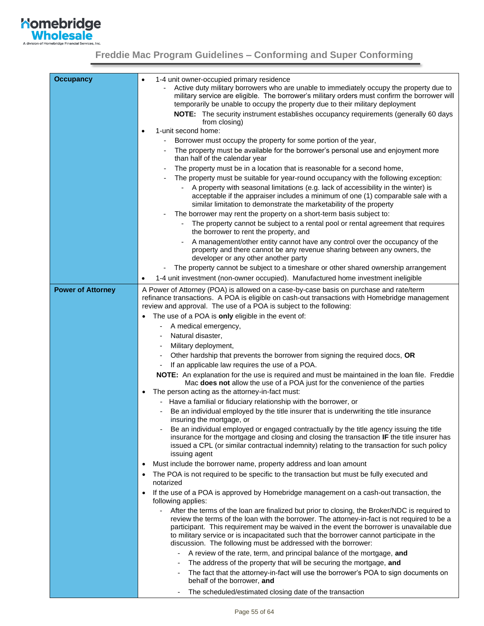

<span id="page-54-0"></span>

| <b>Occupancy</b>         | 1-4 unit owner-occupied primary residence<br>$\bullet$                                                                                                                                                                                                                                                                                                                                                                                                                    |  |  |  |  |
|--------------------------|---------------------------------------------------------------------------------------------------------------------------------------------------------------------------------------------------------------------------------------------------------------------------------------------------------------------------------------------------------------------------------------------------------------------------------------------------------------------------|--|--|--|--|
|                          | Active duty military borrowers who are unable to immediately occupy the property due to<br>military service are eligible. The borrower's military orders must confirm the borrower will                                                                                                                                                                                                                                                                                   |  |  |  |  |
|                          | temporarily be unable to occupy the property due to their military deployment                                                                                                                                                                                                                                                                                                                                                                                             |  |  |  |  |
|                          | <b>NOTE:</b> The security instrument establishes occupancy requirements (generally 60 days<br>from closing)                                                                                                                                                                                                                                                                                                                                                               |  |  |  |  |
|                          | 1-unit second home:<br>$\bullet$                                                                                                                                                                                                                                                                                                                                                                                                                                          |  |  |  |  |
|                          | Borrower must occupy the property for some portion of the year,                                                                                                                                                                                                                                                                                                                                                                                                           |  |  |  |  |
|                          | The property must be available for the borrower's personal use and enjoyment more<br>than half of the calendar year                                                                                                                                                                                                                                                                                                                                                       |  |  |  |  |
|                          | The property must be in a location that is reasonable for a second home,                                                                                                                                                                                                                                                                                                                                                                                                  |  |  |  |  |
|                          | The property must be suitable for year-round occupancy with the following exception:<br>$\qquad \qquad \blacksquare$                                                                                                                                                                                                                                                                                                                                                      |  |  |  |  |
|                          | A property with seasonal limitations (e.g. lack of accessibility in the winter) is<br>$\overline{\phantom{a}}$<br>acceptable if the appraiser includes a minimum of one (1) comparable sale with a<br>similar limitation to demonstrate the marketability of the property                                                                                                                                                                                                 |  |  |  |  |
|                          | The borrower may rent the property on a short-term basis subject to:                                                                                                                                                                                                                                                                                                                                                                                                      |  |  |  |  |
|                          | The property cannot be subject to a rental pool or rental agreement that requires<br>the borrower to rent the property, and                                                                                                                                                                                                                                                                                                                                               |  |  |  |  |
|                          | A management/other entity cannot have any control over the occupancy of the<br>property and there cannot be any revenue sharing between any owners, the<br>developer or any other another party                                                                                                                                                                                                                                                                           |  |  |  |  |
|                          | The property cannot be subject to a timeshare or other shared ownership arrangement                                                                                                                                                                                                                                                                                                                                                                                       |  |  |  |  |
|                          | 1-4 unit investment (non-owner occupied). Manufactured home investment ineligible<br>$\bullet$                                                                                                                                                                                                                                                                                                                                                                            |  |  |  |  |
| <b>Power of Attorney</b> | A Power of Attorney (POA) is allowed on a case-by-case basis on purchase and rate/term                                                                                                                                                                                                                                                                                                                                                                                    |  |  |  |  |
|                          | refinance transactions. A POA is eligible on cash-out transactions with Homebridge management<br>review and approval. The use of a POA is subject to the following:                                                                                                                                                                                                                                                                                                       |  |  |  |  |
|                          | The use of a POA is only eligible in the event of:                                                                                                                                                                                                                                                                                                                                                                                                                        |  |  |  |  |
|                          | A medical emergency,                                                                                                                                                                                                                                                                                                                                                                                                                                                      |  |  |  |  |
|                          | Natural disaster,                                                                                                                                                                                                                                                                                                                                                                                                                                                         |  |  |  |  |
|                          | Military deployment,                                                                                                                                                                                                                                                                                                                                                                                                                                                      |  |  |  |  |
|                          | Other hardship that prevents the borrower from signing the required docs, OR                                                                                                                                                                                                                                                                                                                                                                                              |  |  |  |  |
|                          | If an applicable law requires the use of a POA.                                                                                                                                                                                                                                                                                                                                                                                                                           |  |  |  |  |
|                          | NOTE: An explanation for the use is required and must be maintained in the loan file. Freddie<br>Mac does not allow the use of a POA just for the convenience of the parties                                                                                                                                                                                                                                                                                              |  |  |  |  |
|                          | The person acting as the attorney-in-fact must:<br>$\bullet$                                                                                                                                                                                                                                                                                                                                                                                                              |  |  |  |  |
|                          | Have a familial or fiduciary relationship with the borrower, or<br>-                                                                                                                                                                                                                                                                                                                                                                                                      |  |  |  |  |
|                          | Be an individual employed by the title insurer that is underwriting the title insurance<br>insuring the mortgage, or                                                                                                                                                                                                                                                                                                                                                      |  |  |  |  |
|                          | Be an individual employed or engaged contractually by the title agency issuing the title<br>insurance for the mortgage and closing and closing the transaction IF the title insurer has<br>issued a CPL (or similar contractual indemnity) relating to the transaction for such policy<br>issuing agent                                                                                                                                                                   |  |  |  |  |
|                          | Must include the borrower name, property address and loan amount<br>$\bullet$                                                                                                                                                                                                                                                                                                                                                                                             |  |  |  |  |
|                          | The POA is not required to be specific to the transaction but must be fully executed and<br>$\bullet$<br>notarized                                                                                                                                                                                                                                                                                                                                                        |  |  |  |  |
|                          | If the use of a POA is approved by Homebridge management on a cash-out transaction, the<br>$\bullet$<br>following applies:                                                                                                                                                                                                                                                                                                                                                |  |  |  |  |
|                          | After the terms of the loan are finalized but prior to closing, the Broker/NDC is required to<br>$\overline{a}$<br>review the terms of the loan with the borrower. The attorney-in-fact is not required to be a<br>participant. This requirement may be waived in the event the borrower is unavailable due<br>to military service or is incapacitated such that the borrower cannot participate in the<br>discussion. The following must be addressed with the borrower: |  |  |  |  |
|                          | A review of the rate, term, and principal balance of the mortgage, and                                                                                                                                                                                                                                                                                                                                                                                                    |  |  |  |  |
|                          | The address of the property that will be securing the mortgage, and                                                                                                                                                                                                                                                                                                                                                                                                       |  |  |  |  |
|                          | The fact that the attorney-in-fact will use the borrower's POA to sign documents on<br>٠<br>behalf of the borrower, and                                                                                                                                                                                                                                                                                                                                                   |  |  |  |  |
|                          | The scheduled/estimated closing date of the transaction                                                                                                                                                                                                                                                                                                                                                                                                                   |  |  |  |  |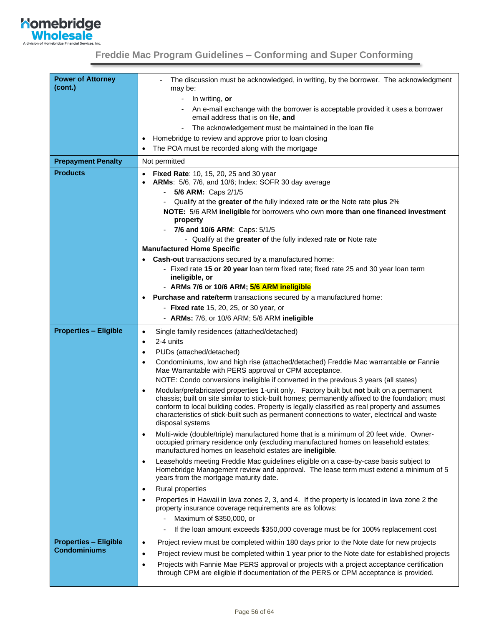

| <b>Power of Attorney</b><br>(cont.) | The discussion must be acknowledged, in writing, by the borrower. The acknowledgment<br>may be:                                                                                                   |  |  |  |
|-------------------------------------|---------------------------------------------------------------------------------------------------------------------------------------------------------------------------------------------------|--|--|--|
|                                     | In writing, or<br>۰                                                                                                                                                                               |  |  |  |
|                                     | An e-mail exchange with the borrower is acceptable provided it uses a borrower                                                                                                                    |  |  |  |
|                                     | email address that is on file, and                                                                                                                                                                |  |  |  |
|                                     | The acknowledgement must be maintained in the loan file<br>$\blacksquare$                                                                                                                         |  |  |  |
|                                     | Homebridge to review and approve prior to loan closing<br>$\bullet$                                                                                                                               |  |  |  |
|                                     | The POA must be recorded along with the mortgage                                                                                                                                                  |  |  |  |
| <b>Prepayment Penalty</b>           | Not permitted                                                                                                                                                                                     |  |  |  |
| <b>Products</b>                     | <b>Fixed Rate: 10, 15, 20, 25 and 30 year</b><br>٠                                                                                                                                                |  |  |  |
|                                     | ARMs: 5/6, 7/6, and 10/6; Index: SOFR 30 day average                                                                                                                                              |  |  |  |
|                                     | 5/6 ARM: Caps 2/1/5                                                                                                                                                                               |  |  |  |
|                                     | Qualify at the greater of the fully indexed rate or the Note rate plus 2%                                                                                                                         |  |  |  |
|                                     | NOTE: 5/6 ARM ineligible for borrowers who own more than one financed investment<br>property                                                                                                      |  |  |  |
|                                     | 7/6 and 10/6 ARM: Caps: 5/1/5                                                                                                                                                                     |  |  |  |
|                                     | - Qualify at the greater of the fully indexed rate or Note rate                                                                                                                                   |  |  |  |
|                                     | <b>Manufactured Home Specific</b>                                                                                                                                                                 |  |  |  |
|                                     | <b>Cash-out</b> transactions secured by a manufactured home:                                                                                                                                      |  |  |  |
|                                     | - Fixed rate 15 or 20 year loan term fixed rate; fixed rate 25 and 30 year loan term                                                                                                              |  |  |  |
|                                     | ineligible, or                                                                                                                                                                                    |  |  |  |
|                                     | - ARMs 7/6 or 10/6 ARM; 5/6 ARM ineligible                                                                                                                                                        |  |  |  |
|                                     | Purchase and rate/term transactions secured by a manufactured home:<br>$\bullet$                                                                                                                  |  |  |  |
|                                     | - Fixed rate 15, 20, 25, or 30 year, or                                                                                                                                                           |  |  |  |
|                                     | - ARMs: 7/6, or 10/6 ARM; 5/6 ARM ineligible                                                                                                                                                      |  |  |  |
| <b>Properties - Eligible</b>        | Single family residences (attached/detached)<br>$\bullet$                                                                                                                                         |  |  |  |
|                                     | 2-4 units<br>$\bullet$                                                                                                                                                                            |  |  |  |
|                                     | PUDs (attached/detached)<br>٠                                                                                                                                                                     |  |  |  |
|                                     | Condominiums, low and high rise (attached/detached) Freddie Mac warrantable or Fannie<br>$\bullet$<br>Mae Warrantable with PERS approval or CPM acceptance.                                       |  |  |  |
|                                     | NOTE: Condo conversions ineligible if converted in the previous 3 years (all states)                                                                                                              |  |  |  |
|                                     | Modular/prefabricated properties 1-unit only. Factory built but not built on a permanent<br>٠<br>chassis; built on site similar to stick-built homes; permanently affixed to the foundation; must |  |  |  |
|                                     | conform to local building codes. Property is legally classified as real property and assumes                                                                                                      |  |  |  |
|                                     | characteristics of stick-built such as permanent connections to water, electrical and waste<br>disposal systems                                                                                   |  |  |  |
|                                     | Multi-wide (double/triple) manufactured home that is a minimum of 20 feet wide. Owner-<br>$\bullet$                                                                                               |  |  |  |
|                                     | occupied primary residence only (excluding manufactured homes on leasehold estates;<br>manufactured homes on leasehold estates are ineligible.                                                    |  |  |  |
|                                     | Leaseholds meeting Freddie Mac guidelines eligible on a case-by-case basis subject to<br>$\bullet$                                                                                                |  |  |  |
|                                     | Homebridge Management review and approval. The lease term must extend a minimum of 5<br>years from the mortgage maturity date.                                                                    |  |  |  |
|                                     | Rural properties<br>$\bullet$                                                                                                                                                                     |  |  |  |
|                                     | Properties in Hawaii in lava zones 2, 3, and 4. If the property is located in lava zone 2 the<br>٠                                                                                                |  |  |  |
|                                     | property insurance coverage requirements are as follows:                                                                                                                                          |  |  |  |
|                                     | Maximum of \$350,000, or                                                                                                                                                                          |  |  |  |
|                                     | If the loan amount exceeds \$350,000 coverage must be for 100% replacement cost                                                                                                                   |  |  |  |
| <b>Properties - Eligible</b>        | Project review must be completed within 180 days prior to the Note date for new projects<br>$\bullet$                                                                                             |  |  |  |
| <b>Condominiums</b>                 | Project review must be completed within 1 year prior to the Note date for established projects<br>$\bullet$                                                                                       |  |  |  |
|                                     | Projects with Fannie Mae PERS approval or projects with a project acceptance certification<br>$\bullet$                                                                                           |  |  |  |
|                                     | through CPM are eligible if documentation of the PERS or CPM acceptance is provided.                                                                                                              |  |  |  |
|                                     |                                                                                                                                                                                                   |  |  |  |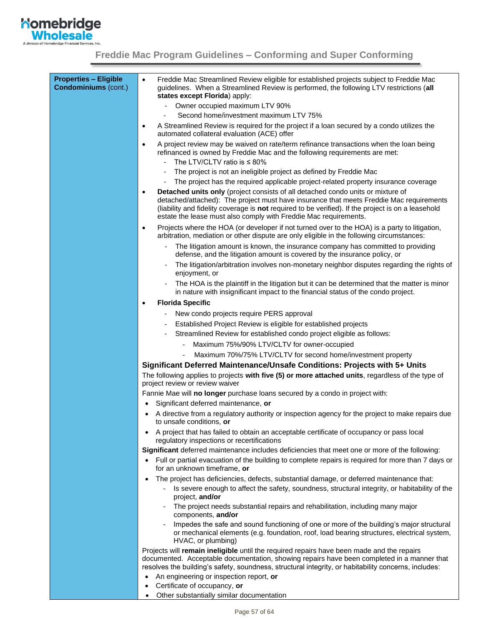

| <b>Properties - Eligible</b><br><b>Condominiums (cont.)</b> | Freddie Mac Streamlined Review eligible for established projects subject to Freddie Mac<br>$\bullet$<br>guidelines. When a Streamlined Review is performed, the following LTV restrictions (all<br>states except Florida) apply:                                                                                                                                  |
|-------------------------------------------------------------|-------------------------------------------------------------------------------------------------------------------------------------------------------------------------------------------------------------------------------------------------------------------------------------------------------------------------------------------------------------------|
|                                                             | Owner occupied maximum LTV 90%                                                                                                                                                                                                                                                                                                                                    |
|                                                             | Second home/investment maximum LTV 75%                                                                                                                                                                                                                                                                                                                            |
|                                                             | A Streamlined Review is required for the project if a loan secured by a condo utilizes the<br>$\bullet$<br>automated collateral evaluation (ACE) offer                                                                                                                                                                                                            |
|                                                             | A project review may be waived on rate/term refinance transactions when the loan being<br>$\bullet$<br>refinanced is owned by Freddie Mac and the following requirements are met:                                                                                                                                                                                 |
|                                                             | The LTV/CLTV ratio is $\leq 80\%$                                                                                                                                                                                                                                                                                                                                 |
|                                                             | The project is not an ineligible project as defined by Freddie Mac                                                                                                                                                                                                                                                                                                |
|                                                             | The project has the required applicable project-related property insurance coverage                                                                                                                                                                                                                                                                               |
|                                                             | Detached units only (project consists of all detached condo units or mixture of<br>$\bullet$<br>detached/attached): The project must have insurance that meets Freddie Mac requirements<br>(liability and fidelity coverage is not required to be verified). If the project is on a leasehold<br>estate the lease must also comply with Freddie Mac requirements. |
|                                                             | Projects where the HOA (or developer if not turned over to the HOA) is a party to litigation,<br>$\bullet$<br>arbitration, mediation or other dispute are only eligible in the following circumstances:                                                                                                                                                           |
|                                                             | The litigation amount is known, the insurance company has committed to providing<br>defense, and the litigation amount is covered by the insurance policy, or                                                                                                                                                                                                     |
|                                                             | The litigation/arbitration involves non-monetary neighbor disputes regarding the rights of<br>enjoyment, or                                                                                                                                                                                                                                                       |
|                                                             | The HOA is the plaintiff in the litigation but it can be determined that the matter is minor<br>in nature with insignificant impact to the financial status of the condo project.                                                                                                                                                                                 |
|                                                             | <b>Florida Specific</b><br>$\bullet$                                                                                                                                                                                                                                                                                                                              |
|                                                             | New condo projects require PERS approval                                                                                                                                                                                                                                                                                                                          |
|                                                             | Established Project Review is eligible for established projects                                                                                                                                                                                                                                                                                                   |
|                                                             | Streamlined Review for established condo project eligible as follows:                                                                                                                                                                                                                                                                                             |
|                                                             | Maximum 75%/90% LTV/CLTV for owner-occupied                                                                                                                                                                                                                                                                                                                       |
|                                                             | Maximum 70%/75% LTV/CLTV for second home/investment property                                                                                                                                                                                                                                                                                                      |
|                                                             | Significant Deferred Maintenance/Unsafe Conditions: Projects with 5+ Units                                                                                                                                                                                                                                                                                        |
|                                                             | The following applies to projects with five (5) or more attached units, regardless of the type of<br>project review or review waiver                                                                                                                                                                                                                              |
|                                                             | Fannie Mae will no longer purchase loans secured by a condo in project with:                                                                                                                                                                                                                                                                                      |
|                                                             | Significant deferred maintenance, or<br>$\bullet$                                                                                                                                                                                                                                                                                                                 |
|                                                             | A directive from a regulatory authority or inspection agency for the project to make repairs due<br>to unsafe conditions, or                                                                                                                                                                                                                                      |
|                                                             | A project that has failed to obtain an acceptable certificate of occupancy or pass local<br>regulatory inspections or recertifications                                                                                                                                                                                                                            |
|                                                             | Significant deferred maintenance includes deficiencies that meet one or more of the following:                                                                                                                                                                                                                                                                    |
|                                                             | Full or partial evacuation of the building to complete repairs is required for more than 7 days or<br>for an unknown timeframe. or                                                                                                                                                                                                                                |
|                                                             | The project has deficiencies, defects, substantial damage, or deferred maintenance that:<br>$\bullet$                                                                                                                                                                                                                                                             |
|                                                             | Is severe enough to affect the safety, soundness, structural integrity, or habitability of the<br>project, and/or                                                                                                                                                                                                                                                 |
|                                                             | The project needs substantial repairs and rehabilitation, including many major<br>components, and/or                                                                                                                                                                                                                                                              |
|                                                             | Impedes the safe and sound functioning of one or more of the building's major structural<br>or mechanical elements (e.g. foundation, roof, load bearing structures, electrical system,<br>HVAC, or plumbing)                                                                                                                                                      |
|                                                             | Projects will remain ineligible until the required repairs have been made and the repairs<br>documented. Acceptable documentation, showing repairs have been completed in a manner that<br>resolves the building's safety, soundness, structural integrity, or habitability concerns, includes:                                                                   |
|                                                             | An engineering or inspection report, or                                                                                                                                                                                                                                                                                                                           |
|                                                             | Certificate of occupancy, or                                                                                                                                                                                                                                                                                                                                      |
|                                                             | Other substantially similar documentation<br>$\bullet$                                                                                                                                                                                                                                                                                                            |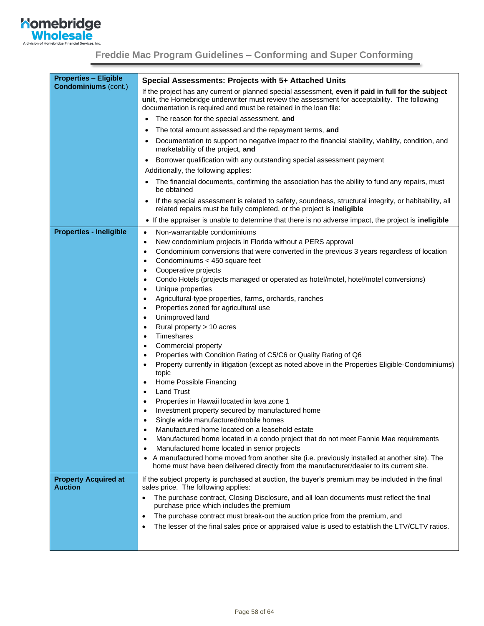

| <b>Properties - Eligible</b>                  | Special Assessments: Projects with 5+ Attached Units                                                                                                                                                  |  |  |  |
|-----------------------------------------------|-------------------------------------------------------------------------------------------------------------------------------------------------------------------------------------------------------|--|--|--|
| <b>Condominiums (cont.)</b>                   | If the project has any current or planned special assessment, even if paid in full for the subject                                                                                                    |  |  |  |
|                                               | unit, the Homebridge underwriter must review the assessment for acceptability. The following<br>documentation is required and must be retained in the loan file:                                      |  |  |  |
|                                               | The reason for the special assessment, and                                                                                                                                                            |  |  |  |
|                                               | The total amount assessed and the repayment terms, and                                                                                                                                                |  |  |  |
|                                               | Documentation to support no negative impact to the financial stability, viability, condition, and<br>$\bullet$<br>marketability of the project, and                                                   |  |  |  |
|                                               | Borrower qualification with any outstanding special assessment payment                                                                                                                                |  |  |  |
|                                               | Additionally, the following applies:                                                                                                                                                                  |  |  |  |
|                                               | The financial documents, confirming the association has the ability to fund any repairs, must<br>be obtained                                                                                          |  |  |  |
|                                               | If the special assessment is related to safety, soundness, structural integrity, or habitability, all<br>related repairs must be fully completed, or the project is ineligible                        |  |  |  |
|                                               | • If the appraiser is unable to determine that there is no adverse impact, the project is ineligible                                                                                                  |  |  |  |
| <b>Properties - Ineligible</b>                | Non-warrantable condominiums<br>$\bullet$                                                                                                                                                             |  |  |  |
|                                               | New condominium projects in Florida without a PERS approval<br>$\bullet$                                                                                                                              |  |  |  |
|                                               | Condominium conversions that were converted in the previous 3 years regardless of location<br>$\bullet$                                                                                               |  |  |  |
|                                               | Condominiums < 450 square feet<br>$\bullet$                                                                                                                                                           |  |  |  |
|                                               | Cooperative projects<br>$\bullet$                                                                                                                                                                     |  |  |  |
|                                               | Condo Hotels (projects managed or operated as hotel/motel, hotel/motel conversions)<br>$\bullet$                                                                                                      |  |  |  |
|                                               | Unique properties<br>$\bullet$                                                                                                                                                                        |  |  |  |
|                                               | Agricultural-type properties, farms, orchards, ranches<br>$\bullet$                                                                                                                                   |  |  |  |
|                                               | Properties zoned for agricultural use<br>$\bullet$<br>Unimproved land<br>$\bullet$                                                                                                                    |  |  |  |
|                                               | Rural property > 10 acres<br>$\bullet$                                                                                                                                                                |  |  |  |
|                                               | Timeshares<br>$\bullet$                                                                                                                                                                               |  |  |  |
|                                               | Commercial property<br>$\bullet$                                                                                                                                                                      |  |  |  |
|                                               | Properties with Condition Rating of C5/C6 or Quality Rating of Q6<br>$\bullet$                                                                                                                        |  |  |  |
|                                               | Property currently in litigation (except as noted above in the Properties Eligible-Condominiums)<br>$\bullet$                                                                                         |  |  |  |
|                                               | topic                                                                                                                                                                                                 |  |  |  |
|                                               | Home Possible Financing<br>$\bullet$                                                                                                                                                                  |  |  |  |
|                                               | <b>Land Trust</b><br>$\bullet$                                                                                                                                                                        |  |  |  |
|                                               | Properties in Hawaii located in lava zone 1<br>$\bullet$                                                                                                                                              |  |  |  |
|                                               | Investment property secured by manufactured home<br>Single wide manufactured/mobile homes                                                                                                             |  |  |  |
|                                               | Manufactured home located on a leasehold estate<br>٠                                                                                                                                                  |  |  |  |
|                                               | Manufactured home located in a condo project that do not meet Fannie Mae requirements<br>$\bullet$                                                                                                    |  |  |  |
|                                               | Manufactured home located in senior projects<br>$\bullet$                                                                                                                                             |  |  |  |
|                                               | A manufactured home moved from another site (i.e. previously installed at another site). The<br>$\bullet$<br>home must have been delivered directly from the manufacturer/dealer to its current site. |  |  |  |
|                                               |                                                                                                                                                                                                       |  |  |  |
| <b>Property Acquired at</b><br><b>Auction</b> | If the subject property is purchased at auction, the buyer's premium may be included in the final<br>sales price. The following applies:                                                              |  |  |  |
|                                               | The purchase contract, Closing Disclosure, and all loan documents must reflect the final<br>$\bullet$<br>purchase price which includes the premium                                                    |  |  |  |
|                                               | The purchase contract must break-out the auction price from the premium, and<br>$\bullet$                                                                                                             |  |  |  |
|                                               | The lesser of the final sales price or appraised value is used to establish the LTV/CLTV ratios.<br>$\bullet$                                                                                         |  |  |  |
|                                               |                                                                                                                                                                                                       |  |  |  |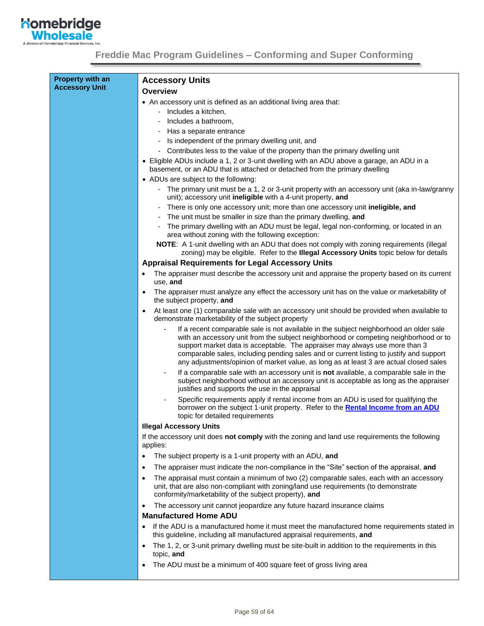

| <b>Property with an</b><br><b>Accessory Unit</b> | <b>Accessory Units</b>                                                                                                                                                                                                                                                                                                                                                                                                                             |  |  |  |
|--------------------------------------------------|----------------------------------------------------------------------------------------------------------------------------------------------------------------------------------------------------------------------------------------------------------------------------------------------------------------------------------------------------------------------------------------------------------------------------------------------------|--|--|--|
|                                                  | Overview                                                                                                                                                                                                                                                                                                                                                                                                                                           |  |  |  |
|                                                  | • An accessory unit is defined as an additional living area that:                                                                                                                                                                                                                                                                                                                                                                                  |  |  |  |
|                                                  | - Includes a kitchen.                                                                                                                                                                                                                                                                                                                                                                                                                              |  |  |  |
|                                                  | Includes a bathroom,                                                                                                                                                                                                                                                                                                                                                                                                                               |  |  |  |
|                                                  | Has a separate entrance                                                                                                                                                                                                                                                                                                                                                                                                                            |  |  |  |
|                                                  | Is independent of the primary dwelling unit, and                                                                                                                                                                                                                                                                                                                                                                                                   |  |  |  |
|                                                  | - Contributes less to the value of the property than the primary dwelling unit                                                                                                                                                                                                                                                                                                                                                                     |  |  |  |
|                                                  | • Eligible ADUs include a 1, 2 or 3-unit dwelling with an ADU above a garage, an ADU in a<br>basement, or an ADU that is attached or detached from the primary dwelling                                                                                                                                                                                                                                                                            |  |  |  |
|                                                  | • ADUs are subject to the following:                                                                                                                                                                                                                                                                                                                                                                                                               |  |  |  |
|                                                  | - The primary unit must be a 1, 2 or 3-unit property with an accessory unit (aka in-law/granny<br>unit); accessory unit ineligible with a 4-unit property, and                                                                                                                                                                                                                                                                                     |  |  |  |
|                                                  | There is only one accessory unit; more than one accessory unit ineligible, and                                                                                                                                                                                                                                                                                                                                                                     |  |  |  |
|                                                  | The unit must be smaller in size than the primary dwelling, and                                                                                                                                                                                                                                                                                                                                                                                    |  |  |  |
|                                                  | The primary dwelling with an ADU must be legal, legal non-conforming, or located in an<br>area without zoning with the following exception:                                                                                                                                                                                                                                                                                                        |  |  |  |
|                                                  | NOTE: A 1-unit dwelling with an ADU that does not comply with zoning requirements (illegal<br>zoning) may be eligible. Refer to the Illegal Accessory Units topic below for details                                                                                                                                                                                                                                                                |  |  |  |
|                                                  | <b>Appraisal Requirements for Legal Accessory Units</b>                                                                                                                                                                                                                                                                                                                                                                                            |  |  |  |
|                                                  | The appraiser must describe the accessory unit and appraise the property based on its current<br>use, and                                                                                                                                                                                                                                                                                                                                          |  |  |  |
|                                                  | The appraiser must analyze any effect the accessory unit has on the value or marketability of<br>$\bullet$<br>the subject property, and                                                                                                                                                                                                                                                                                                            |  |  |  |
|                                                  | At least one (1) comparable sale with an accessory unit should be provided when available to<br>$\bullet$<br>demonstrate marketability of the subject property                                                                                                                                                                                                                                                                                     |  |  |  |
|                                                  | If a recent comparable sale is not available in the subject neighborhood an older sale<br>with an accessory unit from the subject neighborhood or competing neighborhood or to<br>support market data is acceptable. The appraiser may always use more than 3<br>comparable sales, including pending sales and or current listing to justify and support<br>any adjustments/opinion of market value, as long as at least 3 are actual closed sales |  |  |  |
|                                                  | If a comparable sale with an accessory unit is not available, a comparable sale in the<br>subject neighborhood without an accessory unit is acceptable as long as the appraiser<br>justifies and supports the use in the appraisal                                                                                                                                                                                                                 |  |  |  |
|                                                  | Specific requirements apply if rental income from an ADU is used for qualifying the<br>borrower on the subject 1-unit property. Refer to the Rental Income from an ADU<br>topic for detailed requirements                                                                                                                                                                                                                                          |  |  |  |
|                                                  | <b>Illegal Accessory Units</b>                                                                                                                                                                                                                                                                                                                                                                                                                     |  |  |  |
|                                                  | If the accessory unit does not comply with the zoning and land use requirements the following<br>applies:                                                                                                                                                                                                                                                                                                                                          |  |  |  |
|                                                  | The subject property is a 1-unit property with an ADU, and<br>$\bullet$                                                                                                                                                                                                                                                                                                                                                                            |  |  |  |
|                                                  | The appraiser must indicate the non-compliance in the "Site" section of the appraisal, and<br>$\bullet$                                                                                                                                                                                                                                                                                                                                            |  |  |  |
|                                                  | The appraisal must contain a minimum of two (2) comparable sales, each with an accessory<br>$\bullet$                                                                                                                                                                                                                                                                                                                                              |  |  |  |
|                                                  | unit, that are also non-compliant with zoning/land use requirements (to demonstrate<br>conformity/marketability of the subject property), and                                                                                                                                                                                                                                                                                                      |  |  |  |
|                                                  | The accessory unit cannot jeopardize any future hazard insurance claims<br>$\bullet$                                                                                                                                                                                                                                                                                                                                                               |  |  |  |
|                                                  | <b>Manufactured Home ADU</b>                                                                                                                                                                                                                                                                                                                                                                                                                       |  |  |  |
|                                                  | If the ADU is a manufactured home it must meet the manufactured home requirements stated in<br>٠<br>this guideline, including all manufactured appraisal requirements, and                                                                                                                                                                                                                                                                         |  |  |  |
|                                                  | The 1, 2, or 3-unit primary dwelling must be site-built in addition to the requirements in this<br>$\bullet$<br>topic, and                                                                                                                                                                                                                                                                                                                         |  |  |  |
|                                                  | The ADU must be a minimum of 400 square feet of gross living area<br>$\bullet$                                                                                                                                                                                                                                                                                                                                                                     |  |  |  |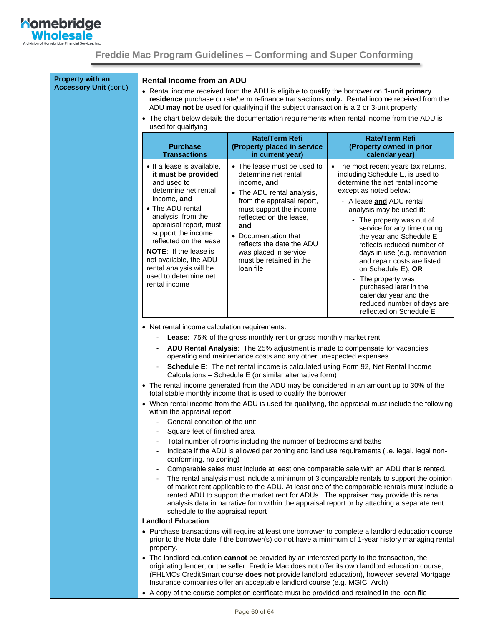

**Property with an Accessory Unit** (cont.)

#### <span id="page-59-0"></span>**Rental Income from an ADU**

- Rental income received from the ADU is eligible to qualify the borrower on **1-unit primary residence** purchase or rate/term refinance transactions **only.** Rental income received from the ADU **may not** be used for qualifying if the subject transaction is a 2 or 3-unit property
- The chart below details the documentation requirements when rental income from the ADU is used for qualifying

| <b>Purchase</b><br><b>Transactions</b>                                                                                                                                                                                                                                                                                                                     | Rate/Term Refi<br>(Property placed in service<br>in current year)                                                                                                                                                                                                                                                 | <b>Rate/Term Refi</b><br>(Property owned in prior<br>calendar year)                                                                                                                                                                                                                                                                                                                                                                                                                                                                       |
|------------------------------------------------------------------------------------------------------------------------------------------------------------------------------------------------------------------------------------------------------------------------------------------------------------------------------------------------------------|-------------------------------------------------------------------------------------------------------------------------------------------------------------------------------------------------------------------------------------------------------------------------------------------------------------------|-------------------------------------------------------------------------------------------------------------------------------------------------------------------------------------------------------------------------------------------------------------------------------------------------------------------------------------------------------------------------------------------------------------------------------------------------------------------------------------------------------------------------------------------|
| • If a lease is available,<br>it must be provided<br>and used to<br>determine net rental<br>income, and<br>• The ADU rental<br>analysis, from the<br>appraisal report, must<br>support the income<br>reflected on the lease<br><b>NOTE:</b> If the lease is<br>not available, the ADU<br>rental analysis will be<br>used to determine net<br>rental income | • The lease must be used to<br>determine net rental<br>income, and<br>• The ADU rental analysis,<br>from the appraisal report,<br>must support the income<br>reflected on the lease,<br>and<br>• Documentation that<br>reflects the date the ADU<br>was placed in service<br>must be retained in the<br>loan file | • The most recent years tax returns,<br>including Schedule E, is used to<br>determine the net rental income<br>except as noted below:<br>- A lease and ADU rental<br>analysis may be used if:<br>- The property was out of<br>service for any time during<br>the year and Schedule E<br>reflects reduced number of<br>days in use (e.g. renovation<br>and repair costs are listed<br>on Schedule E), OR<br>- The property was<br>purchased later in the<br>calendar year and the<br>reduced number of days are<br>reflected on Schedule E |

- Net rental income calculation requirements:
	- Lease: 75% of the gross monthly rent or gross monthly market rent
	- **ADU Rental Analysis**: The 25% adjustment is made to compensate for vacancies, operating and maintenance costs and any other unexpected expenses
	- **Schedule E**: The net rental income is calculated using Form 92, Net Rental Income Calculations – Schedule E (or similar alternative form)
- The rental income generated from the ADU may be considered in an amount up to 30% of the total stable monthly income that is used to qualify the borrower
- When rental income from the ADU is used for qualifying, the appraisal must include the following within the appraisal report:
	- General condition of the unit,
	- Square feet of finished area
	- Total number of rooms including the number of bedrooms and baths
	- Indicate if the ADU is allowed per zoning and land use requirements (i.e. legal, legal nonconforming, no zoning)
	- Comparable sales must include at least one comparable sale with an ADU that is rented,
	- The rental analysis must include a minimum of 3 comparable rentals to support the opinion of market rent applicable to the ADU. At least one of the comparable rentals must include a rented ADU to support the market rent for ADUs. The appraiser may provide this renal analysis data in narrative form within the appraisal report or by attaching a separate rent schedule to the appraisal report

#### **Landlord Education**

- Purchase transactions will require at least one borrower to complete a landlord education course prior to the Note date if the borrower(s) do not have a minimum of 1-year history managing rental property.
- The landlord education **cannot** be provided by an interested party to the transaction, the originating lender, or the seller. Freddie Mac does not offer its own landlord education course, (FHLMCs CreditSmart course **does not** provide landlord education), however several Mortgage Insurance companies offer an acceptable landlord course (e.g. MGIC, Arch)
- A copy of the course completion certificate must be provided and retained in the loan file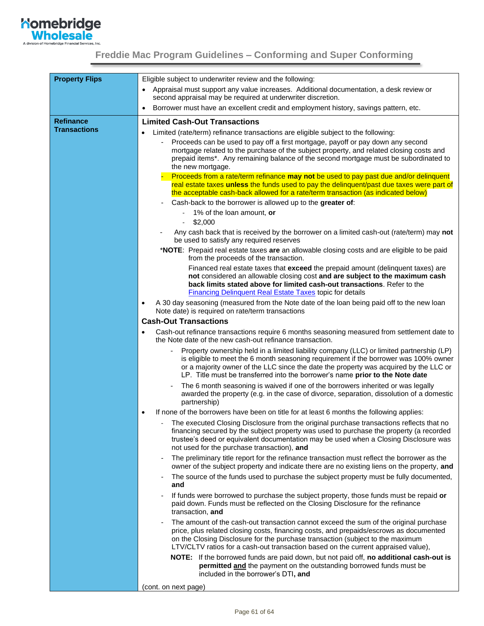

| <b>Property Flips</b> | Eligible subject to underwriter review and the following:                                                                                                                                                                                                                                                                                                                                                                                                                                                                                                          |
|-----------------------|--------------------------------------------------------------------------------------------------------------------------------------------------------------------------------------------------------------------------------------------------------------------------------------------------------------------------------------------------------------------------------------------------------------------------------------------------------------------------------------------------------------------------------------------------------------------|
|                       | Appraisal must support any value increases. Additional documentation, a desk review or<br>$\bullet$<br>second appraisal may be required at underwriter discretion.                                                                                                                                                                                                                                                                                                                                                                                                 |
|                       | Borrower must have an excellent credit and employment history, savings pattern, etc.<br>٠                                                                                                                                                                                                                                                                                                                                                                                                                                                                          |
| <b>Refinance</b>      | <b>Limited Cash-Out Transactions</b>                                                                                                                                                                                                                                                                                                                                                                                                                                                                                                                               |
| <b>Transactions</b>   | Limited (rate/term) refinance transactions are eligible subject to the following:<br>Proceeds can be used to pay off a first mortgage, payoff or pay down any second<br>mortgage related to the purchase of the subject property, and related closing costs and<br>prepaid items*. Any remaining balance of the second mortgage must be subordinated to<br>the new mortgage.<br>Proceeds from a rate/term refinance may not be used to pay past due and/or delinquent<br>real estate taxes unless the funds used to pay the delinquent/past due taxes were part of |
|                       | the acceptable cash-back allowed for a rate/term transaction (as indicated below)                                                                                                                                                                                                                                                                                                                                                                                                                                                                                  |
|                       | Cash-back to the borrower is allowed up to the greater of:<br>1% of the loan amount, or                                                                                                                                                                                                                                                                                                                                                                                                                                                                            |
|                       | \$2,000<br>$\blacksquare$                                                                                                                                                                                                                                                                                                                                                                                                                                                                                                                                          |
|                       | Any cash back that is received by the borrower on a limited cash-out (rate/term) may not<br>be used to satisfy any required reserves                                                                                                                                                                                                                                                                                                                                                                                                                               |
|                       | *NOTE: Prepaid real estate taxes are an allowable closing costs and are eligible to be paid<br>from the proceeds of the transaction.                                                                                                                                                                                                                                                                                                                                                                                                                               |
|                       | Financed real estate taxes that exceed the prepaid amount (delinquent taxes) are<br>not considered an allowable closing cost and are subject to the maximum cash<br>back limits stated above for limited cash-out transactions. Refer to the<br><b>Financing Delinquent Real Estate Taxes topic for details</b>                                                                                                                                                                                                                                                    |
|                       | A 30 day seasoning (measured from the Note date of the loan being paid off to the new loan<br>$\bullet$<br>Note date) is required on rate/term transactions                                                                                                                                                                                                                                                                                                                                                                                                        |
|                       | <b>Cash-Out Transactions</b>                                                                                                                                                                                                                                                                                                                                                                                                                                                                                                                                       |
|                       | Cash-out refinance transactions require 6 months seasoning measured from settlement date to<br>٠<br>the Note date of the new cash-out refinance transaction.                                                                                                                                                                                                                                                                                                                                                                                                       |
|                       | Property ownership held in a limited liability company (LLC) or limited partnership (LP)<br>-<br>is eligible to meet the 6 month seasoning requirement if the borrower was 100% owner<br>or a majority owner of the LLC since the date the property was acquired by the LLC or<br>LP. Title must be transferred into the borrower's name prior to the Note date                                                                                                                                                                                                    |
|                       | The 6 month seasoning is waived if one of the borrowers inherited or was legally<br>awarded the property (e.g. in the case of divorce, separation, dissolution of a domestic<br>partnership)                                                                                                                                                                                                                                                                                                                                                                       |
|                       | If none of the borrowers have been on title for at least 6 months the following applies:<br>$\bullet$                                                                                                                                                                                                                                                                                                                                                                                                                                                              |
|                       | The executed Closing Disclosure from the original purchase transactions reflects that no<br>financing secured by the subject property was used to purchase the property (a recorded<br>trustee's deed or equivalent documentation may be used when a Closing Disclosure was<br>not used for the purchase transaction), and                                                                                                                                                                                                                                         |
|                       | The preliminary title report for the refinance transaction must reflect the borrower as the<br>-<br>owner of the subject property and indicate there are no existing liens on the property, and                                                                                                                                                                                                                                                                                                                                                                    |
|                       | The source of the funds used to purchase the subject property must be fully documented,<br>and                                                                                                                                                                                                                                                                                                                                                                                                                                                                     |
|                       | If funds were borrowed to purchase the subject property, those funds must be repaid or<br>paid down. Funds must be reflected on the Closing Disclosure for the refinance<br>transaction, and                                                                                                                                                                                                                                                                                                                                                                       |
|                       | The amount of the cash-out transaction cannot exceed the sum of the original purchase<br>price, plus related closing costs, financing costs, and prepaids/escrows as documented<br>on the Closing Disclosure for the purchase transaction (subject to the maximum<br>LTV/CLTV ratios for a cash-out transaction based on the current appraised value),                                                                                                                                                                                                             |
|                       | NOTE: If the borrowed funds are paid down, but not paid off, no additional cash-out is<br>permitted and the payment on the outstanding borrowed funds must be<br>included in the borrower's DTI, and                                                                                                                                                                                                                                                                                                                                                               |
|                       | (cont. on next page)                                                                                                                                                                                                                                                                                                                                                                                                                                                                                                                                               |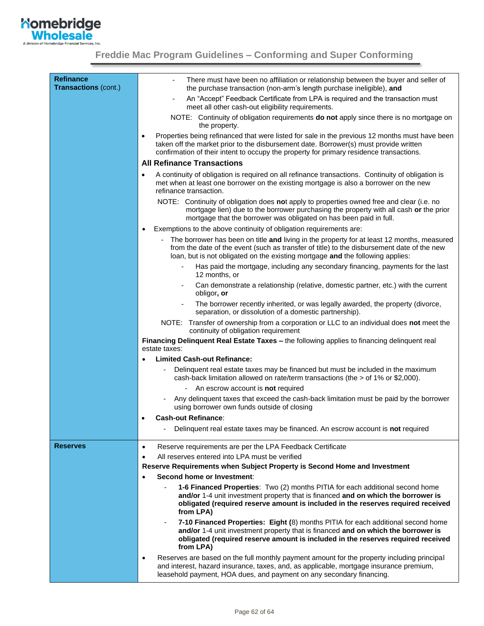

<span id="page-61-1"></span><span id="page-61-0"></span>

| <b>Refinance</b><br><b>Transactions (cont.)</b> | There must have been no affiliation or relationship between the buyer and seller of<br>the purchase transaction (non-arm's length purchase ineligible), and                                                                                                                                     |
|-------------------------------------------------|-------------------------------------------------------------------------------------------------------------------------------------------------------------------------------------------------------------------------------------------------------------------------------------------------|
|                                                 | An "Accept" Feedback Certificate from LPA is required and the transaction must<br>meet all other cash-out eligibility requirements.                                                                                                                                                             |
|                                                 | NOTE: Continuity of obligation requirements <b>do not</b> apply since there is no mortgage on<br>the property.                                                                                                                                                                                  |
|                                                 | Properties being refinanced that were listed for sale in the previous 12 months must have been<br>$\bullet$<br>taken off the market prior to the disbursement date. Borrower(s) must provide written<br>confirmation of their intent to occupy the property for primary residence transactions. |
|                                                 | <b>All Refinance Transactions</b>                                                                                                                                                                                                                                                               |
|                                                 | A continuity of obligation is required on all refinance transactions. Continuity of obligation is<br>$\bullet$<br>met when at least one borrower on the existing mortgage is also a borrower on the new<br>refinance transaction.                                                               |
|                                                 | NOTE: Continuity of obligation does not apply to properties owned free and clear (i.e. no<br>mortgage lien) due to the borrower purchasing the property with all cash or the prior<br>mortgage that the borrower was obligated on has been paid in full.                                        |
|                                                 | Exemptions to the above continuity of obligation requirements are:<br>$\bullet$                                                                                                                                                                                                                 |
|                                                 | The borrower has been on title and living in the property for at least 12 months, measured<br>from the date of the event (such as transfer of title) to the disbursement date of the new<br>loan, but is not obligated on the existing mortgage and the following applies:                      |
|                                                 | Has paid the mortgage, including any secondary financing, payments for the last<br>12 months, or                                                                                                                                                                                                |
|                                                 | Can demonstrate a relationship (relative, domestic partner, etc.) with the current<br>obligor, or                                                                                                                                                                                               |
|                                                 | The borrower recently inherited, or was legally awarded, the property (divorce,<br>separation, or dissolution of a domestic partnership).                                                                                                                                                       |
|                                                 | NOTE: Transfer of ownership from a corporation or LLC to an individual does not meet the<br>continuity of obligation requirement                                                                                                                                                                |
|                                                 | Financing Delinquent Real Estate Taxes - the following applies to financing delinquent real<br>estate taxes:                                                                                                                                                                                    |
|                                                 | <b>Limited Cash-out Refinance:</b><br>$\bullet$                                                                                                                                                                                                                                                 |
|                                                 | Delinquent real estate taxes may be financed but must be included in the maximum<br>cash-back limitation allowed on rate/term transactions (the > of 1% or \$2,000).                                                                                                                            |
|                                                 | An escrow account is <b>not</b> required                                                                                                                                                                                                                                                        |
|                                                 | Any delinquent taxes that exceed the cash-back limitation must be paid by the borrower<br>using borrower own funds outside of closing                                                                                                                                                           |
|                                                 | <b>Cash-out Refinance:</b>                                                                                                                                                                                                                                                                      |
|                                                 | Delinquent real estate taxes may be financed. An escrow account is not required                                                                                                                                                                                                                 |
| <b>Reserves</b>                                 | Reserve requirements are per the LPA Feedback Certificate<br>$\bullet$                                                                                                                                                                                                                          |
|                                                 | All reserves entered into LPA must be verified<br>$\bullet$                                                                                                                                                                                                                                     |
|                                                 | Reserve Requirements when Subject Property is Second Home and Investment                                                                                                                                                                                                                        |
|                                                 | Second home or Investment:<br>$\bullet$                                                                                                                                                                                                                                                         |
|                                                 | 1-6 Financed Properties: Two (2) months PITIA for each additional second home<br>and/or 1-4 unit investment property that is financed and on which the borrower is<br>obligated (required reserve amount is included in the reserves required received<br>from LPA)                             |
|                                                 | 7-10 Financed Properties: Eight (8) months PITIA for each additional second home<br>-<br>and/or 1-4 unit investment property that is financed and on which the borrower is<br>obligated (required reserve amount is included in the reserves required received<br>from LPA)                     |
|                                                 | Reserves are based on the full monthly payment amount for the property including principal<br>$\bullet$<br>and interest, hazard insurance, taxes, and, as applicable, mortgage insurance premium,<br>leasehold payment, HOA dues, and payment on any secondary financing.                       |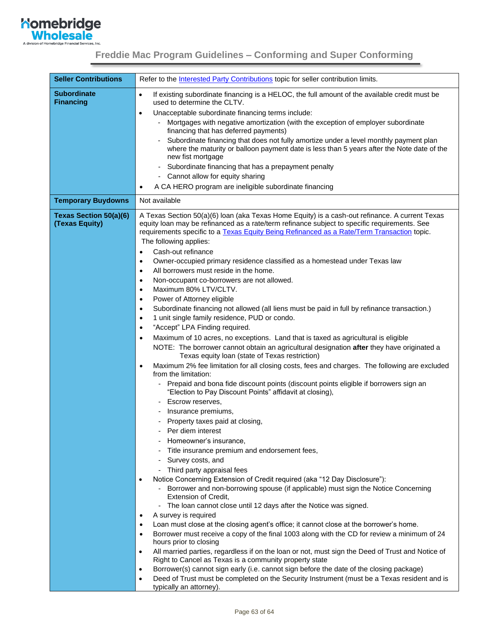

| <b>Seller Contributions</b>                     | Refer to the <b>Interested Party Contributions</b> topic for seller contribution limits.                                                                                                                                                                                                                               |
|-------------------------------------------------|------------------------------------------------------------------------------------------------------------------------------------------------------------------------------------------------------------------------------------------------------------------------------------------------------------------------|
| <b>Subordinate</b><br><b>Financing</b>          | If existing subordinate financing is a HELOC, the full amount of the available credit must be<br>$\bullet$<br>used to determine the CLTV.                                                                                                                                                                              |
|                                                 | Unacceptable subordinate financing terms include:<br>$\bullet$                                                                                                                                                                                                                                                         |
|                                                 | Mortgages with negative amortization (with the exception of employer subordinate<br>financing that has deferred payments)                                                                                                                                                                                              |
|                                                 | Subordinate financing that does not fully amortize under a level monthly payment plan<br>where the maturity or balloon payment date is less than 5 years after the Note date of the<br>new fist mortgage<br>Subordinate financing that has a prepayment penalty<br>$\overline{\phantom{a}}$                            |
|                                                 | Cannot allow for equity sharing<br>$\overline{\phantom{a}}$                                                                                                                                                                                                                                                            |
|                                                 | A CA HERO program are ineligible subordinate financing<br>٠                                                                                                                                                                                                                                                            |
| <b>Temporary Buydowns</b>                       | Not available                                                                                                                                                                                                                                                                                                          |
| <b>Texas Section 50(a)(6)</b><br>(Texas Equity) | A Texas Section 50(a)(6) Ioan (aka Texas Home Equity) is a cash-out refinance. A current Texas<br>equity loan may be refinanced as a rate/term refinance subject to specific requirements. See<br>requirements specific to a Texas Equity Being Refinanced as a Rate/Term Transaction topic.<br>The following applies: |
|                                                 | Cash-out refinance<br>$\bullet$                                                                                                                                                                                                                                                                                        |
|                                                 | Owner-occupied primary residence classified as a homestead under Texas law<br>٠                                                                                                                                                                                                                                        |
|                                                 | All borrowers must reside in the home.<br>$\bullet$                                                                                                                                                                                                                                                                    |
|                                                 | Non-occupant co-borrowers are not allowed.<br>$\bullet$<br>Maximum 80% LTV/CLTV.                                                                                                                                                                                                                                       |
|                                                 | $\bullet$<br>Power of Attorney eligible<br>$\bullet$                                                                                                                                                                                                                                                                   |
|                                                 | Subordinate financing not allowed (all liens must be paid in full by refinance transaction.)<br>$\bullet$                                                                                                                                                                                                              |
|                                                 | 1 unit single family residence, PUD or condo.<br>$\bullet$                                                                                                                                                                                                                                                             |
|                                                 | "Accept" LPA Finding required.<br>$\bullet$                                                                                                                                                                                                                                                                            |
|                                                 | Maximum of 10 acres, no exceptions. Land that is taxed as agricultural is eligible<br>$\bullet$                                                                                                                                                                                                                        |
|                                                 | NOTE: The borrower cannot obtain an agricultural designation after they have originated a<br>Texas equity loan (state of Texas restriction)                                                                                                                                                                            |
|                                                 | Maximum 2% fee limitation for all closing costs, fees and charges. The following are excluded<br>٠<br>from the limitation:                                                                                                                                                                                             |
|                                                 | Prepaid and bona fide discount points (discount points eligible if borrowers sign an<br>"Election to Pay Discount Points" affidavit at closing),                                                                                                                                                                       |
|                                                 | Escrow reserves,                                                                                                                                                                                                                                                                                                       |
|                                                 | Insurance premiums,                                                                                                                                                                                                                                                                                                    |
|                                                 | - Property taxes paid at closing,                                                                                                                                                                                                                                                                                      |
|                                                 | Per diem interest                                                                                                                                                                                                                                                                                                      |
|                                                 | Homeowner's insurance,                                                                                                                                                                                                                                                                                                 |
|                                                 | Title insurance premium and endorsement fees,<br>Survey costs, and                                                                                                                                                                                                                                                     |
|                                                 | Third party appraisal fees                                                                                                                                                                                                                                                                                             |
|                                                 | Notice Concerning Extension of Credit required (aka "12 Day Disclosure"):                                                                                                                                                                                                                                              |
|                                                 | - Borrower and non-borrowing spouse (if applicable) must sign the Notice Concerning<br><b>Extension of Credit,</b>                                                                                                                                                                                                     |
|                                                 | The loan cannot close until 12 days after the Notice was signed.                                                                                                                                                                                                                                                       |
|                                                 | A survey is required<br>$\bullet$                                                                                                                                                                                                                                                                                      |
|                                                 | Loan must close at the closing agent's office; it cannot close at the borrower's home.<br>٠                                                                                                                                                                                                                            |
|                                                 | Borrower must receive a copy of the final 1003 along with the CD for review a minimum of 24<br>$\bullet$<br>hours prior to closing                                                                                                                                                                                     |
|                                                 | All married parties, regardless if on the loan or not, must sign the Deed of Trust and Notice of<br>$\bullet$<br>Right to Cancel as Texas is a community property state                                                                                                                                                |
|                                                 | Borrower(s) cannot sign early (i.e. cannot sign before the date of the closing package)<br>$\bullet$<br>Deed of Trust must be completed on the Security Instrument (must be a Texas resident and is<br>$\bullet$                                                                                                       |
|                                                 | typically an attorney).                                                                                                                                                                                                                                                                                                |